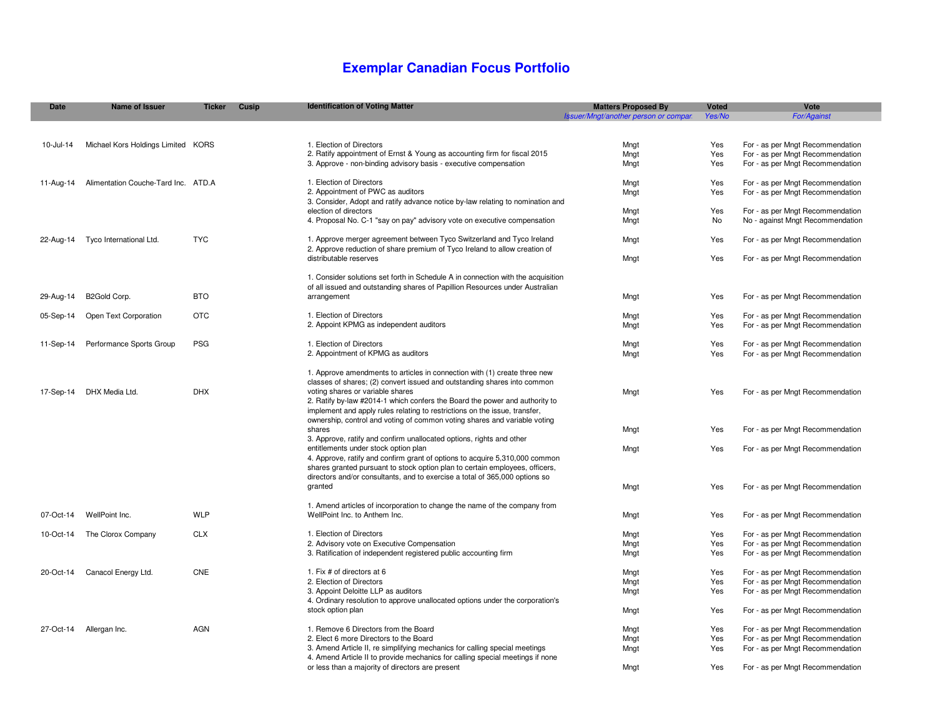# **Exemplar Canadian Focus Portfolio**

| <b>Date</b> | <b>Name of Issuer</b>               | <b>Ticker</b> | Cusip | <b>Identification of Voting Matter</b>                                                               | <b>Matters Proposed By</b>           | Voted      | Vote                             |
|-------------|-------------------------------------|---------------|-------|------------------------------------------------------------------------------------------------------|--------------------------------------|------------|----------------------------------|
|             |                                     |               |       |                                                                                                      | Issuer/Mngt/another person or compar | Yes/No     | For/Against                      |
|             |                                     |               |       |                                                                                                      |                                      |            |                                  |
| 10-Jul-14   | Michael Kors Holdings Limited KORS  |               |       | 1. Election of Directors                                                                             | Mngt                                 | Yes        | For - as per Mngt Recommendation |
|             |                                     |               |       | 2. Ratify appointment of Ernst & Young as accounting firm for fiscal 2015                            | Mngt                                 | Yes        | For - as per Mngt Recommendation |
|             |                                     |               |       | 3. Approve - non-binding advisory basis - executive compensation                                     | Mngt                                 | Yes        | For - as per Mngt Recommendation |
|             |                                     |               |       |                                                                                                      |                                      |            |                                  |
| 11-Aug-14   | Alimentation Couche-Tard Inc. ATD.A |               |       | 1. Election of Directors                                                                             | Mngt                                 | Yes        | For - as per Mngt Recommendation |
|             |                                     |               |       | 2. Appointment of PWC as auditors                                                                    | Mngt                                 | Yes        | For - as per Mngt Recommendation |
|             |                                     |               |       | 3. Consider, Adopt and ratify advance notice by-law relating to nomination and                       |                                      |            |                                  |
|             |                                     |               |       | election of directors                                                                                | Mngt                                 | Yes        | For - as per Mngt Recommendation |
|             |                                     |               |       | 4. Proposal No. C-1 "say on pay" advisory vote on executive compensation                             | Mngt                                 | No         | No - against Mngt Recommendation |
|             |                                     |               |       |                                                                                                      |                                      |            |                                  |
| 22-Aug-14   | Tyco International Ltd.             | <b>TYC</b>    |       | 1. Approve merger agreement between Tyco Switzerland and Tyco Ireland                                | Mngt                                 | Yes        | For - as per Mngt Recommendation |
|             |                                     |               |       | 2. Approve reduction of share premium of Tyco Ireland to allow creation of<br>distributable reserves | Mngt                                 | Yes        | For - as per Mngt Recommendation |
|             |                                     |               |       |                                                                                                      |                                      |            |                                  |
|             |                                     |               |       | 1. Consider solutions set forth in Schedule A in connection with the acquisition                     |                                      |            |                                  |
|             |                                     |               |       | of all issued and outstanding shares of Papillion Resources under Australian                         |                                      |            |                                  |
| 29-Aug-14   | B2Gold Corp.                        | <b>BTO</b>    |       | arrangement                                                                                          | Mngt                                 | Yes        | For - as per Mngt Recommendation |
|             |                                     |               |       |                                                                                                      |                                      |            |                                  |
| 05-Sep-14   | Open Text Corporation               | <b>OTC</b>    |       | 1. Election of Directors                                                                             | Mngt                                 | Yes        | For - as per Mngt Recommendation |
|             |                                     |               |       | 2. Appoint KPMG as independent auditors                                                              | Mngt                                 | Yes        | For - as per Mngt Recommendation |
|             |                                     |               |       |                                                                                                      |                                      |            |                                  |
| 11-Sep-14   | Performance Sports Group            | <b>PSG</b>    |       | 1. Election of Directors                                                                             | Mngt                                 | Yes        | For - as per Mngt Recommendation |
|             |                                     |               |       | 2. Appointment of KPMG as auditors                                                                   | Mngt                                 | Yes        | For - as per Mngt Recommendation |
|             |                                     |               |       | 1. Approve amendments to articles in connection with (1) create three new                            |                                      |            |                                  |
|             |                                     |               |       | classes of shares; (2) convert issued and outstanding shares into common                             |                                      |            |                                  |
| 17-Sep-14   | DHX Media Ltd.                      | <b>DHX</b>    |       | voting shares or variable shares                                                                     | Mngt                                 | Yes        | For - as per Mngt Recommendation |
|             |                                     |               |       | 2. Ratify by-law #2014-1 which confers the Board the power and authority to                          |                                      |            |                                  |
|             |                                     |               |       | implement and apply rules relating to restrictions on the issue, transfer,                           |                                      |            |                                  |
|             |                                     |               |       | ownership, control and voting of common voting shares and variable voting                            |                                      |            |                                  |
|             |                                     |               |       | shares                                                                                               | Mngt                                 | Yes        | For - as per Mngt Recommendation |
|             |                                     |               |       | 3. Approve, ratify and confirm unallocated options, rights and other                                 |                                      |            |                                  |
|             |                                     |               |       | entitlements under stock option plan                                                                 | Mngt                                 | Yes        | For - as per Mngt Recommendation |
|             |                                     |               |       | 4. Approve, ratify and confirm grant of options to acquire 5,310,000 common                          |                                      |            |                                  |
|             |                                     |               |       | shares granted pursuant to stock option plan to certain employees, officers,                         |                                      |            |                                  |
|             |                                     |               |       | directors and/or consultants, and to exercise a total of 365,000 options so<br>granted               | Mngt                                 | Yes        | For - as per Mngt Recommendation |
|             |                                     |               |       |                                                                                                      |                                      |            |                                  |
|             |                                     |               |       | 1. Amend articles of incorporation to change the name of the company from                            |                                      |            |                                  |
| 07-Oct-14   | WellPoint Inc.                      | WLP           |       | WellPoint Inc. to Anthem Inc.                                                                        | Mngt                                 | Yes        | For - as per Mngt Recommendation |
|             |                                     |               |       |                                                                                                      |                                      |            |                                  |
| 10-Oct-14   | The Clorox Company                  | <b>CLX</b>    |       | 1. Election of Directors                                                                             | Mngt                                 | Yes        | For - as per Mngt Recommendation |
|             |                                     |               |       | 2. Advisory vote on Executive Compensation                                                           | Mngt                                 | Yes        | For - as per Mngt Recommendation |
|             |                                     |               |       | 3. Ratification of independent registered public accounting firm                                     | Mngt                                 | Yes        | For - as per Mngt Recommendation |
|             |                                     |               |       |                                                                                                      |                                      |            |                                  |
| 20-Oct-14   | Canacol Energy Ltd.                 | <b>CNE</b>    |       | 1. Fix # of directors at 6                                                                           | Mngt                                 | Yes        | For - as per Mngt Recommendation |
|             |                                     |               |       | 2. Election of Directors<br>3. Appoint Deloitte LLP as auditors                                      | Mngt                                 | Yes<br>Yes | For - as per Mngt Recommendation |
|             |                                     |               |       | 4. Ordinary resolution to approve unallocated options under the corporation's                        | Mngt                                 |            | For - as per Mngt Recommendation |
|             |                                     |               |       | stock option plan                                                                                    | Mngt                                 | Yes        | For - as per Mngt Recommendation |
|             |                                     |               |       |                                                                                                      |                                      |            |                                  |
|             | 27-Oct-14 Allergan Inc.             | <b>AGN</b>    |       | 1. Remove 6 Directors from the Board                                                                 | Mngt                                 | Yes        | For - as per Mngt Recommendation |
|             |                                     |               |       | 2. Elect 6 more Directors to the Board                                                               | Mngt                                 | Yes        | For - as per Mngt Recommendation |
|             |                                     |               |       | 3. Amend Article II, re simplifying mechanics for calling special meetings                           | Mngt                                 | Yes        | For - as per Mngt Recommendation |
|             |                                     |               |       | 4. Amend Article II to provide mechanics for calling special meetings if none                        |                                      |            |                                  |
|             |                                     |               |       | or less than a majority of directors are present                                                     | Mngt                                 | Yes        | For - as per Mngt Recommendation |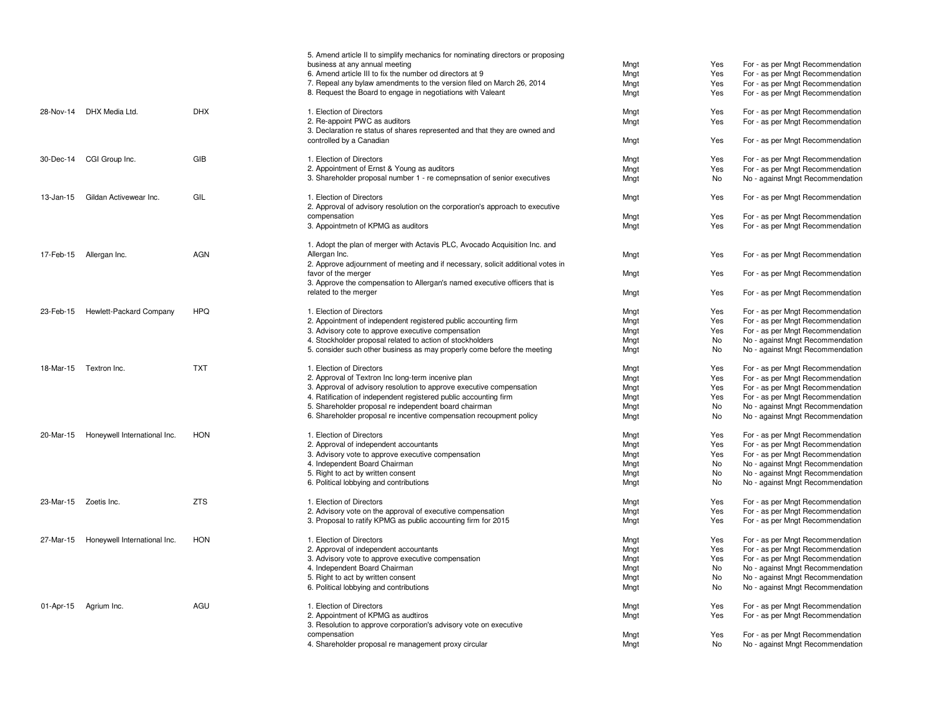|           |                              |            | 5. Amend article II to simplify mechanics for nominating directors or proposing<br>business at any annual meeting | Mngt | Yes | For - as per Mngt Recommendation |
|-----------|------------------------------|------------|-------------------------------------------------------------------------------------------------------------------|------|-----|----------------------------------|
|           |                              |            | 6. Amend article III to fix the number od directors at 9                                                          | Mngt | Yes | For - as per Mngt Recommendation |
|           |                              |            | 7. Repeal any bylaw amendments to the version filed on March 26, 2014                                             | Mngt | Yes | For - as per Mngt Recommendation |
|           |                              |            | 8. Request the Board to engage in negotiations with Valeant                                                       | Mngt | Yes | For - as per Mngt Recommendation |
|           |                              |            |                                                                                                                   |      |     |                                  |
| 28-Nov-14 | DHX Media Ltd.               | <b>DHX</b> | 1. Election of Directors                                                                                          | Mngt | Yes | For - as per Mngt Recommendation |
|           |                              |            | 2. Re-appoint PWC as auditors                                                                                     | Mngt | Yes | For - as per Mngt Recommendation |
|           |                              |            | 3. Declaration re status of shares represented and that they are owned and                                        |      |     |                                  |
|           |                              |            | controlled by a Canadian                                                                                          | Mngt | Yes | For - as per Mngt Recommendation |
| 30-Dec-14 | CGI Group Inc.               | GIB        | 1. Election of Directors                                                                                          | Mngt | Yes | For - as per Mngt Recommendation |
|           |                              |            | 2. Appointment of Ernst & Young as auditors                                                                       | Mngt | Yes | For - as per Mngt Recommendation |
|           |                              |            | 3. Shareholder proposal number 1 - re comepnsation of senior executives                                           | Mngt | No  | No - against Mngt Recommendation |
|           |                              |            |                                                                                                                   |      |     |                                  |
| 13-Jan-15 | Gildan Activewear Inc.       | GIL        | 1. Election of Directors                                                                                          | Mngt | Yes | For - as per Mngt Recommendation |
|           |                              |            | 2. Approval of advisory resolution on the corporation's approach to executive                                     |      |     |                                  |
|           |                              |            | compensation                                                                                                      | Mngt | Yes | For - as per Mngt Recommendation |
|           |                              |            | 3. Appointmetn of KPMG as auditors                                                                                | Mngt | Yes | For - as per Mngt Recommendation |
|           |                              |            | 1. Adopt the plan of merger with Actavis PLC, Avocado Acquisition Inc. and                                        |      |     |                                  |
|           | 17-Feb-15 Allergan Inc.      | <b>AGN</b> | Allergan Inc.                                                                                                     | Mngt | Yes | For - as per Mngt Recommendation |
|           |                              |            | 2. Approve adjournment of meeting and if necessary, solicit additional votes in                                   |      |     |                                  |
|           |                              |            | favor of the merger                                                                                               | Mngt | Yes | For - as per Mngt Recommendation |
|           |                              |            | 3. Approve the compensation to Allergan's named executive officers that is                                        |      |     |                                  |
|           |                              |            | related to the merger                                                                                             | Mngt | Yes | For - as per Mngt Recommendation |
| 23-Feb-15 | Hewlett-Packard Company      | <b>HPQ</b> | 1. Election of Directors                                                                                          | Mngt | Yes | For - as per Mngt Recommendation |
|           |                              |            | 2. Appointment of independent registered public accounting firm                                                   | Mngt | Yes | For - as per Mngt Recommendation |
|           |                              |            | 3. Advisory cote to approve executive compensation                                                                | Mngt | Yes | For - as per Mngt Recommendation |
|           |                              |            | 4. Stockholder proposal related to action of stockholders                                                         | Mngt | No  | No - against Mngt Recommendation |
|           |                              |            | 5. consider such other business as may properly come before the meeting                                           | Mngt | No  | No - against Mngt Recommendation |
|           |                              |            |                                                                                                                   |      |     |                                  |
| 18-Mar-15 | Textron Inc.                 | <b>TXT</b> | 1. Election of Directors                                                                                          | Mngt | Yes | For - as per Mngt Recommendation |
|           |                              |            | 2. Approval of Textron Inc long-term incenive plan                                                                | Mngt | Yes | For - as per Mngt Recommendation |
|           |                              |            | 3. Approval of advisory resolution to approve executive compensation                                              | Mngt | Yes | For - as per Mngt Recommendation |
|           |                              |            | 4. Ratification of independent registered public accounting firm                                                  | Mngt | Yes | For - as per Mngt Recommendation |
|           |                              |            | 5. Shareholder proposal re independent board chairman                                                             | Mngt | No  | No - against Mngt Recommendation |
|           |                              |            | 6. Shareholder proposal re incentive compensation recoupment policy                                               | Mngt | No  | No - against Mngt Recommendation |
| 20-Mar-15 | Honeywell International Inc. | <b>HON</b> | 1. Election of Directors                                                                                          | Mngt | Yes | For - as per Mngt Recommendation |
|           |                              |            | 2. Approval of independent accountants                                                                            | Mngt | Yes | For - as per Mngt Recommendation |
|           |                              |            | 3. Advisory vote to approve executive compensation                                                                | Mngt | Yes | For - as per Mngt Recommendation |
|           |                              |            | 4. Independent Board Chairman                                                                                     | Mngt | No  | No - against Mngt Recommendation |
|           |                              |            | 5. Right to act by written consent                                                                                | Mngt | No  | No - against Mngt Recommendation |
|           |                              |            | 6. Political lobbying and contributions                                                                           | Mngt | No  | No - against Mngt Recommendation |
|           | 23-Mar-15 Zoetis Inc.        | <b>ZTS</b> | 1. Election of Directors                                                                                          | Mngt | Yes | For - as per Mngt Recommendation |
|           |                              |            | 2. Advisory vote on the approval of executive compensation                                                        | Mngt | Yes | For - as per Mngt Recommendation |
|           |                              |            | 3. Proposal to ratify KPMG as public accounting firm for 2015                                                     | Mngt | Yes | For - as per Mngt Recommendation |
|           |                              |            |                                                                                                                   |      |     |                                  |
| 27-Mar-15 | Honeywell International Inc. | <b>HON</b> | 1. Election of Directors                                                                                          | Mngt | Yes | For - as per Mngt Recommendation |
|           |                              |            | 2. Approval of independent accountants                                                                            | Mngt | Yes | For - as per Mngt Recommendation |
|           |                              |            | 3. Advisory vote to approve executive compensation                                                                | Mngt | Yes | For - as per Mngt Recommendation |
|           |                              |            | 4. Independent Board Chairman                                                                                     | Mngt | No  | No - against Mngt Recommendation |
|           |                              |            | 5. Right to act by written consent                                                                                | Mngt | No  | No - against Mngt Recommendation |
|           |                              |            | 6. Political lobbying and contributions                                                                           | Mngt | No  | No - against Mngt Recommendation |
|           | 01-Apr-15 Agrium Inc.        | AGU        | 1. Election of Directors                                                                                          | Mngt | Yes | For - as per Mngt Recommendation |
|           |                              |            | 2. Appointment of KPMG as audtiros                                                                                | Mngt | Yes | For - as per Mngt Recommendation |
|           |                              |            | 3. Resolution to approve corporation's advisory vote on executive                                                 |      |     |                                  |
|           |                              |            | compensation                                                                                                      | Mngt | Yes | For - as per Mngt Recommendation |
|           |                              |            | 4. Shareholder proposal re management proxy circular                                                              | Mngt | No  | No - against Mngt Recommendation |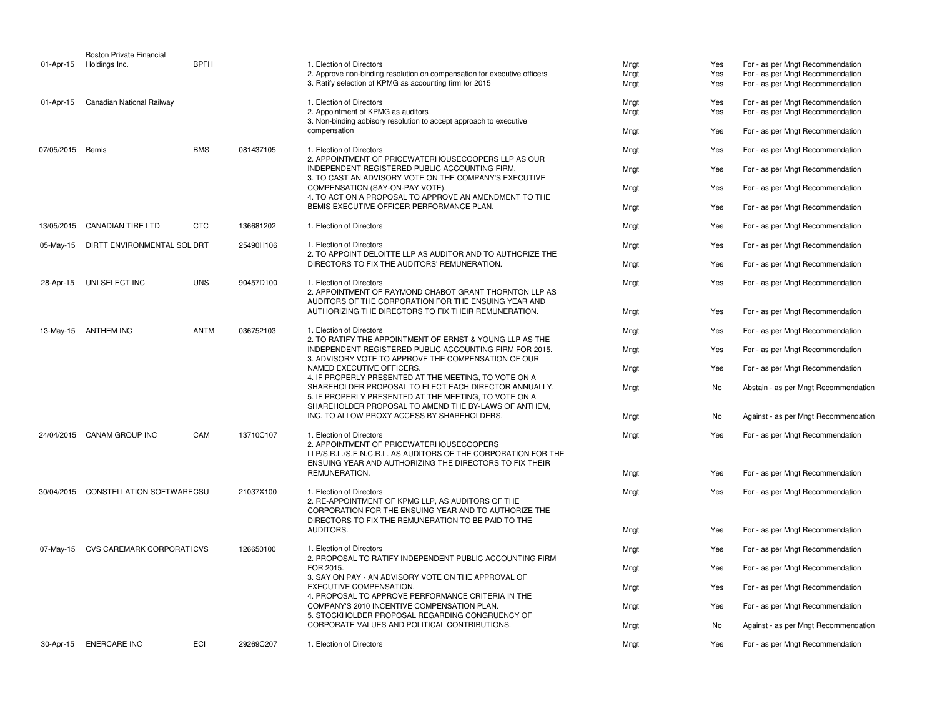|            | <b>Boston Private Financial</b>       |             |           |                                                                                                                                                                                                   |              |            |                                                                                                |      |     |                                  |
|------------|---------------------------------------|-------------|-----------|---------------------------------------------------------------------------------------------------------------------------------------------------------------------------------------------------|--------------|------------|------------------------------------------------------------------------------------------------|------|-----|----------------------------------|
| 01-Apr-15  | Holdings Inc.                         | <b>BPFH</b> |           | 1. Election of Directors<br>2. Approve non-binding resolution on compensation for executive officers                                                                                              | Mngt         | Yes        | For - as per Mngt Recommendation                                                               |      |     |                                  |
|            |                                       |             |           | 3. Ratify selection of KPMG as accounting firm for 2015                                                                                                                                           | Mngt<br>Mngt | Yes<br>Yes | For - as per Mngt Recommendation<br>For - as per Mngt Recommendation                           |      |     |                                  |
| 01-Apr-15  | Canadian National Railway             |             |           | 1. Election of Directors                                                                                                                                                                          | Mngt         | Yes        | For - as per Mngt Recommendation                                                               |      |     |                                  |
|            |                                       |             |           | 2. Appointment of KPMG as auditors                                                                                                                                                                | Mngt         | Yes        | For - as per Mngt Recommendation                                                               |      |     |                                  |
|            |                                       |             |           | 3. Non-binding adbisory resolution to accept approach to executive<br>compensation                                                                                                                | Mngt         | Yes        | For - as per Mngt Recommendation                                                               |      |     |                                  |
| 07/05/2015 | Bemis                                 | <b>BMS</b>  | 081437105 | 1. Election of Directors<br>2. APPOINTMENT OF PRICEWATERHOUSECOOPERS LLP AS OUR                                                                                                                   | Mngt         | Yes        | For - as per Mngt Recommendation                                                               |      |     |                                  |
|            |                                       |             |           | INDEPENDENT REGISTERED PUBLIC ACCOUNTING FIRM.<br>3. TO CAST AN ADVISORY VOTE ON THE COMPANY'S EXECUTIVE                                                                                          | Mngt         | Yes        | For - as per Mngt Recommendation                                                               |      |     |                                  |
|            |                                       |             |           | COMPENSATION (SAY-ON-PAY VOTE).<br>4. TO ACT ON A PROPOSAL TO APPROVE AN AMENDMENT TO THE                                                                                                         | Mngt         | Yes        | For - as per Mngt Recommendation                                                               |      |     |                                  |
|            |                                       |             |           | BEMIS EXECUTIVE OFFICER PERFORMANCE PLAN.                                                                                                                                                         | Mngt         | Yes        | For - as per Mngt Recommendation                                                               |      |     |                                  |
| 13/05/2015 | CANADIAN TIRE LTD                     | <b>CTC</b>  | 136681202 | 1. Election of Directors                                                                                                                                                                          | Mngt         | Yes        | For - as per Mngt Recommendation                                                               |      |     |                                  |
| 05-May-15  | DIRTT ENVIRONMENTAL SOL DRT           |             | 25490H106 | 1. Election of Directors<br>2. TO APPOINT DELOITTE LLP AS AUDITOR AND TO AUTHORIZE THE                                                                                                            | Mngt         | Yes        | For - as per Mngt Recommendation                                                               |      |     |                                  |
|            |                                       |             |           | DIRECTORS TO FIX THE AUDITORS' REMUNERATION.                                                                                                                                                      | Mngt         | Yes        | For - as per Mngt Recommendation                                                               |      |     |                                  |
| 28-Apr-15  | UNI SELECT INC                        | <b>UNS</b>  | 90457D100 | 1. Election of Directors<br>2. APPOINTMENT OF RAYMOND CHABOT GRANT THORNTON LLP AS                                                                                                                | Mngt         | Yes        | For - as per Mngt Recommendation                                                               |      |     |                                  |
|            |                                       |             |           | AUDITORS OF THE CORPORATION FOR THE ENSUING YEAR AND<br>AUTHORIZING THE DIRECTORS TO FIX THEIR REMUNERATION.                                                                                      | Mngt         | Yes        | For - as per Mngt Recommendation                                                               |      |     |                                  |
| 13-May-15  | ANTHEM INC                            | <b>ANTM</b> | 036752103 | 1. Election of Directors<br>2. TO RATIFY THE APPOINTMENT OF ERNST & YOUNG LLP AS THE                                                                                                              | Mngt         | Yes        | For - as per Mngt Recommendation                                                               |      |     |                                  |
|            |                                       |             |           | INDEPENDENT REGISTERED PUBLIC ACCOUNTING FIRM FOR 2015.<br>3. ADVISORY VOTE TO APPROVE THE COMPENSATION OF OUR                                                                                    | Mngt         | Yes        | For - as per Mngt Recommendation                                                               |      |     |                                  |
|            |                                       |             |           | NAMED EXECUTIVE OFFICERS.<br>4. IF PROPERLY PRESENTED AT THE MEETING, TO VOTE ON A                                                                                                                | Mngt         | Yes        | For - as per Mngt Recommendation                                                               |      |     |                                  |
|            |                                       |             |           | SHAREHOLDER PROPOSAL TO ELECT EACH DIRECTOR ANNUALLY.<br>5. IF PROPERLY PRESENTED AT THE MEETING, TO VOTE ON A<br>SHAREHOLDER PROPOSAL TO AMEND THE BY-LAWS OF ANTHEM,                            | Mngt         | No         | Abstain - as per Mngt Recommendation                                                           |      |     |                                  |
|            |                                       |             |           | INC. TO ALLOW PROXY ACCESS BY SHAREHOLDERS.                                                                                                                                                       | Mngt         | No         | Against - as per Mngt Recommendation                                                           |      |     |                                  |
|            | 24/04/2015 CANAM GROUP INC            | CAM         | 13710C107 | 1. Election of Directors<br>2. APPOINTMENT OF PRICEWATERHOUSECOOPERS<br>LLP/S.R.L./S.E.N.C.R.L. AS AUDITORS OF THE CORPORATION FOR THE<br>ENSUING YEAR AND AUTHORIZING THE DIRECTORS TO FIX THEIR | Mngt         | Yes        | For - as per Mngt Recommendation                                                               |      |     |                                  |
|            |                                       |             |           | REMUNERATION.                                                                                                                                                                                     | Mngt         | Yes        | For - as per Mngt Recommendation                                                               |      |     |                                  |
|            | 30/04/2015 CONSTELLATION SOFTWARE CSU |             | 21037X100 | 1. Election of Directors<br>2. RE-APPOINTMENT OF KPMG LLP, AS AUDITORS OF THE<br>CORPORATION FOR THE ENSUING YEAR AND TO AUTHORIZE THE<br>DIRECTORS TO FIX THE REMUNERATION TO BE PAID TO THE     | Mngt         | Yes        | For - as per Mngt Recommendation                                                               |      |     |                                  |
|            |                                       |             |           | AUDITORS.                                                                                                                                                                                         | Mngt         | Yes        | For - as per Mngt Recommendation                                                               |      |     |                                  |
| 07-May-15  | CVS CAREMARK CORPORATICVS             |             | 126650100 | 1. Election of Directors<br>2. PROPOSAL TO RATIFY INDEPENDENT PUBLIC ACCOUNTING FIRM                                                                                                              | Mngt         | Yes        | For - as per Mngt Recommendation                                                               |      |     |                                  |
|            |                                       |             |           | FOR 2015.<br>3. SAY ON PAY - AN ADVISORY VOTE ON THE APPROVAL OF                                                                                                                                  | Mngt         | Yes        | For - as per Mngt Recommendation                                                               |      |     |                                  |
|            |                                       |             |           | EXECUTIVE COMPENSATION.<br>4. PROPOSAL TO APPROVE PERFORMANCE CRITERIA IN THE                                                                                                                     | Mngt         | Yes        | For - as per Mngt Recommendation                                                               |      |     |                                  |
|            |                                       |             |           |                                                                                                                                                                                                   |              |            | COMPANY'S 2010 INCENTIVE COMPENSATION PLAN.<br>5. STOCKHOLDER PROPOSAL REGARDING CONGRUENCY OF | Mngt | Yes | For - as per Mngt Recommendation |
|            |                                       |             |           | CORPORATE VALUES AND POLITICAL CONTRIBUTIONS.                                                                                                                                                     | Mngt         | No         | Against - as per Mngt Recommendation                                                           |      |     |                                  |
| 30-Apr-15  | <b>ENERCARE INC</b>                   | ECI         | 29269C207 | 1. Election of Directors                                                                                                                                                                          | Mngt         | Yes        | For - as per Mngt Recommendation                                                               |      |     |                                  |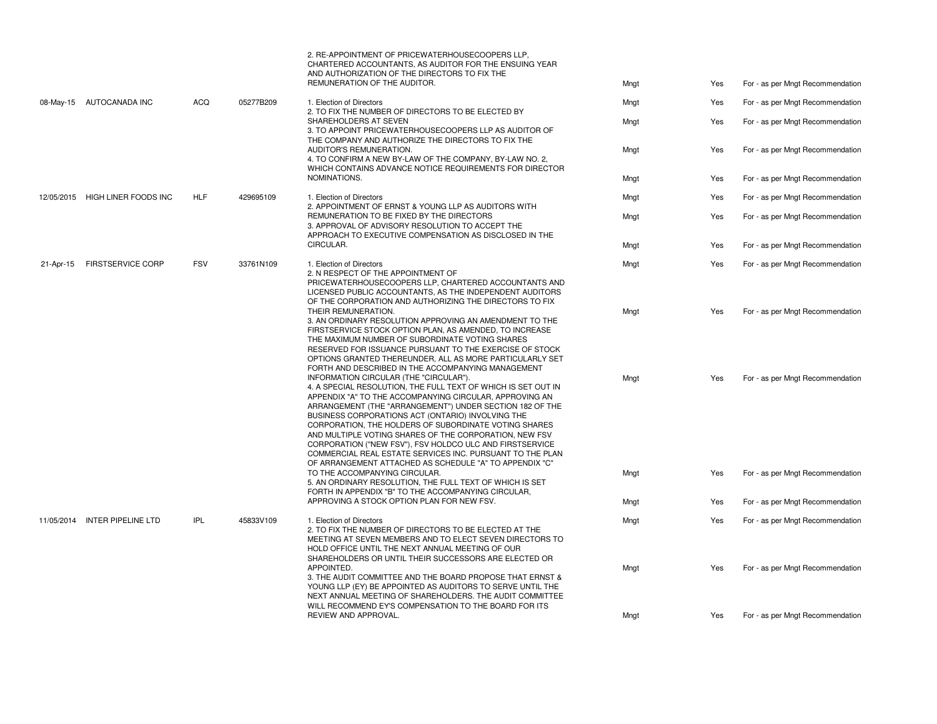|                                       |                                 |                                                                                                                                                                                                                                                |                                                                                                                                                                                                                                                                                                                                                                                                                                                                                                                                                                                            | 2. RE-APPOINTMENT OF PRICEWATERHOUSECOOPERS LLP,<br>CHARTERED ACCOUNTANTS, AS AUDITOR FOR THE ENSUING YEAR<br>AND AUTHORIZATION OF THE DIRECTORS TO FIX THE<br>REMUNERATION OF THE AUDITOR.                                                                | Mngt                             | Yes                              | For - as per Mngt Recommendation |
|---------------------------------------|---------------------------------|------------------------------------------------------------------------------------------------------------------------------------------------------------------------------------------------------------------------------------------------|--------------------------------------------------------------------------------------------------------------------------------------------------------------------------------------------------------------------------------------------------------------------------------------------------------------------------------------------------------------------------------------------------------------------------------------------------------------------------------------------------------------------------------------------------------------------------------------------|------------------------------------------------------------------------------------------------------------------------------------------------------------------------------------------------------------------------------------------------------------|----------------------------------|----------------------------------|----------------------------------|
|                                       | 08-May-15 AUTOCANADA INC        | <b>ACQ</b>                                                                                                                                                                                                                                     | 05277B209                                                                                                                                                                                                                                                                                                                                                                                                                                                                                                                                                                                  | 1. Election of Directors                                                                                                                                                                                                                                   | Mngt                             | Yes                              | For - as per Mngt Recommendation |
|                                       |                                 |                                                                                                                                                                                                                                                |                                                                                                                                                                                                                                                                                                                                                                                                                                                                                                                                                                                            | 2. TO FIX THE NUMBER OF DIRECTORS TO BE ELECTED BY<br>SHAREHOLDERS AT SEVEN<br>3. TO APPOINT PRICEWATERHOUSECOOPERS LLP AS AUDITOR OF                                                                                                                      | Mngt                             | Yes                              | For - as per Mngt Recommendation |
|                                       |                                 |                                                                                                                                                                                                                                                |                                                                                                                                                                                                                                                                                                                                                                                                                                                                                                                                                                                            | THE COMPANY AND AUTHORIZE THE DIRECTORS TO FIX THE<br>AUDITOR'S REMUNERATION.<br>4. TO CONFIRM A NEW BY-LAW OF THE COMPANY, BY-LAW NO. 2,<br>WHICH CONTAINS ADVANCE NOTICE REQUIREMENTS FOR DIRECTOR                                                       | Mngt                             | Yes                              | For - as per Mngt Recommendation |
|                                       |                                 |                                                                                                                                                                                                                                                |                                                                                                                                                                                                                                                                                                                                                                                                                                                                                                                                                                                            | NOMINATIONS.                                                                                                                                                                                                                                               | Mngt                             | Yes                              | For - as per Mngt Recommendation |
|                                       | 12/05/2015 HIGH LINER FOODS INC | <b>HLF</b>                                                                                                                                                                                                                                     | 429695109                                                                                                                                                                                                                                                                                                                                                                                                                                                                                                                                                                                  | 1. Election of Directors<br>2. APPOINTMENT OF ERNST & YOUNG LLP AS AUDITORS WITH                                                                                                                                                                           | Mngt                             | Yes                              | For - as per Mngt Recommendation |
|                                       |                                 |                                                                                                                                                                                                                                                |                                                                                                                                                                                                                                                                                                                                                                                                                                                                                                                                                                                            | REMUNERATION TO BE FIXED BY THE DIRECTORS<br>3. APPROVAL OF ADVISORY RESOLUTION TO ACCEPT THE<br>APPROACH TO EXECUTIVE COMPENSATION AS DISCLOSED IN THE                                                                                                    | Mngt                             | Yes                              | For - as per Mngt Recommendation |
|                                       |                                 |                                                                                                                                                                                                                                                |                                                                                                                                                                                                                                                                                                                                                                                                                                                                                                                                                                                            | CIRCULAR.                                                                                                                                                                                                                                                  | Mngt                             | Yes                              | For - as per Mngt Recommendation |
| <b>FIRSTSERVICE CORP</b><br>21-Apr-15 | <b>FSV</b><br>33761N109         | 1. Election of Directors<br>2. N RESPECT OF THE APPOINTMENT OF<br>PRICEWATERHOUSECOOPERS LLP, CHARTERED ACCOUNTANTS AND<br>LICENSED PUBLIC ACCOUNTANTS, AS THE INDEPENDENT AUDITORS<br>OF THE CORPORATION AND AUTHORIZING THE DIRECTORS TO FIX | Mngt                                                                                                                                                                                                                                                                                                                                                                                                                                                                                                                                                                                       | Yes                                                                                                                                                                                                                                                        | For - as per Mngt Recommendation |                                  |                                  |
|                                       |                                 |                                                                                                                                                                                                                                                | THEIR REMUNERATION.<br>3. AN ORDINARY RESOLUTION APPROVING AN AMENDMENT TO THE<br>FIRSTSERVICE STOCK OPTION PLAN, AS AMENDED, TO INCREASE<br>THE MAXIMUM NUMBER OF SUBORDINATE VOTING SHARES<br>RESERVED FOR ISSUANCE PURSUANT TO THE EXERCISE OF STOCK<br>OPTIONS GRANTED THEREUNDER, ALL AS MORE PARTICULARLY SET<br>FORTH AND DESCRIBED IN THE ACCOMPANYING MANAGEMENT                                                                                                                                                                                                                  | Mngt                                                                                                                                                                                                                                                       | Yes                              | For - as per Mngt Recommendation |                                  |
|                                       |                                 |                                                                                                                                                                                                                                                | INFORMATION CIRCULAR (THE "CIRCULAR").<br>4. A SPECIAL RESOLUTION, THE FULL TEXT OF WHICH IS SET OUT IN<br>APPENDIX "A" TO THE ACCOMPANYING CIRCULAR, APPROVING AN<br>ARRANGEMENT (THE "ARRANGEMENT") UNDER SECTION 182 OF THE<br>BUSINESS CORPORATIONS ACT (ONTARIO) INVOLVING THE<br>CORPORATION, THE HOLDERS OF SUBORDINATE VOTING SHARES<br>AND MULTIPLE VOTING SHARES OF THE CORPORATION, NEW FSV<br>CORPORATION ("NEW FSV"), FSV HOLDCO ULC AND FIRSTSERVICE<br>COMMERCIAL REAL ESTATE SERVICES INC. PURSUANT TO THE PLAN<br>OF ARRANGEMENT ATTACHED AS SCHEDULE "A" TO APPENDIX "C" | Mngt                                                                                                                                                                                                                                                       | Yes                              | For - as per Mngt Recommendation |                                  |
|                                       |                                 |                                                                                                                                                                                                                                                |                                                                                                                                                                                                                                                                                                                                                                                                                                                                                                                                                                                            | TO THE ACCOMPANYING CIRCULAR.<br>5. AN ORDINARY RESOLUTION, THE FULL TEXT OF WHICH IS SET<br>FORTH IN APPENDIX "B" TO THE ACCOMPANYING CIRCULAR,                                                                                                           | Mngt                             | Yes                              | For - as per Mngt Recommendation |
|                                       |                                 |                                                                                                                                                                                                                                                |                                                                                                                                                                                                                                                                                                                                                                                                                                                                                                                                                                                            | APPROVING A STOCK OPTION PLAN FOR NEW FSV.                                                                                                                                                                                                                 | Mngt                             | Yes                              | For - as per Mngt Recommendation |
| 11/05/2014 INTER PIPELINE LTD         |                                 | <b>IPL</b>                                                                                                                                                                                                                                     | 45833V109<br>1. Election of Directors<br>2. TO FIX THE NUMBER OF DIRECTORS TO BE ELECTED AT THE<br>MEETING AT SEVEN MEMBERS AND TO ELECT SEVEN DIRECTORS TO<br>HOLD OFFICE UNTIL THE NEXT ANNUAL MEETING OF OUR                                                                                                                                                                                                                                                                                                                                                                            | SHAREHOLDERS OR UNTIL THEIR SUCCESSORS ARE ELECTED OR                                                                                                                                                                                                      | Mngt                             | Yes                              | For - as per Mngt Recommendation |
|                                       |                                 |                                                                                                                                                                                                                                                |                                                                                                                                                                                                                                                                                                                                                                                                                                                                                                                                                                                            | APPOINTED.<br>3. THE AUDIT COMMITTEE AND THE BOARD PROPOSE THAT ERNST &<br>YOUNG LLP (EY) BE APPOINTED AS AUDITORS TO SERVE UNTIL THE<br>NEXT ANNUAL MEETING OF SHAREHOLDERS. THE AUDIT COMMITTEE<br>WILL RECOMMEND EY'S COMPENSATION TO THE BOARD FOR ITS | Mngt                             | Yes                              | For - as per Mngt Recommendation |
|                                       |                                 |                                                                                                                                                                                                                                                |                                                                                                                                                                                                                                                                                                                                                                                                                                                                                                                                                                                            | REVIEW AND APPROVAL.                                                                                                                                                                                                                                       | Mngt                             | Yes                              | For - as per Mngt Recommendation |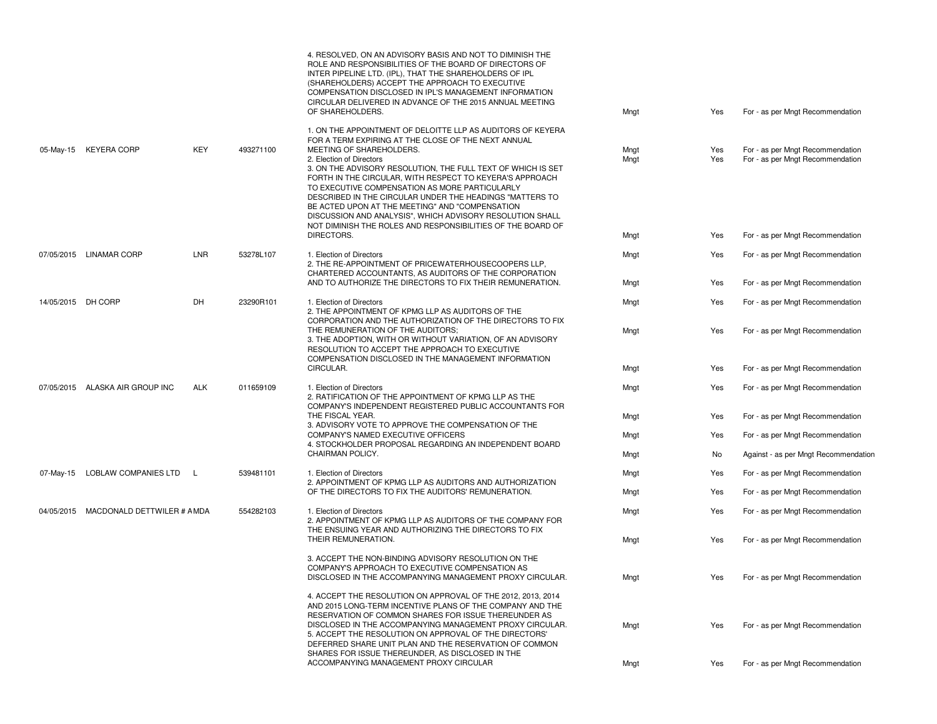|                    |                                       |            |                                                                                                                                            | 4. RESOLVED, ON AN ADVISORY BASIS AND NOT TO DIMINISH THE<br>ROLE AND RESPONSIBILITIES OF THE BOARD OF DIRECTORS OF<br>INTER PIPELINE LTD. (IPL), THAT THE SHAREHOLDERS OF IPL<br>(SHAREHOLDERS) ACCEPT THE APPROACH TO EXECUTIVE<br>COMPENSATION DISCLOSED IN IPL'S MANAGEMENT INFORMATION<br>CIRCULAR DELIVERED IN ADVANCE OF THE 2015 ANNUAL MEETING<br>OF SHAREHOLDERS.                                                                                                   | Mngt         | Yes                              | For - as per Mngt Recommendation                                     |
|--------------------|---------------------------------------|------------|--------------------------------------------------------------------------------------------------------------------------------------------|-------------------------------------------------------------------------------------------------------------------------------------------------------------------------------------------------------------------------------------------------------------------------------------------------------------------------------------------------------------------------------------------------------------------------------------------------------------------------------|--------------|----------------------------------|----------------------------------------------------------------------|
|                    |                                       |            |                                                                                                                                            | 1. ON THE APPOINTMENT OF DELOITTE LLP AS AUDITORS OF KEYERA                                                                                                                                                                                                                                                                                                                                                                                                                   |              |                                  |                                                                      |
|                    |                                       |            |                                                                                                                                            | FOR A TERM EXPIRING AT THE CLOSE OF THE NEXT ANNUAL                                                                                                                                                                                                                                                                                                                                                                                                                           |              |                                  |                                                                      |
| 05-May-15          | <b>KEYERA CORP</b>                    | KEY        | 493271100                                                                                                                                  | MEETING OF SHAREHOLDERS.<br>2. Election of Directors<br>3. ON THE ADVISORY RESOLUTION, THE FULL TEXT OF WHICH IS SET<br>FORTH IN THE CIRCULAR, WITH RESPECT TO KEYERA'S APPROACH<br>TO EXECUTIVE COMPENSATION AS MORE PARTICULARLY<br>DESCRIBED IN THE CIRCULAR UNDER THE HEADINGS "MATTERS TO<br>BE ACTED UPON AT THE MEETING" AND "COMPENSATION<br>DISCUSSION AND ANALYSIS", WHICH ADVISORY RESOLUTION SHALL<br>NOT DIMINISH THE ROLES AND RESPONSIBILITIES OF THE BOARD OF | Mngt<br>Mngt | Yes<br>Yes                       | For - as per Mngt Recommendation<br>For - as per Mngt Recommendation |
|                    |                                       |            |                                                                                                                                            | DIRECTORS.                                                                                                                                                                                                                                                                                                                                                                                                                                                                    | Mngt         | Yes                              | For - as per Mngt Recommendation                                     |
|                    | 07/05/2015 LINAMAR CORP               | LNR        | 53278L107                                                                                                                                  | 1. Election of Directors<br>2. THE RE-APPOINTMENT OF PRICEWATERHOUSECOOPERS LLP.<br>CHARTERED ACCOUNTANTS, AS AUDITORS OF THE CORPORATION<br>AND TO AUTHORIZE THE DIRECTORS TO FIX THEIR REMUNERATION.                                                                                                                                                                                                                                                                        | Mngt         | Yes                              | For - as per Mngt Recommendation                                     |
|                    |                                       |            |                                                                                                                                            |                                                                                                                                                                                                                                                                                                                                                                                                                                                                               | Mngt         | Yes                              | For - as per Mngt Recommendation                                     |
| 14/05/2015 DH CORP | DH                                    | 23290R101  | 1. Election of Directors<br>2. THE APPOINTMENT OF KPMG LLP AS AUDITORS OF THE<br>CORPORATION AND THE AUTHORIZATION OF THE DIRECTORS TO FIX | Mngt                                                                                                                                                                                                                                                                                                                                                                                                                                                                          | Yes          | For - as per Mngt Recommendation |                                                                      |
|                    |                                       |            |                                                                                                                                            | THE REMUNERATION OF THE AUDITORS;<br>3. THE ADOPTION, WITH OR WITHOUT VARIATION, OF AN ADVISORY<br>RESOLUTION TO ACCEPT THE APPROACH TO EXECUTIVE<br>COMPENSATION DISCLOSED IN THE MANAGEMENT INFORMATION                                                                                                                                                                                                                                                                     | Mngt         | Yes                              | For - as per Mngt Recommendation                                     |
|                    |                                       |            |                                                                                                                                            | CIRCULAR.                                                                                                                                                                                                                                                                                                                                                                                                                                                                     | Mngt         | Yes                              | For - as per Mngt Recommendation                                     |
|                    | 07/05/2015 ALASKA AIR GROUP INC       | <b>ALK</b> | 011659109                                                                                                                                  | 1. Election of Directors<br>2. RATIFICATION OF THE APPOINTMENT OF KPMG LLP AS THE<br>COMPANY'S INDEPENDENT REGISTERED PUBLIC ACCOUNTANTS FOR<br>THE FISCAL YEAR.<br>3. ADVISORY VOTE TO APPROVE THE COMPENSATION OF THE<br>COMPANY'S NAMED EXECUTIVE OFFICERS<br>4. STOCKHOLDER PROPOSAL REGARDING AN INDEPENDENT BOARD                                                                                                                                                       | Mngt         | Yes                              | For - as per Mngt Recommendation                                     |
|                    |                                       |            |                                                                                                                                            |                                                                                                                                                                                                                                                                                                                                                                                                                                                                               | Mngt         | Yes                              | For - as per Mngt Recommendation                                     |
|                    |                                       |            |                                                                                                                                            |                                                                                                                                                                                                                                                                                                                                                                                                                                                                               | Mngt         | Yes                              | For - as per Mngt Recommendation                                     |
|                    |                                       |            |                                                                                                                                            | CHAIRMAN POLICY.                                                                                                                                                                                                                                                                                                                                                                                                                                                              | Mngt         | No                               | Against - as per Mngt Recommendation                                 |
| 07-May-15          | LOBLAW COMPANIES LTD L                |            | 539481101                                                                                                                                  | 1. Election of Directors<br>2. APPOINTMENT OF KPMG LLP AS AUDITORS AND AUTHORIZATION                                                                                                                                                                                                                                                                                                                                                                                          | Mngt         | Yes                              | For - as per Mngt Recommendation                                     |
|                    |                                       |            |                                                                                                                                            | OF THE DIRECTORS TO FIX THE AUDITORS' REMUNERATION.                                                                                                                                                                                                                                                                                                                                                                                                                           | Mngt         | Yes                              | For - as per Mngt Recommendation                                     |
|                    | 04/05/2015 MACDONALD DETTWILER # AMDA |            | 554282103                                                                                                                                  | 1. Election of Directors<br>2. APPOINTMENT OF KPMG LLP AS AUDITORS OF THE COMPANY FOR<br>THE ENSUING YEAR AND AUTHORIZING THE DIRECTORS TO FIX                                                                                                                                                                                                                                                                                                                                | Mngt         | Yes                              | For - as per Mngt Recommendation                                     |
|                    |                                       |            |                                                                                                                                            | THEIR REMUNERATION.                                                                                                                                                                                                                                                                                                                                                                                                                                                           | Mngt         | Yes                              | For - as per Mngt Recommendation                                     |
|                    |                                       |            |                                                                                                                                            | 3. ACCEPT THE NON-BINDING ADVISORY RESOLUTION ON THE<br>COMPANY'S APPROACH TO EXECUTIVE COMPENSATION AS<br>DISCLOSED IN THE ACCOMPANYING MANAGEMENT PROXY CIRCULAR.                                                                                                                                                                                                                                                                                                           | Mngt         | Yes                              | For - as per Mngt Recommendation                                     |
|                    |                                       |            |                                                                                                                                            | 4. ACCEPT THE RESOLUTION ON APPROVAL OF THE 2012, 2013, 2014<br>AND 2015 LONG-TERM INCENTIVE PLANS OF THE COMPANY AND THE<br>RESERVATION OF COMMON SHARES FOR ISSUE THEREUNDER AS<br>DISCLOSED IN THE ACCOMPANYING MANAGEMENT PROXY CIRCULAR.<br>5. ACCEPT THE RESOLUTION ON APPROVAL OF THE DIRECTORS'<br>DEFERRED SHARE UNIT PLAN AND THE RESERVATION OF COMMON<br>SHARES FOR ISSUE THEREUNDER. AS DISCLOSED IN THE<br>ACCOMPANYING MANAGEMENT PROXY CIRCULAR               | Mngt<br>Mngt | Yes<br>Yes                       | For - as per Mngt Recommendation<br>For - as per Mngt Recommendation |
|                    |                                       |            |                                                                                                                                            |                                                                                                                                                                                                                                                                                                                                                                                                                                                                               |              |                                  |                                                                      |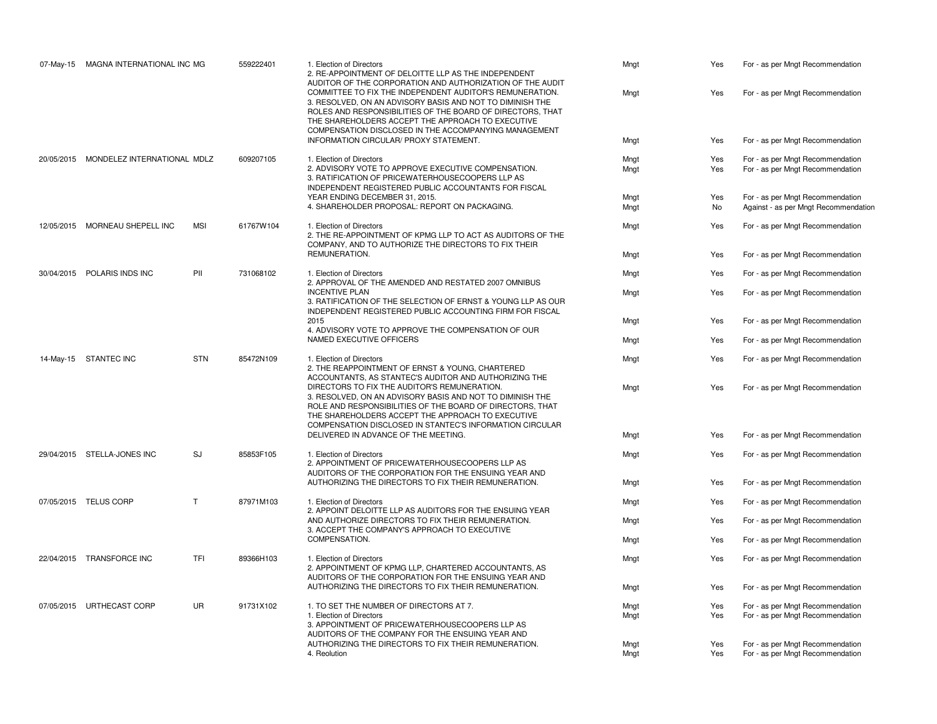| 07-May-15 | MAGNA INTERNATIONAL INC MG             |            | 559222401                                                                                                                                         | 1. Election of Directors<br>2. RE-APPOINTMENT OF DELOITTE LLP AS THE INDEPENDENT<br>AUDITOR OF THE CORPORATION AND AUTHORIZATION OF THE AUDIT                                                                                                                                                                                                    | Mngt | Yes                              | For - as per Mngt Recommendation     |
|-----------|----------------------------------------|------------|---------------------------------------------------------------------------------------------------------------------------------------------------|--------------------------------------------------------------------------------------------------------------------------------------------------------------------------------------------------------------------------------------------------------------------------------------------------------------------------------------------------|------|----------------------------------|--------------------------------------|
|           |                                        |            |                                                                                                                                                   | COMMITTEE TO FIX THE INDEPENDENT AUDITOR'S REMUNERATION.<br>3. RESOLVED, ON AN ADVISORY BASIS AND NOT TO DIMINISH THE<br>ROLES AND RESPONSIBILITIES OF THE BOARD OF DIRECTORS, THAT<br>THE SHAREHOLDERS ACCEPT THE APPROACH TO EXECUTIVE<br>COMPENSATION DISCLOSED IN THE ACCOMPANYING MANAGEMENT                                                | Mngt | Yes                              | For - as per Mngt Recommendation     |
|           |                                        |            |                                                                                                                                                   | INFORMATION CIRCULAR/ PROXY STATEMENT.                                                                                                                                                                                                                                                                                                           | Mngt | Yes                              | For - as per Mngt Recommendation     |
|           | 20/05/2015 MONDELEZ INTERNATIONAL MDLZ |            | 609207105                                                                                                                                         | 1. Election of Directors                                                                                                                                                                                                                                                                                                                         | Mngt | Yes                              | For - as per Mngt Recommendation     |
|           |                                        |            |                                                                                                                                                   | 2. ADVISORY VOTE TO APPROVE EXECUTIVE COMPENSATION.<br>3. RATIFICATION OF PRICEWATERHOUSECOOPERS LLP AS<br>INDEPENDENT REGISTERED PUBLIC ACCOUNTANTS FOR FISCAL                                                                                                                                                                                  | Mngt | Yes                              | For - as per Mngt Recommendation     |
|           |                                        |            |                                                                                                                                                   | YEAR ENDING DECEMBER 31, 2015.                                                                                                                                                                                                                                                                                                                   | Mngt | Yes                              | For - as per Mngt Recommendation     |
|           |                                        |            |                                                                                                                                                   | 4. SHAREHOLDER PROPOSAL: REPORT ON PACKAGING.                                                                                                                                                                                                                                                                                                    | Mngt | No                               | Against - as per Mngt Recommendation |
|           | 12/05/2015 MORNEAU SHEPELL INC         | <b>MSI</b> | 61767W104                                                                                                                                         | 1. Election of Directors<br>2. THE RE-APPOINTMENT OF KPMG LLP TO ACT AS AUDITORS OF THE<br>COMPANY, AND TO AUTHORIZE THE DIRECTORS TO FIX THEIR                                                                                                                                                                                                  | Mngt | Yes                              | For - as per Mngt Recommendation     |
|           |                                        |            |                                                                                                                                                   | REMUNERATION.                                                                                                                                                                                                                                                                                                                                    | Mngt | Yes                              | For - as per Mngt Recommendation     |
|           | 30/04/2015 POLARIS INDS INC            | PII        | 731068102                                                                                                                                         | 1. Election of Directors<br>2. APPROVAL OF THE AMENDED AND RESTATED 2007 OMNIBUS                                                                                                                                                                                                                                                                 | Mngt | Yes                              | For - as per Mngt Recommendation     |
|           |                                        |            | <b>INCENTIVE PLAN</b><br>3. RATIFICATION OF THE SELECTION OF ERNST & YOUNG LLP AS OUR<br>INDEPENDENT REGISTERED PUBLIC ACCOUNTING FIRM FOR FISCAL | Mngt                                                                                                                                                                                                                                                                                                                                             | Yes  | For - as per Mngt Recommendation |                                      |
|           |                                        |            |                                                                                                                                                   | 2015<br>4. ADVISORY VOTE TO APPROVE THE COMPENSATION OF OUR                                                                                                                                                                                                                                                                                      | Mngt | Yes                              | For - as per Mngt Recommendation     |
|           |                                        |            |                                                                                                                                                   | NAMED EXECUTIVE OFFICERS                                                                                                                                                                                                                                                                                                                         | Mngt | Yes                              | For - as per Mngt Recommendation     |
|           | 14-May-15 STANTEC INC                  | <b>STN</b> | 85472N109                                                                                                                                         | 1. Election of Directors<br>2. THE REAPPOINTMENT OF ERNST & YOUNG, CHARTERED                                                                                                                                                                                                                                                                     | Mngt | Yes                              | For - as per Mngt Recommendation     |
|           |                                        |            |                                                                                                                                                   | ACCOUNTANTS, AS STANTEC'S AUDITOR AND AUTHORIZING THE<br>DIRECTORS TO FIX THE AUDITOR'S REMUNERATION.<br>3. RESOLVED, ON AN ADVISORY BASIS AND NOT TO DIMINISH THE<br>ROLE AND RESPONSIBILITIES OF THE BOARD OF DIRECTORS. THAT<br>THE SHAREHOLDERS ACCEPT THE APPROACH TO EXECUTIVE<br>COMPENSATION DISCLOSED IN STANTEC'S INFORMATION CIRCULAR | Mngt | Yes                              | For - as per Mngt Recommendation     |
|           |                                        |            |                                                                                                                                                   | DELIVERED IN ADVANCE OF THE MEETING.                                                                                                                                                                                                                                                                                                             | Mngt | Yes                              | For - as per Mngt Recommendation     |
|           | 29/04/2015 STELLA-JONES INC            | SJ         | 85853F105                                                                                                                                         | 1. Election of Directors<br>2. APPOINTMENT OF PRICEWATERHOUSECOOPERS LLP AS<br>AUDITORS OF THE CORPORATION FOR THE ENSUING YEAR AND                                                                                                                                                                                                              | Mngt | Yes                              | For - as per Mngt Recommendation     |
|           |                                        |            |                                                                                                                                                   | AUTHORIZING THE DIRECTORS TO FIX THEIR REMUNERATION.                                                                                                                                                                                                                                                                                             | Mngt | Yes                              | For - as per Mngt Recommendation     |
|           | 07/05/2015 TELUS CORP                  | T          | 87971M103                                                                                                                                         | 1. Election of Directors<br>2. APPOINT DELOITTE LLP AS AUDITORS FOR THE ENSUING YEAR                                                                                                                                                                                                                                                             | Mngt | Yes                              | For - as per Mngt Recommendation     |
|           |                                        |            |                                                                                                                                                   | AND AUTHORIZE DIRECTORS TO FIX THEIR REMUNERATION.<br>3. ACCEPT THE COMPANY'S APPROACH TO EXECUTIVE                                                                                                                                                                                                                                              | Mngt | Yes                              | For - as per Mngt Recommendation     |
|           |                                        |            |                                                                                                                                                   | COMPENSATION.                                                                                                                                                                                                                                                                                                                                    | Mngt | Yes                              | For - as per Mngt Recommendation     |
|           | 22/04/2015 TRANSFORCE INC              | TFI        | 89366H103                                                                                                                                         | 1. Election of Directors<br>2. APPOINTMENT OF KPMG LLP, CHARTERED ACCOUNTANTS, AS<br>AUDITORS OF THE CORPORATION FOR THE ENSUING YEAR AND                                                                                                                                                                                                        | Mngt | Yes                              | For - as per Mngt Recommendation     |
|           |                                        |            |                                                                                                                                                   | AUTHORIZING THE DIRECTORS TO FIX THEIR REMUNERATION.                                                                                                                                                                                                                                                                                             | Mngt | Yes                              | For - as per Mngt Recommendation     |
|           | 07/05/2015 URTHECAST CORP              | <b>UR</b>  | 91731X102                                                                                                                                         | 1. TO SET THE NUMBER OF DIRECTORS AT 7.                                                                                                                                                                                                                                                                                                          | Mngt | Yes                              | For - as per Mngt Recommendation     |
|           |                                        |            |                                                                                                                                                   | 1. Election of Directors<br>3. APPOINTMENT OF PRICEWATERHOUSECOOPERS LLP AS<br>AUDITORS OF THE COMPANY FOR THE ENSUING YEAR AND                                                                                                                                                                                                                  | Mngt | Yes                              | For - as per Mngt Recommendation     |
|           |                                        |            |                                                                                                                                                   | AUTHORIZING THE DIRECTORS TO FIX THEIR REMUNERATION.                                                                                                                                                                                                                                                                                             | Mngt | Yes                              | For - as per Mngt Recommendation     |
|           |                                        |            |                                                                                                                                                   | 4. Reolution                                                                                                                                                                                                                                                                                                                                     | Mngt | Yes                              | For - as per Mngt Recommendation     |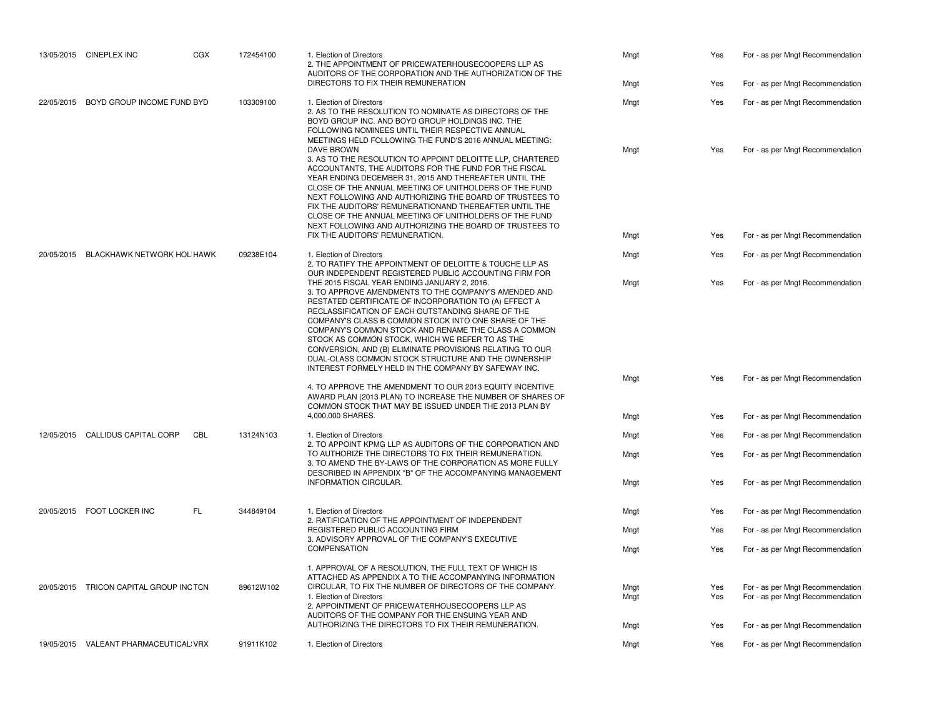|                                       | 13/05/2015 CINEPLEX INC                | CGX                                                                                                                                                                                                                        | 172454100                                                                                                                                                                                                                                                                                                                                                                                                                                                                                                                                                         | 1. Election of Directors<br>2. THE APPOINTMENT OF PRICEWATERHOUSECOOPERS LLP AS<br>AUDITORS OF THE CORPORATION AND THE AUTHORIZATION OF THE                                                                                                                                                                                                                                                                                                                                                            | Mngt         | Yes                              | For - as per Mngt Recommendation                                     |
|---------------------------------------|----------------------------------------|----------------------------------------------------------------------------------------------------------------------------------------------------------------------------------------------------------------------------|-------------------------------------------------------------------------------------------------------------------------------------------------------------------------------------------------------------------------------------------------------------------------------------------------------------------------------------------------------------------------------------------------------------------------------------------------------------------------------------------------------------------------------------------------------------------|--------------------------------------------------------------------------------------------------------------------------------------------------------------------------------------------------------------------------------------------------------------------------------------------------------------------------------------------------------------------------------------------------------------------------------------------------------------------------------------------------------|--------------|----------------------------------|----------------------------------------------------------------------|
|                                       |                                        |                                                                                                                                                                                                                            |                                                                                                                                                                                                                                                                                                                                                                                                                                                                                                                                                                   | DIRECTORS TO FIX THEIR REMUNERATION                                                                                                                                                                                                                                                                                                                                                                                                                                                                    | Mngt         | Yes                              | For - as per Mngt Recommendation                                     |
| 22/05/2015 BOYD GROUP INCOME FUND BYD | 103309100                              | 2. AS TO THE RESOLUTION TO NOMINATE AS DIRECTORS OF THE<br>BOYD GROUP INC. AND BOYD GROUP HOLDINGS INC. THE<br>FOLLOWING NOMINEES UNTIL THEIR RESPECTIVE ANNUAL<br>MEETINGS HELD FOLLOWING THE FUND'S 2016 ANNUAL MEETING: | 1. Election of Directors                                                                                                                                                                                                                                                                                                                                                                                                                                                                                                                                          | Mngt                                                                                                                                                                                                                                                                                                                                                                                                                                                                                                   | Yes          | For - as per Mngt Recommendation |                                                                      |
|                                       |                                        |                                                                                                                                                                                                                            |                                                                                                                                                                                                                                                                                                                                                                                                                                                                                                                                                                   | <b>DAVE BROWN</b><br>3. AS TO THE RESOLUTION TO APPOINT DELOITTE LLP, CHARTERED<br>ACCOUNTANTS, THE AUDITORS FOR THE FUND FOR THE FISCAL<br>YEAR ENDING DECEMBER 31, 2015 AND THEREAFTER UNTIL THE<br>CLOSE OF THE ANNUAL MEETING OF UNITHOLDERS OF THE FUND<br>NEXT FOLLOWING AND AUTHORIZING THE BOARD OF TRUSTEES TO<br>FIX THE AUDITORS' REMUNERATIONAND THEREAFTER UNTIL THE<br>CLOSE OF THE ANNUAL MEETING OF UNITHOLDERS OF THE FUND<br>NEXT FOLLOWING AND AUTHORIZING THE BOARD OF TRUSTEES TO | Mngt         | Yes                              | For - as per Mngt Recommendation                                     |
|                                       |                                        |                                                                                                                                                                                                                            |                                                                                                                                                                                                                                                                                                                                                                                                                                                                                                                                                                   | FIX THE AUDITORS' REMUNERATION.                                                                                                                                                                                                                                                                                                                                                                                                                                                                        | Mngt         | Yes                              | For - as per Mngt Recommendation                                     |
|                                       | 20/05/2015 BLACKHAWK NETWORK HOL HAWK  |                                                                                                                                                                                                                            | 09238E104                                                                                                                                                                                                                                                                                                                                                                                                                                                                                                                                                         | 1. Election of Directors<br>2. TO RATIFY THE APPOINTMENT OF DELOITTE & TOUCHE LLP AS<br>OUR INDEPENDENT REGISTERED PUBLIC ACCOUNTING FIRM FOR                                                                                                                                                                                                                                                                                                                                                          | Mngt         | Yes                              | For - as per Mngt Recommendation                                     |
|                                       |                                        |                                                                                                                                                                                                                            | THE 2015 FISCAL YEAR ENDING JANUARY 2, 2016.<br>3. TO APPROVE AMENDMENTS TO THE COMPANY'S AMENDED AND<br>RESTATED CERTIFICATE OF INCORPORATION TO (A) EFFECT A<br>RECLASSIFICATION OF EACH OUTSTANDING SHARE OF THE<br>COMPANY'S CLASS B COMMON STOCK INTO ONE SHARE OF THE<br>COMPANY'S COMMON STOCK AND RENAME THE CLASS A COMMON<br>STOCK AS COMMON STOCK, WHICH WE REFER TO AS THE<br>CONVERSION, AND (B) ELIMINATE PROVISIONS RELATING TO OUR<br>DUAL-CLASS COMMON STOCK STRUCTURE AND THE OWNERSHIP<br>INTEREST FORMELY HELD IN THE COMPANY BY SAFEWAY INC. | Mngt                                                                                                                                                                                                                                                                                                                                                                                                                                                                                                   | Yes          | For - as per Mngt Recommendation |                                                                      |
|                                       |                                        |                                                                                                                                                                                                                            |                                                                                                                                                                                                                                                                                                                                                                                                                                                                                                                                                                   | 4. TO APPROVE THE AMENDMENT TO OUR 2013 EQUITY INCENTIVE<br>AWARD PLAN (2013 PLAN) TO INCREASE THE NUMBER OF SHARES OF<br>COMMON STOCK THAT MAY BE ISSUED UNDER THE 2013 PLAN BY                                                                                                                                                                                                                                                                                                                       | Mngt         | Yes                              | For - as per Mngt Recommendation                                     |
|                                       |                                        |                                                                                                                                                                                                                            |                                                                                                                                                                                                                                                                                                                                                                                                                                                                                                                                                                   | 4,000,000 SHARES.                                                                                                                                                                                                                                                                                                                                                                                                                                                                                      | Mngt         | Yes                              | For - as per Mngt Recommendation                                     |
|                                       | 12/05/2015 CALLIDUS CAPITAL CORP       | CBL                                                                                                                                                                                                                        | 13124N103                                                                                                                                                                                                                                                                                                                                                                                                                                                                                                                                                         | 1. Election of Directors<br>2. TO APPOINT KPMG LLP AS AUDITORS OF THE CORPORATION AND                                                                                                                                                                                                                                                                                                                                                                                                                  | Mngt         | Yes                              | For - as per Mngt Recommendation                                     |
|                                       |                                        |                                                                                                                                                                                                                            |                                                                                                                                                                                                                                                                                                                                                                                                                                                                                                                                                                   | TO AUTHORIZE THE DIRECTORS TO FIX THEIR REMUNERATION.<br>3. TO AMEND THE BY-LAWS OF THE CORPORATION AS MORE FULLY<br>DESCRIBED IN APPENDIX "B" OF THE ACCOMPANYING MANAGEMENT                                                                                                                                                                                                                                                                                                                          | Mngt         | Yes                              | For - as per Mngt Recommendation                                     |
|                                       |                                        |                                                                                                                                                                                                                            |                                                                                                                                                                                                                                                                                                                                                                                                                                                                                                                                                                   | INFORMATION CIRCULAR.                                                                                                                                                                                                                                                                                                                                                                                                                                                                                  | Mngt         | Yes                              | For - as per Mngt Recommendation                                     |
|                                       | 20/05/2015 FOOT LOCKER INC             | FL.                                                                                                                                                                                                                        | 344849104                                                                                                                                                                                                                                                                                                                                                                                                                                                                                                                                                         | 1. Election of Directors<br>2. RATIFICATION OF THE APPOINTMENT OF INDEPENDENT                                                                                                                                                                                                                                                                                                                                                                                                                          | Mngt         | Yes                              | For - as per Mngt Recommendation                                     |
|                                       |                                        |                                                                                                                                                                                                                            |                                                                                                                                                                                                                                                                                                                                                                                                                                                                                                                                                                   | REGISTERED PUBLIC ACCOUNTING FIRM<br>3. ADVISORY APPROVAL OF THE COMPANY'S EXECUTIVE                                                                                                                                                                                                                                                                                                                                                                                                                   | Mngt         | Yes                              | For - as per Mngt Recommendation                                     |
|                                       |                                        |                                                                                                                                                                                                                            |                                                                                                                                                                                                                                                                                                                                                                                                                                                                                                                                                                   | <b>COMPENSATION</b>                                                                                                                                                                                                                                                                                                                                                                                                                                                                                    | Mngt         | Yes                              | For - as per Mngt Recommendation                                     |
|                                       | 20/05/2015 TRICON CAPITAL GROUP INCTCN |                                                                                                                                                                                                                            | 89612W102                                                                                                                                                                                                                                                                                                                                                                                                                                                                                                                                                         | 1. APPROVAL OF A RESOLUTION. THE FULL TEXT OF WHICH IS<br>ATTACHED AS APPENDIX A TO THE ACCOMPANYING INFORMATION<br>CIRCULAR, TO FIX THE NUMBER OF DIRECTORS OF THE COMPANY.<br>1. Election of Directors<br>2. APPOINTMENT OF PRICEWATERHOUSECOOPERS LLP AS<br>AUDITORS OF THE COMPANY FOR THE ENSUING YEAR AND                                                                                                                                                                                        | Mngt<br>Mngt | Yes<br>Yes                       | For - as per Mngt Recommendation<br>For - as per Mngt Recommendation |
|                                       |                                        |                                                                                                                                                                                                                            |                                                                                                                                                                                                                                                                                                                                                                                                                                                                                                                                                                   | AUTHORIZING THE DIRECTORS TO FIX THEIR REMUNERATION.                                                                                                                                                                                                                                                                                                                                                                                                                                                   | Mngt         | Yes                              | For - as per Mngt Recommendation                                     |
|                                       | 19/05/2015 VALEANT PHARMACEUTICAL VRX  |                                                                                                                                                                                                                            | 91911K102                                                                                                                                                                                                                                                                                                                                                                                                                                                                                                                                                         | 1. Election of Directors                                                                                                                                                                                                                                                                                                                                                                                                                                                                               | Mngt         | Yes                              | For - as per Mngt Recommendation                                     |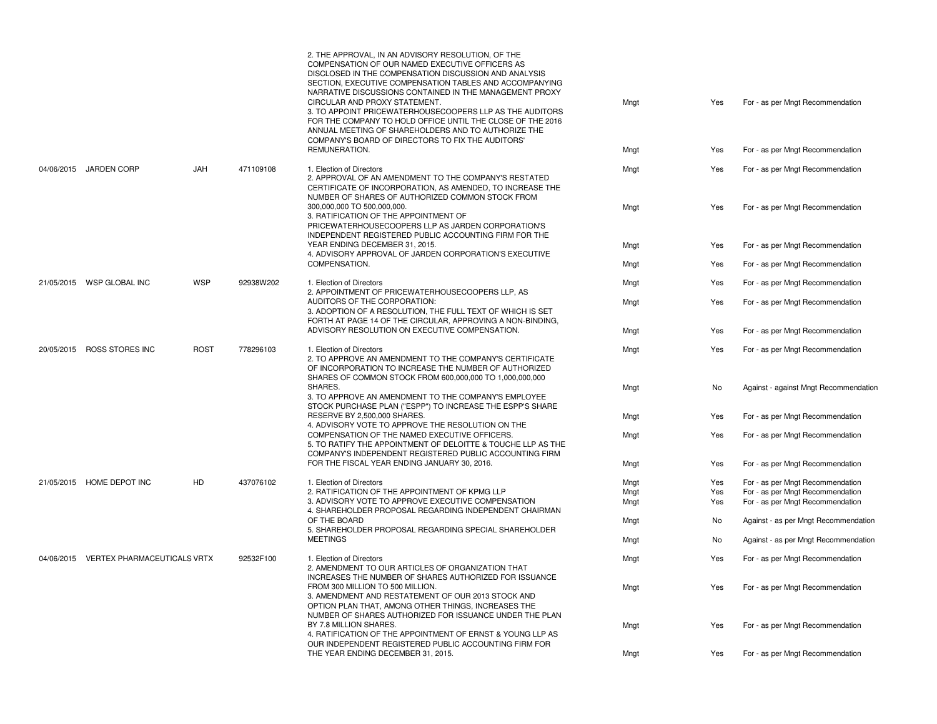|                                        |             |           | 2. THE APPROVAL, IN AN ADVISORY RESOLUTION, OF THE<br>COMPENSATION OF OUR NAMED EXECUTIVE OFFICERS AS<br>DISCLOSED IN THE COMPENSATION DISCUSSION AND ANALYSIS<br>SECTION, EXECUTIVE COMPENSATION TABLES AND ACCOMPANYING<br>NARRATIVE DISCUSSIONS CONTAINED IN THE MANAGEMENT PROXY<br>CIRCULAR AND PROXY STATEMENT.<br>3. TO APPOINT PRICEWATERHOUSECOOPERS LLP AS THE AUDITORS<br>FOR THE COMPANY TO HOLD OFFICE UNTIL THE CLOSE OF THE 2016<br>ANNUAL MEETING OF SHAREHOLDERS AND TO AUTHORIZE THE<br>COMPANY'S BOARD OF DIRECTORS TO FIX THE AUDITORS' | Mngt | Yes | For - as per Mngt Recommendation      |
|----------------------------------------|-------------|-----------|-------------------------------------------------------------------------------------------------------------------------------------------------------------------------------------------------------------------------------------------------------------------------------------------------------------------------------------------------------------------------------------------------------------------------------------------------------------------------------------------------------------------------------------------------------------|------|-----|---------------------------------------|
|                                        |             |           | REMUNERATION.                                                                                                                                                                                                                                                                                                                                                                                                                                                                                                                                               | Mngt | Yes | For - as per Mngt Recommendation      |
| 04/06/2015 JARDEN CORP                 | <b>JAH</b>  | 471109108 | 1. Election of Directors<br>2. APPROVAL OF AN AMENDMENT TO THE COMPANY'S RESTATED<br>CERTIFICATE OF INCORPORATION, AS AMENDED, TO INCREASE THE<br>NUMBER OF SHARES OF AUTHORIZED COMMON STOCK FROM                                                                                                                                                                                                                                                                                                                                                          | Mngt | Yes | For - as per Mngt Recommendation      |
|                                        |             |           | 300.000.000 TO 500.000.000.<br>3. RATIFICATION OF THE APPOINTMENT OF<br>PRICEWATERHOUSECOOPERS LLP AS JARDEN CORPORATION'S<br>INDEPENDENT REGISTERED PUBLIC ACCOUNTING FIRM FOR THE                                                                                                                                                                                                                                                                                                                                                                         | Mngt | Yes | For - as per Mngt Recommendation      |
|                                        |             |           | YEAR ENDING DECEMBER 31, 2015.                                                                                                                                                                                                                                                                                                                                                                                                                                                                                                                              | Mngt | Yes | For - as per Mngt Recommendation      |
|                                        |             |           | 4. ADVISORY APPROVAL OF JARDEN CORPORATION'S EXECUTIVE<br>COMPENSATION.                                                                                                                                                                                                                                                                                                                                                                                                                                                                                     | Mngt | Yes | For - as per Mngt Recommendation      |
| 21/05/2015 WSP GLOBAL INC              | WSP         | 92938W202 | 1. Election of Directors                                                                                                                                                                                                                                                                                                                                                                                                                                                                                                                                    | Mngt | Yes | For - as per Mngt Recommendation      |
|                                        |             |           | 2. APPOINTMENT OF PRICEWATERHOUSECOOPERS LLP, AS<br>AUDITORS OF THE CORPORATION:<br>3. ADOPTION OF A RESOLUTION, THE FULL TEXT OF WHICH IS SET<br>FORTH AT PAGE 14 OF THE CIRCULAR, APPROVING A NON-BINDING,                                                                                                                                                                                                                                                                                                                                                | Mngt | Yes | For - as per Mngt Recommendation      |
|                                        |             |           | ADVISORY RESOLUTION ON EXECUTIVE COMPENSATION.                                                                                                                                                                                                                                                                                                                                                                                                                                                                                                              | Mngt | Yes | For - as per Mngt Recommendation      |
| 20/05/2015 ROSS STORES INC             | <b>ROST</b> | 778296103 | 1. Election of Directors<br>2. TO APPROVE AN AMENDMENT TO THE COMPANY'S CERTIFICATE<br>OF INCORPORATION TO INCREASE THE NUMBER OF AUTHORIZED<br>SHARES OF COMMON STOCK FROM 600,000,000 TO 1,000,000,000                                                                                                                                                                                                                                                                                                                                                    | Mngt | Yes | For - as per Mngt Recommendation      |
|                                        |             |           | <b>SHARES</b><br>3. TO APPROVE AN AMENDMENT TO THE COMPANY'S EMPLOYEE<br>STOCK PURCHASE PLAN ("ESPP") TO INCREASE THE ESPP'S SHARE                                                                                                                                                                                                                                                                                                                                                                                                                          | Mngt | No  | Against - against Mngt Recommendation |
|                                        |             |           | RESERVE BY 2,500,000 SHARES.<br>4. ADVISORY VOTE TO APPROVE THE RESOLUTION ON THE                                                                                                                                                                                                                                                                                                                                                                                                                                                                           | Mngt | Yes | For - as per Mngt Recommendation      |
|                                        |             |           | COMPENSATION OF THE NAMED EXECUTIVE OFFICERS.<br>5. TO RATIFY THE APPOINTMENT OF DELOITTE & TOUCHE LLP AS THE<br>COMPANY'S INDEPENDENT REGISTERED PUBLIC ACCOUNTING FIRM                                                                                                                                                                                                                                                                                                                                                                                    | Mngt | Yes | For - as per Mngt Recommendation      |
|                                        |             |           | FOR THE FISCAL YEAR ENDING JANUARY 30, 2016.                                                                                                                                                                                                                                                                                                                                                                                                                                                                                                                | Mngt | Yes | For - as per Mngt Recommendation      |
| 21/05/2015 HOME DEPOT INC              | HD.         | 437076102 | 1. Election of Directors                                                                                                                                                                                                                                                                                                                                                                                                                                                                                                                                    | Mngt | Yes | For - as per Mngt Recommendation      |
|                                        |             |           | 2. RATIFICATION OF THE APPOINTMENT OF KPMG LLP                                                                                                                                                                                                                                                                                                                                                                                                                                                                                                              | Mngt | Yes | For - as per Mngt Recommendation      |
|                                        |             |           | 3. ADVISORY VOTE TO APPROVE EXECUTIVE COMPENSATION<br>4. SHAREHOLDER PROPOSAL REGARDING INDEPENDENT CHAIRMAN                                                                                                                                                                                                                                                                                                                                                                                                                                                | Mngt | Yes | For - as per Mngt Recommendation      |
|                                        |             |           | OF THE BOARD<br>5. SHAREHOLDER PROPOSAL REGARDING SPECIAL SHAREHOLDER                                                                                                                                                                                                                                                                                                                                                                                                                                                                                       | Mngt | No  | Against - as per Mngt Recommendation  |
|                                        |             |           | <b>MEETINGS</b>                                                                                                                                                                                                                                                                                                                                                                                                                                                                                                                                             | Mngt | No  | Against - as per Mngt Recommendation  |
| 04/06/2015 VERTEX PHARMACEUTICALS VRTX |             | 92532F100 | 1. Election of Directors<br>2. AMENDMENT TO OUR ARTICLES OF ORGANIZATION THAT<br>INCREASES THE NUMBER OF SHARES AUTHORIZED FOR ISSUANCE                                                                                                                                                                                                                                                                                                                                                                                                                     | Mngt | Yes | For - as per Mngt Recommendation      |
|                                        |             |           | FROM 300 MILLION TO 500 MILLION.<br>3. AMENDMENT AND RESTATEMENT OF OUR 2013 STOCK AND<br>OPTION PLAN THAT, AMONG OTHER THINGS, INCREASES THE<br>NUMBER OF SHARES AUTHORIZED FOR ISSUANCE UNDER THE PLAN                                                                                                                                                                                                                                                                                                                                                    | Mngt | Yes | For - as per Mngt Recommendation      |
|                                        |             |           | BY 7.8 MILLION SHARES.<br>4. RATIFICATION OF THE APPOINTMENT OF ERNST & YOUNG LLP AS<br>OUR INDEPENDENT REGISTERED PUBLIC ACCOUNTING FIRM FOR                                                                                                                                                                                                                                                                                                                                                                                                               | Mngt | Yes | For - as per Mngt Recommendation      |
|                                        |             |           | THE YEAR ENDING DECEMBER 31, 2015.                                                                                                                                                                                                                                                                                                                                                                                                                                                                                                                          | Mngt | Yes | For - as per Mngt Recommendation      |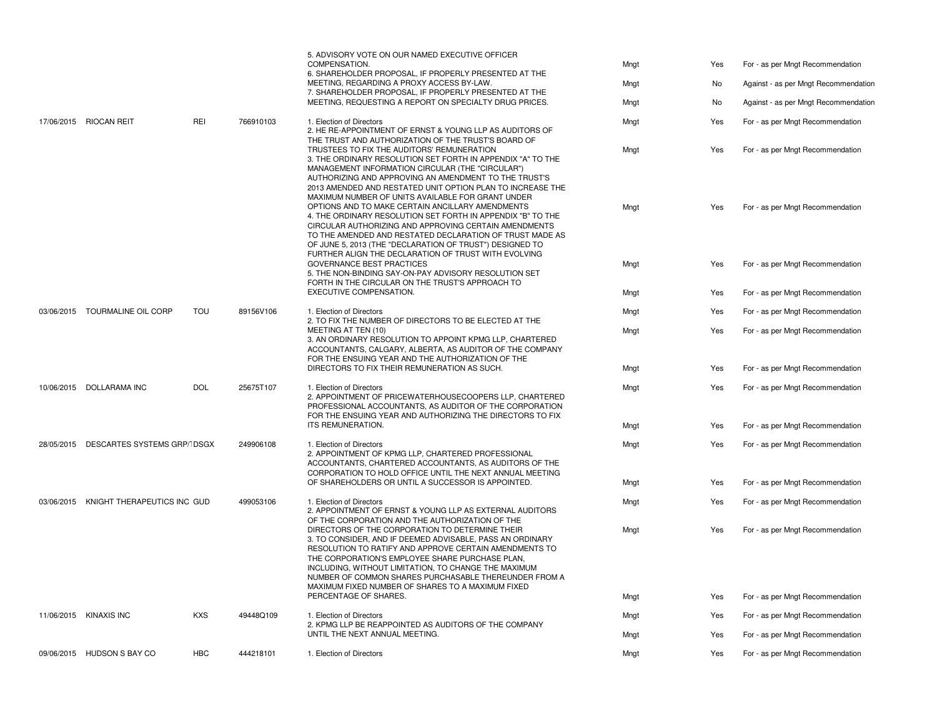|  |                                        |                                                                                                                                                                                                                                                                                                                                                                                                                                                                                                                                                                                                                                    |                                                          | 5. ADVISORY VOTE ON OUR NAMED EXECUTIVE OFFICER<br>COMPENSATION.<br>6. SHAREHOLDER PROPOSAL, IF PROPERLY PRESENTED AT THE<br>MEETING, REGARDING A PROXY ACCESS BY-LAW.                                                                                                                                                                                                                          | Mngt<br>Mngt                                                                                                                                                                                          | Yes<br>No                        | For - as per Mngt Recommendation<br>Against - as per Mngt Recommendation |                                  |
|--|----------------------------------------|------------------------------------------------------------------------------------------------------------------------------------------------------------------------------------------------------------------------------------------------------------------------------------------------------------------------------------------------------------------------------------------------------------------------------------------------------------------------------------------------------------------------------------------------------------------------------------------------------------------------------------|----------------------------------------------------------|-------------------------------------------------------------------------------------------------------------------------------------------------------------------------------------------------------------------------------------------------------------------------------------------------------------------------------------------------------------------------------------------------|-------------------------------------------------------------------------------------------------------------------------------------------------------------------------------------------------------|----------------------------------|--------------------------------------------------------------------------|----------------------------------|
|  |                                        |                                                                                                                                                                                                                                                                                                                                                                                                                                                                                                                                                                                                                                    |                                                          | 7. SHAREHOLDER PROPOSAL, IF PROPERLY PRESENTED AT THE<br>MEETING, REQUESTING A REPORT ON SPECIALTY DRUG PRICES.                                                                                                                                                                                                                                                                                 | Mngt                                                                                                                                                                                                  | No                               | Against - as per Mngt Recommendation                                     |                                  |
|  | 17/06/2015 RIOCAN REIT                 | <b>REI</b>                                                                                                                                                                                                                                                                                                                                                                                                                                                                                                                                                                                                                         | 766910103                                                | 1. Election of Directors<br>2. HE RE-APPOINTMENT OF ERNST & YOUNG LLP AS AUDITORS OF                                                                                                                                                                                                                                                                                                            | Mngt                                                                                                                                                                                                  | Yes                              | For - as per Mngt Recommendation                                         |                                  |
|  |                                        | THE TRUST AND AUTHORIZATION OF THE TRUST'S BOARD OF<br>TRUSTEES TO FIX THE AUDITORS' REMUNERATION<br>3. THE ORDINARY RESOLUTION SET FORTH IN APPENDIX "A" TO THE<br>MANAGEMENT INFORMATION CIRCULAR (THE "CIRCULAR")<br>AUTHORIZING AND APPROVING AN AMENDMENT TO THE TRUST'S<br>MAXIMUM NUMBER OF UNITS AVAILABLE FOR GRANT UNDER<br>OPTIONS AND TO MAKE CERTAIN ANCILLARY AMENDMENTS<br>4. THE ORDINARY RESOLUTION SET FORTH IN APPENDIX "B" TO THE<br>CIRCULAR AUTHORIZING AND APPROVING CERTAIN AMENDMENTS<br>OF JUNE 5, 2013 (THE "DECLARATION OF TRUST") DESIGNED TO<br>FURTHER ALIGN THE DECLARATION OF TRUST WITH EVOLVING |                                                          | 2013 AMENDED AND RESTATED UNIT OPTION PLAN TO INCREASE THE                                                                                                                                                                                                                                                                                                                                      | Mngt                                                                                                                                                                                                  | Yes                              | For - as per Mngt Recommendation                                         |                                  |
|  |                                        |                                                                                                                                                                                                                                                                                                                                                                                                                                                                                                                                                                                                                                    | TO THE AMENDED AND RESTATED DECLARATION OF TRUST MADE AS | Mngt                                                                                                                                                                                                                                                                                                                                                                                            | Yes                                                                                                                                                                                                   | For - as per Mngt Recommendation |                                                                          |                                  |
|  |                                        |                                                                                                                                                                                                                                                                                                                                                                                                                                                                                                                                                                                                                                    |                                                          | <b>GOVERNANCE BEST PRACTICES</b><br>5. THE NON-BINDING SAY-ON-PAY ADVISORY RESOLUTION SET<br>FORTH IN THE CIRCULAR ON THE TRUST'S APPROACH TO                                                                                                                                                                                                                                                   | Mngt                                                                                                                                                                                                  | Yes                              | For - as per Mngt Recommendation                                         |                                  |
|  |                                        |                                                                                                                                                                                                                                                                                                                                                                                                                                                                                                                                                                                                                                    |                                                          | EXECUTIVE COMPENSATION.                                                                                                                                                                                                                                                                                                                                                                         | Mngt                                                                                                                                                                                                  | Yes                              | For - as per Mngt Recommendation                                         |                                  |
|  | 03/06/2015 TOURMALINE OIL CORP         | <b>TOU</b>                                                                                                                                                                                                                                                                                                                                                                                                                                                                                                                                                                                                                         | 89156V106                                                | 1. Election of Directors                                                                                                                                                                                                                                                                                                                                                                        | Mngt                                                                                                                                                                                                  | Yes                              | For - as per Mngt Recommendation                                         |                                  |
|  |                                        |                                                                                                                                                                                                                                                                                                                                                                                                                                                                                                                                                                                                                                    |                                                          |                                                                                                                                                                                                                                                                                                                                                                                                 | 2. TO FIX THE NUMBER OF DIRECTORS TO BE ELECTED AT THE<br>MEETING AT TEN (10)<br>3. AN ORDINARY RESOLUTION TO APPOINT KPMG LLP, CHARTERED<br>ACCOUNTANTS, CALGARY, ALBERTA, AS AUDITOR OF THE COMPANY | Mngt                             | Yes                                                                      | For - as per Mngt Recommendation |
|  |                                        |                                                                                                                                                                                                                                                                                                                                                                                                                                                                                                                                                                                                                                    |                                                          | FOR THE ENSUING YEAR AND THE AUTHORIZATION OF THE<br>DIRECTORS TO FIX THEIR REMUNERATION AS SUCH.                                                                                                                                                                                                                                                                                               | Mngt                                                                                                                                                                                                  | Yes                              | For - as per Mngt Recommendation                                         |                                  |
|  | 10/06/2015 DOLLARAMA INC               | <b>DOL</b>                                                                                                                                                                                                                                                                                                                                                                                                                                                                                                                                                                                                                         | 25675T107                                                | 1. Election of Directors<br>2. APPOINTMENT OF PRICEWATERHOUSECOOPERS LLP, CHARTERED<br>PROFESSIONAL ACCOUNTANTS, AS AUDITOR OF THE CORPORATION<br>FOR THE ENSUING YEAR AND AUTHORIZING THE DIRECTORS TO FIX                                                                                                                                                                                     | Mngt                                                                                                                                                                                                  | Yes                              | For - as per Mngt Recommendation                                         |                                  |
|  |                                        |                                                                                                                                                                                                                                                                                                                                                                                                                                                                                                                                                                                                                                    |                                                          | ITS REMUNERATION.                                                                                                                                                                                                                                                                                                                                                                               | Mngt                                                                                                                                                                                                  | Yes                              | For - as per Mngt Recommendation                                         |                                  |
|  | 28/05/2015 DESCARTES SYSTEMS GRP/IDSGX |                                                                                                                                                                                                                                                                                                                                                                                                                                                                                                                                                                                                                                    | 249906108                                                | 1. Election of Directors<br>2. APPOINTMENT OF KPMG LLP, CHARTERED PROFESSIONAL<br>ACCOUNTANTS, CHARTERED ACCOUNTANTS, AS AUDITORS OF THE                                                                                                                                                                                                                                                        | Mngt                                                                                                                                                                                                  | Yes                              | For - as per Mngt Recommendation                                         |                                  |
|  |                                        |                                                                                                                                                                                                                                                                                                                                                                                                                                                                                                                                                                                                                                    |                                                          | CORPORATION TO HOLD OFFICE UNTIL THE NEXT ANNUAL MEETING<br>OF SHAREHOLDERS OR UNTIL A SUCCESSOR IS APPOINTED.                                                                                                                                                                                                                                                                                  | Mngt                                                                                                                                                                                                  | Yes                              | For - as per Mngt Recommendation                                         |                                  |
|  | 03/06/2015 KNIGHT THERAPEUTICS INC GUD |                                                                                                                                                                                                                                                                                                                                                                                                                                                                                                                                                                                                                                    | 499053106                                                | 1. Election of Directors<br>2. APPOINTMENT OF ERNST & YOUNG LLP AS EXTERNAL AUDITORS<br>OF THE CORPORATION AND THE AUTHORIZATION OF THE                                                                                                                                                                                                                                                         | Mngt                                                                                                                                                                                                  | Yes                              | For - as per Mngt Recommendation                                         |                                  |
|  |                                        |                                                                                                                                                                                                                                                                                                                                                                                                                                                                                                                                                                                                                                    |                                                          | DIRECTORS OF THE CORPORATION TO DETERMINE THEIR<br>3. TO CONSIDER, AND IF DEEMED ADVISABLE, PASS AN ORDINARY<br>RESOLUTION TO RATIFY AND APPROVE CERTAIN AMENDMENTS TO<br>THE CORPORATION'S EMPLOYEE SHARE PURCHASE PLAN,<br>INCLUDING, WITHOUT LIMITATION, TO CHANGE THE MAXIMUM<br>NUMBER OF COMMON SHARES PURCHASABLE THEREUNDER FROM A<br>MAXIMUM FIXED NUMBER OF SHARES TO A MAXIMUM FIXED | Mngt                                                                                                                                                                                                  | Yes                              | For - as per Mngt Recommendation                                         |                                  |
|  |                                        |                                                                                                                                                                                                                                                                                                                                                                                                                                                                                                                                                                                                                                    |                                                          | PERCENTAGE OF SHARES.                                                                                                                                                                                                                                                                                                                                                                           | Mngt                                                                                                                                                                                                  | Yes                              | For - as per Mngt Recommendation                                         |                                  |
|  | 11/06/2015 KINAXIS INC                 | <b>KXS</b>                                                                                                                                                                                                                                                                                                                                                                                                                                                                                                                                                                                                                         | 49448Q109                                                | 1. Election of Directors<br>2. KPMG LLP BE REAPPOINTED AS AUDITORS OF THE COMPANY                                                                                                                                                                                                                                                                                                               | Mngt                                                                                                                                                                                                  | Yes                              | For - as per Mngt Recommendation                                         |                                  |
|  |                                        |                                                                                                                                                                                                                                                                                                                                                                                                                                                                                                                                                                                                                                    |                                                          | UNTIL THE NEXT ANNUAL MEETING.                                                                                                                                                                                                                                                                                                                                                                  | Mngt                                                                                                                                                                                                  | Yes                              | For - as per Mngt Recommendation                                         |                                  |
|  | 09/06/2015 HUDSON S BAY CO             | <b>HBC</b>                                                                                                                                                                                                                                                                                                                                                                                                                                                                                                                                                                                                                         | 444218101                                                | 1. Election of Directors                                                                                                                                                                                                                                                                                                                                                                        | Mngt                                                                                                                                                                                                  | Yes                              | For - as per Mngt Recommendation                                         |                                  |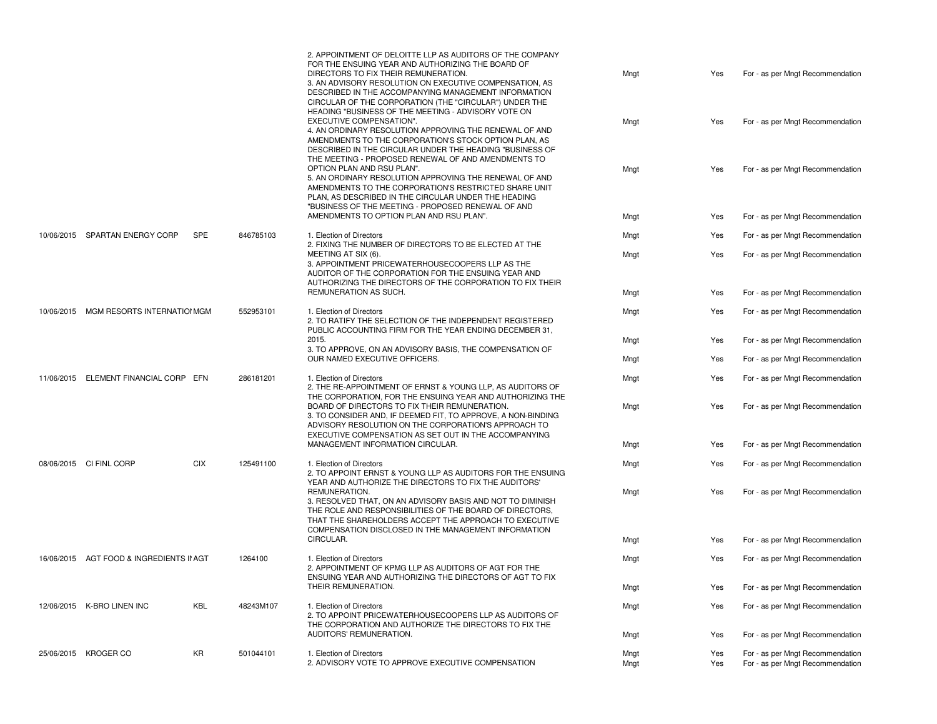|  |                                          |            |                                                                   | 2. APPOINTMENT OF DELOITTE LLP AS AUDITORS OF THE COMPANY<br>FOR THE ENSUING YEAR AND AUTHORIZING THE BOARD OF<br>DIRECTORS TO FIX THEIR REMUNERATION.<br>3. AN ADVISORY RESOLUTION ON EXECUTIVE COMPENSATION, AS<br>DESCRIBED IN THE ACCOMPANYING MANAGEMENT INFORMATION<br>CIRCULAR OF THE CORPORATION (THE "CIRCULAR") UNDER THE | Mngt         | Yes                              | For - as per Mngt Recommendation                                     |
|--|------------------------------------------|------------|-------------------------------------------------------------------|-------------------------------------------------------------------------------------------------------------------------------------------------------------------------------------------------------------------------------------------------------------------------------------------------------------------------------------|--------------|----------------------------------|----------------------------------------------------------------------|
|  |                                          |            |                                                                   | HEADING "BUSINESS OF THE MEETING - ADVISORY VOTE ON<br>EXECUTIVE COMPENSATION".<br>4. AN ORDINARY RESOLUTION APPROVING THE RENEWAL OF AND<br>AMENDMENTS TO THE CORPORATION'S STOCK OPTION PLAN, AS<br>DESCRIBED IN THE CIRCULAR UNDER THE HEADING "BUSINESS OF<br>THE MEETING - PROPOSED RENEWAL OF AND AMENDMENTS TO               | Mngt         | Yes                              | For - as per Mngt Recommendation                                     |
|  |                                          |            |                                                                   | OPTION PLAN AND RSU PLAN".<br>5. AN ORDINARY RESOLUTION APPROVING THE RENEWAL OF AND<br>AMENDMENTS TO THE CORPORATION'S RESTRICTED SHARE UNIT<br>PLAN, AS DESCRIBED IN THE CIRCULAR UNDER THE HEADING<br>"BUSINESS OF THE MEETING - PROPOSED RENEWAL OF AND                                                                         | Mngt         | Yes                              | For - as per Mngt Recommendation                                     |
|  |                                          |            |                                                                   | AMENDMENTS TO OPTION PLAN AND RSU PLAN".                                                                                                                                                                                                                                                                                            | Mngt         | Yes                              | For - as per Mngt Recommendation                                     |
|  | 10/06/2015 SPARTAN ENERGY CORP           | SPE        | 846785103                                                         | 1. Election of Directors<br>2. FIXING THE NUMBER OF DIRECTORS TO BE ELECTED AT THE                                                                                                                                                                                                                                                  | Mngt         | Yes                              | For - as per Mngt Recommendation                                     |
|  |                                          |            |                                                                   | MEETING AT SIX (6)<br>3. APPOINTMENT PRICEWATERHOUSECOOPERS LLP AS THE<br>AUDITOR OF THE CORPORATION FOR THE ENSUING YEAR AND<br>AUTHORIZING THE DIRECTORS OF THE CORPORATION TO FIX THEIR                                                                                                                                          | Mngt         | Yes                              | For - as per Mngt Recommendation                                     |
|  |                                          |            |                                                                   | REMUNERATION AS SUCH.                                                                                                                                                                                                                                                                                                               | Mngt         | Yes                              | For - as per Mngt Recommendation                                     |
|  | 10/06/2015 MGM RESORTS INTERNATIONMGM    |            | 552953101                                                         | 1. Election of Directors<br>2. TO RATIFY THE SELECTION OF THE INDEPENDENT REGISTERED<br>PUBLIC ACCOUNTING FIRM FOR THE YEAR ENDING DECEMBER 31,                                                                                                                                                                                     | Mngt         | Yes                              | For - as per Mngt Recommendation                                     |
|  |                                          |            | 2015.<br>3. TO APPROVE, ON AN ADVISORY BASIS, THE COMPENSATION OF | Mngt                                                                                                                                                                                                                                                                                                                                | Yes          | For - as per Mngt Recommendation |                                                                      |
|  |                                          |            |                                                                   | OUR NAMED EXECUTIVE OFFICERS.                                                                                                                                                                                                                                                                                                       | Mngt         | Yes                              | For - as per Mngt Recommendation                                     |
|  | 11/06/2015 ELEMENT FINANCIAL CORP EFN    |            | 286181201                                                         | 1. Election of Directors<br>2. THE RE-APPOINTMENT OF ERNST & YOUNG LLP, AS AUDITORS OF<br>THE CORPORATION, FOR THE ENSUING YEAR AND AUTHORIZING THE                                                                                                                                                                                 | Mngt         | Yes                              | For - as per Mngt Recommendation                                     |
|  |                                          |            |                                                                   | BOARD OF DIRECTORS TO FIX THEIR REMUNERATION.<br>3. TO CONSIDER AND, IF DEEMED FIT, TO APPROVE, A NON-BINDING<br>ADVISORY RESOLUTION ON THE CORPORATION'S APPROACH TO<br>EXECUTIVE COMPENSATION AS SET OUT IN THE ACCOMPANYING                                                                                                      | Mngt         | Yes                              | For - as per Mngt Recommendation                                     |
|  |                                          |            |                                                                   | MANAGEMENT INFORMATION CIRCULAR.                                                                                                                                                                                                                                                                                                    | Mngt         | Yes                              | For - as per Mngt Recommendation                                     |
|  | 08/06/2015 CI FINL CORP                  | <b>CIX</b> | 125491100                                                         | 1. Election of Directors<br>2. TO APPOINT ERNST & YOUNG LLP AS AUDITORS FOR THE ENSUING<br>YEAR AND AUTHORIZE THE DIRECTORS TO FIX THE AUDITORS'                                                                                                                                                                                    | Mngt         | Yes                              | For - as per Mngt Recommendation                                     |
|  |                                          |            |                                                                   | REMUNERATION.<br>3. RESOLVED THAT, ON AN ADVISORY BASIS AND NOT TO DIMINISH<br>THE ROLE AND RESPONSIBILITIES OF THE BOARD OF DIRECTORS.<br>THAT THE SHAREHOLDERS ACCEPT THE APPROACH TO EXECUTIVE<br>COMPENSATION DISCLOSED IN THE MANAGEMENT INFORMATION                                                                           | Mngt         | Yes                              | For - as per Mngt Recommendation                                     |
|  |                                          |            |                                                                   | CIRCULAR.                                                                                                                                                                                                                                                                                                                           | Mngt         | Yes                              | For - as per Mngt Recommendation                                     |
|  | 16/06/2015 AGT FOOD & INGREDIENTS II AGT |            | 1264100                                                           | 1. Election of Directors<br>2. APPOINTMENT OF KPMG LLP AS AUDITORS OF AGT FOR THE<br>ENSUING YEAR AND AUTHORIZING THE DIRECTORS OF AGT TO FIX                                                                                                                                                                                       | Mngt         | Yes                              | For - as per Mngt Recommendation                                     |
|  |                                          |            |                                                                   | THEIR REMUNERATION.                                                                                                                                                                                                                                                                                                                 | Mngt         | Yes                              | For - as per Mngt Recommendation                                     |
|  | 12/06/2015 K-BRO LINEN INC               | KBL        | 48243M107                                                         | 1. Election of Directors<br>2. TO APPOINT PRICEWATERHOUSECOOPERS LLP AS AUDITORS OF<br>THE CORPORATION AND AUTHORIZE THE DIRECTORS TO FIX THE                                                                                                                                                                                       | Mngt         | Yes                              | For - as per Mngt Recommendation                                     |
|  |                                          |            |                                                                   | AUDITORS' REMUNERATION.                                                                                                                                                                                                                                                                                                             | Mngt         | Yes                              | For - as per Mngt Recommendation                                     |
|  | 25/06/2015 KROGER CO                     | KR         | 501044101                                                         | 1. Election of Directors<br>2. ADVISORY VOTE TO APPROVE EXECUTIVE COMPENSATION                                                                                                                                                                                                                                                      | Mngt<br>Mngt | Yes<br>Yes                       | For - as per Mngt Recommendation<br>For - as per Mngt Recommendation |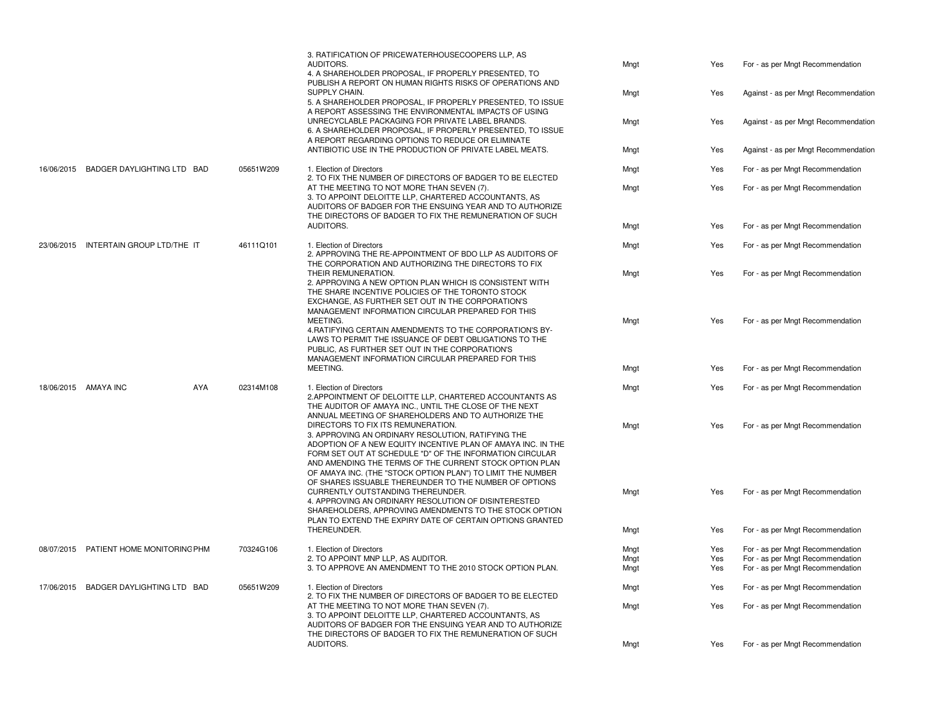|                                        |           | 3. RATIFICATION OF PRICEWATERHOUSECOOPERS LLP, AS<br>AUDITORS.<br>4. A SHAREHOLDER PROPOSAL, IF PROPERLY PRESENTED, TO<br>PUBLISH A REPORT ON HUMAN RIGHTS RISKS OF OPERATIONS AND                                                                                                                                                                                                                       | Mngt         | Yes        | For - as per Mngt Recommendation                                     |
|----------------------------------------|-----------|----------------------------------------------------------------------------------------------------------------------------------------------------------------------------------------------------------------------------------------------------------------------------------------------------------------------------------------------------------------------------------------------------------|--------------|------------|----------------------------------------------------------------------|
|                                        |           | SUPPLY CHAIN.<br>5. A SHAREHOLDER PROPOSAL, IF PROPERLY PRESENTED, TO ISSUE<br>A REPORT ASSESSING THE ENVIRONMENTAL IMPACTS OF USING                                                                                                                                                                                                                                                                     | Mngt         | Yes        | Against - as per Mngt Recommendation                                 |
|                                        |           | UNRECYCLABLE PACKAGING FOR PRIVATE LABEL BRANDS.<br>6. A SHAREHOLDER PROPOSAL, IF PROPERLY PRESENTED, TO ISSUE<br>A REPORT REGARDING OPTIONS TO REDUCE OR ELIMINATE                                                                                                                                                                                                                                      | Mngt         | Yes        | Against - as per Mngt Recommendation                                 |
|                                        |           | ANTIBIOTIC USE IN THE PRODUCTION OF PRIVATE LABEL MEATS.                                                                                                                                                                                                                                                                                                                                                 | Mngt         | Yes        | Against - as per Mngt Recommendation                                 |
| 16/06/2015 BADGER DAYLIGHTING LTD BAD  | 05651W209 | 1. Election of Directors<br>2. TO FIX THE NUMBER OF DIRECTORS OF BADGER TO BE ELECTED                                                                                                                                                                                                                                                                                                                    | Mngt         | Yes        | For - as per Mngt Recommendation                                     |
|                                        |           | AT THE MEETING TO NOT MORE THAN SEVEN (7).<br>3. TO APPOINT DELOITTE LLP, CHARTERED ACCOUNTANTS, AS<br>AUDITORS OF BADGER FOR THE ENSUING YEAR AND TO AUTHORIZE<br>THE DIRECTORS OF BADGER TO FIX THE REMUNERATION OF SUCH                                                                                                                                                                               | Mngt         | Yes        | For - as per Mngt Recommendation                                     |
|                                        |           | AUDITORS.                                                                                                                                                                                                                                                                                                                                                                                                | Mngt         | Yes        | For - as per Mngt Recommendation                                     |
| 23/06/2015 INTERTAIN GROUP LTD/THE IT  | 46111Q101 | 1. Election of Directors<br>2. APPROVING THE RE-APPOINTMENT OF BDO LLP AS AUDITORS OF<br>THE CORPORATION AND AUTHORIZING THE DIRECTORS TO FIX                                                                                                                                                                                                                                                            | Mngt         | Yes        | For - as per Mngt Recommendation                                     |
|                                        |           | THEIR REMUNERATION.<br>2. APPROVING A NEW OPTION PLAN WHICH IS CONSISTENT WITH<br>THE SHARE INCENTIVE POLICIES OF THE TORONTO STOCK<br>EXCHANGE, AS FURTHER SET OUT IN THE CORPORATION'S<br>MANAGEMENT INFORMATION CIRCULAR PREPARED FOR THIS                                                                                                                                                            | Mngt         | Yes        | For - as per Mngt Recommendation                                     |
|                                        |           | MEETING.<br>4. RATIFYING CERTAIN AMENDMENTS TO THE CORPORATION'S BY-<br>LAWS TO PERMIT THE ISSUANCE OF DEBT OBLIGATIONS TO THE<br>PUBLIC, AS FURTHER SET OUT IN THE CORPORATION'S<br>MANAGEMENT INFORMATION CIRCULAR PREPARED FOR THIS                                                                                                                                                                   | Mngt         | Yes        | For - as per Mngt Recommendation                                     |
|                                        |           | MEETING.                                                                                                                                                                                                                                                                                                                                                                                                 | Mngt         | Yes        | For - as per Mngt Recommendation                                     |
| 18/06/2015 AMAYA INC<br><b>AYA</b>     | 02314M108 | 1. Election of Directors<br>2. APPOINTMENT OF DELOITTE LLP, CHARTERED ACCOUNTANTS AS<br>THE AUDITOR OF AMAYA INC., UNTIL THE CLOSE OF THE NEXT<br>ANNUAL MEETING OF SHAREHOLDERS AND TO AUTHORIZE THE                                                                                                                                                                                                    | Mngt         | Yes        | For - as per Mngt Recommendation                                     |
|                                        |           | DIRECTORS TO FIX ITS REMUNERATION.<br>3. APPROVING AN ORDINARY RESOLUTION, RATIFYING THE<br>ADOPTION OF A NEW EQUITY INCENTIVE PLAN OF AMAYA INC. IN THE<br>FORM SET OUT AT SCHEDULE "D" OF THE INFORMATION CIRCULAR<br>AND AMENDING THE TERMS OF THE CURRENT STOCK OPTION PLAN<br>OF AMAYA INC. (THE "STOCK OPTION PLAN") TO LIMIT THE NUMBER<br>OF SHARES ISSUABLE THEREUNDER TO THE NUMBER OF OPTIONS | Mngt         | Yes        | For - as per Mngt Recommendation                                     |
|                                        |           | CURRENTLY OUTSTANDING THEREUNDER.<br>4. APPROVING AN ORDINARY RESOLUTION OF DISINTERESTED<br>SHAREHOLDERS, APPROVING AMENDMENTS TO THE STOCK OPTION<br>PLAN TO EXTEND THE EXPIRY DATE OF CERTAIN OPTIONS GRANTED                                                                                                                                                                                         | Mngt         | Yes        | For - as per Mngt Recommendation                                     |
|                                        |           | THEREUNDER.                                                                                                                                                                                                                                                                                                                                                                                              | Mngt         | Yes        | For - as per Mngt Recommendation                                     |
| 08/07/2015 PATIENT HOME MONITORING PHM | 70324G106 | 1. Election of Directors<br>2. TO APPOINT MNP LLP, AS AUDITOR.                                                                                                                                                                                                                                                                                                                                           | Mngt<br>Mngt | Yes<br>Yes | For - as per Mngt Recommendation<br>For - as per Mngt Recommendation |
|                                        |           | 3. TO APPROVE AN AMENDMENT TO THE 2010 STOCK OPTION PLAN.                                                                                                                                                                                                                                                                                                                                                | Mngt         | Yes        | For - as per Mngt Recommendation                                     |
| 17/06/2015 BADGER DAYLIGHTING LTD BAD  | 05651W209 | 1. Election of Directors<br>2. TO FIX THE NUMBER OF DIRECTORS OF BADGER TO BE ELECTED                                                                                                                                                                                                                                                                                                                    | Mngt         | Yes        | For - as per Mngt Recommendation                                     |
|                                        |           | AT THE MEETING TO NOT MORE THAN SEVEN (7).<br>3. TO APPOINT DELOITTE LLP, CHARTERED ACCOUNTANTS, AS<br>AUDITORS OF BADGER FOR THE ENSUING YEAR AND TO AUTHORIZE<br>THE DIRECTORS OF BADGER TO FIX THE REMUNERATION OF SUCH                                                                                                                                                                               | Mngt         | Yes        | For - as per Mngt Recommendation                                     |
|                                        |           | AUDITORS.                                                                                                                                                                                                                                                                                                                                                                                                | Mngt         | Yes        | For - as per Mngt Recommendation                                     |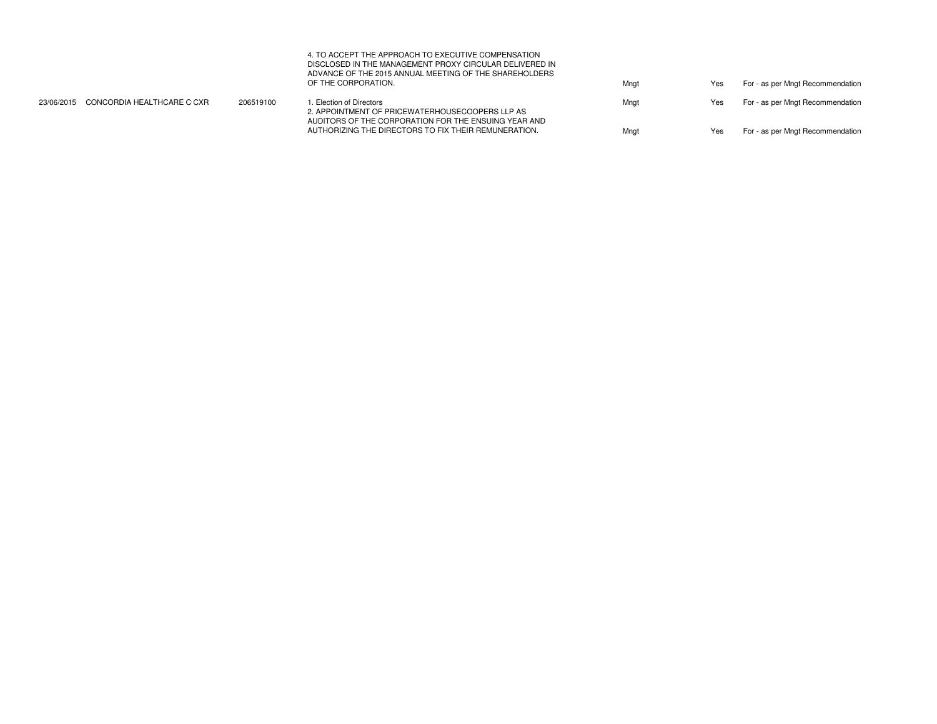| 4. TO ACCEPT THE APPROACH TO EXECUTIVE COMPENSATION     |
|---------------------------------------------------------|
| DISCLOSED IN THE MANAGEMENT PROXY CIRCULAR DELIVERED IN |
| ADVANCE OF THE 2015 ANNUAL MEETING OF THE SHAREHOLDERS  |
| OF THE CORPORATION.                                     |

| 23/06/2015 CONCORDIA HEALTHCARE C CXR | 206519100 | . Election of Directors<br>2. APPOINTMENT OF PRICEWATERHOUSECOOPERS LLP AS                                   | Mngt | Yes | For - as per Mngt Recommendation |
|---------------------------------------|-----------|--------------------------------------------------------------------------------------------------------------|------|-----|----------------------------------|
|                                       |           | AUDITORS OF THE CORPORATION FOR THE ENSUING YEAR AND<br>AUTHORIZING THE DIRECTORS TO FIX THEIR REMUNERATION. | Mngt | Yes | For - as per Mngt Recommendation |

Mngt **Mongt** Yes For - as per Mngt Recommendation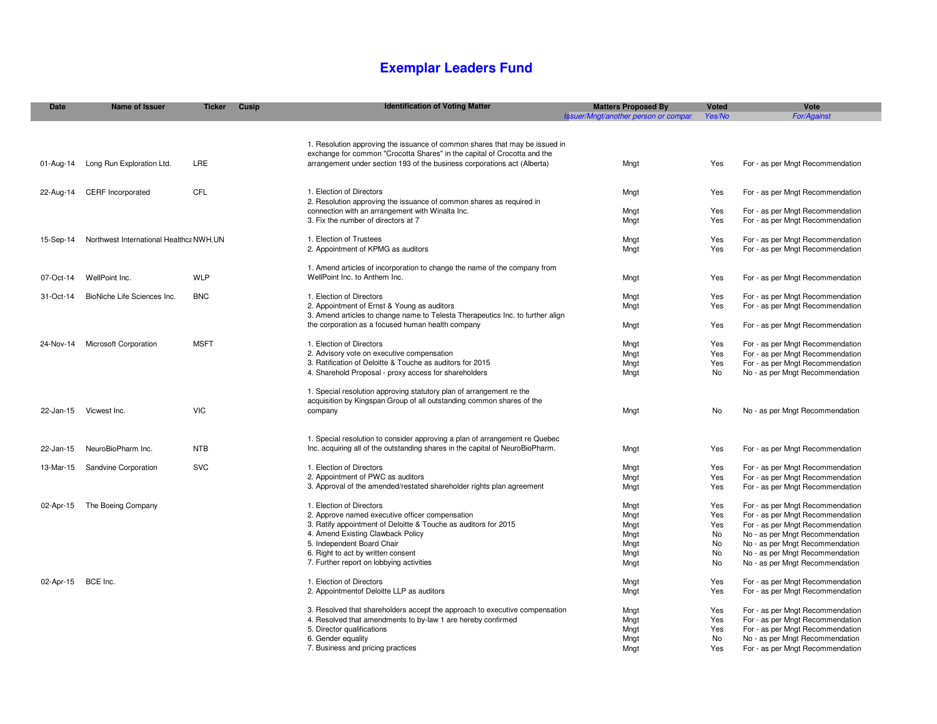## **Exemplar Leaders Fund**

| <b>Date</b> | <b>Name of Issuer</b>                   | <b>Ticker</b> | Cusip | <b>Identification of Voting Matter</b>                                         | <b>Matters Proposed By</b>           | <b>Voted</b> | Vote                             |
|-------------|-----------------------------------------|---------------|-------|--------------------------------------------------------------------------------|--------------------------------------|--------------|----------------------------------|
|             |                                         |               |       |                                                                                | Issuer/Mngt/another person or compan | Yes/No       | <b>For/Against</b>               |
|             |                                         |               |       |                                                                                |                                      |              |                                  |
|             |                                         |               |       |                                                                                |                                      |              |                                  |
|             |                                         |               |       | 1. Resolution approving the issuance of common shares that may be issued in    |                                      |              |                                  |
|             |                                         |               |       | exchange for common "Crocotta Shares" in the capital of Crocotta and the       |                                      |              |                                  |
| 01-Aug-14   | Long Run Exploration Ltd.               | LRE           |       | arrangement under section 193 of the business corporations act (Alberta)       | Mngt                                 | Yes          | For - as per Mngt Recommendation |
|             |                                         |               |       |                                                                                |                                      |              |                                  |
|             |                                         | CFL           |       | 1. Election of Directors                                                       |                                      |              |                                  |
| 22-Aug-14   | <b>CERF</b> Incorporated                |               |       | 2. Resolution approving the issuance of common shares as required in           | Mngt                                 | Yes          | For - as per Mngt Recommendation |
|             |                                         |               |       | connection with an arrangement with Winalta Inc.                               |                                      | Yes          | For - as per Mngt Recommendation |
|             |                                         |               |       | 3. Fix the number of directors at 7                                            | Mngt<br>Mngt                         | Yes          | For - as per Mngt Recommendation |
|             |                                         |               |       |                                                                                |                                      |              |                                  |
| 15-Sep-14   | Northwest International Healthca NWH.UN |               |       | 1. Election of Trustees                                                        | Mngt                                 | Yes          | For - as per Mngt Recommendation |
|             |                                         |               |       | 2. Appointment of KPMG as auditors                                             | Mngt                                 | Yes          | For - as per Mngt Recommendation |
|             |                                         |               |       |                                                                                |                                      |              |                                  |
|             |                                         |               |       | 1. Amend articles of incorporation to change the name of the company from      |                                      |              |                                  |
| 07-Oct-14   | WellPoint Inc.                          | WLP           |       | WellPoint Inc. to Anthem Inc.                                                  | Mngt                                 | Yes          | For - as per Mngt Recommendation |
|             |                                         |               |       |                                                                                |                                      |              |                                  |
| 31-Oct-14   | BioNiche Life Sciences Inc.             | <b>BNC</b>    |       | 1. Election of Directors                                                       | Mngt                                 | Yes          | For - as per Mngt Recommendation |
|             |                                         |               |       | 2. Appointment of Ernst & Young as auditors                                    | Mngt                                 | Yes          | For - as per Mngt Recommendation |
|             |                                         |               |       | 3. Amend articles to change name to Telesta Therapeutics Inc. to further align |                                      |              |                                  |
|             |                                         |               |       | the corporation as a focused human health company                              | Mngt                                 | Yes          | For - as per Mngt Recommendation |
|             |                                         |               |       |                                                                                |                                      |              |                                  |
| 24-Nov-14   | <b>Microsoft Corporation</b>            | <b>MSFT</b>   |       | 1. Election of Directors                                                       | Mngt                                 | Yes          | For - as per Mngt Recommendation |
|             |                                         |               |       | 2. Advisory vote on executive compensation                                     | Mngt                                 | Yes          | For - as per Mngt Recommendation |
|             |                                         |               |       | 3. Ratification of Deloitte & Touche as auditors for 2015                      | Mngt                                 | Yes          | For - as per Mngt Recommendation |
|             |                                         |               |       | 4. Sharehold Proposal - proxy access for shareholders                          | Mngt                                 | No           | No - as per Mngt Recommendation  |
|             |                                         |               |       |                                                                                |                                      |              |                                  |
|             |                                         |               |       | 1. Special resolution approving statutory plan of arrangement re the           |                                      |              |                                  |
|             |                                         |               |       | acquisition by Kingspan Group of all outstanding common shares of the          |                                      |              |                                  |
| 22-Jan-15   | Vicwest Inc.                            | <b>VIC</b>    |       | company                                                                        | Mngt                                 | No           | No - as per Mngt Recommendation  |
|             |                                         |               |       |                                                                                |                                      |              |                                  |
|             |                                         |               |       | 1. Special resolution to consider approving a plan of arrangement re Quebec    |                                      |              |                                  |
| 22-Jan-15   | NeuroBioPharm Inc.                      | <b>NTB</b>    |       | Inc. acquiring all of the outstanding shares in the capital of NeuroBioPharm.  | Mngt                                 | Yes          | For - as per Mngt Recommendation |
|             |                                         |               |       |                                                                                |                                      |              |                                  |
| 13-Mar-15   | Sandvine Corporation                    | <b>SVC</b>    |       | 1. Election of Directors                                                       | Mngt                                 | Yes          | For - as per Mngt Recommendation |
|             |                                         |               |       | 2. Appointment of PWC as auditors                                              | Mngt                                 | Yes          | For - as per Mngt Recommendation |
|             |                                         |               |       | 3. Approval of the amended/restated shareholder rights plan agreement          | Mngt                                 | Yes          | For - as per Mngt Recommendation |
|             |                                         |               |       |                                                                                |                                      |              |                                  |
| 02-Apr-15   | The Boeing Company                      |               |       | 1. Election of Directors                                                       | Mngt                                 | Yes          | For - as per Mngt Recommendation |
|             |                                         |               |       | 2. Approve named executive officer compensation                                | Mngt                                 | Yes          | For - as per Mngt Recommendation |
|             |                                         |               |       | 3. Ratify appointment of Deloitte & Touche as auditors for 2015                | Mngt                                 | Yes          | For - as per Mngt Recommendation |
|             |                                         |               |       | 4. Amend Existing Clawback Policy                                              | Mngt                                 | No           | No - as per Mngt Recommendation  |
|             |                                         |               |       | 5. Independent Board Chair                                                     | Mngt                                 | No           | No - as per Mngt Recommendation  |
|             |                                         |               |       | 6. Right to act by written consent                                             | Mngt                                 | No           | No - as per Mngt Recommendation  |
|             |                                         |               |       | 7. Further report on lobbying activities                                       | Mngt                                 | No           | No - as per Mngt Recommendation  |
|             |                                         |               |       |                                                                                |                                      |              |                                  |
| 02-Apr-15   | BCE Inc.                                |               |       | 1. Election of Directors                                                       | Mngt                                 | Yes          | For - as per Mngt Recommendation |
|             |                                         |               |       | 2. Appointmentof Deloitte LLP as auditors                                      | Mngt                                 | Yes          | For - as per Mngt Recommendation |
|             |                                         |               |       |                                                                                |                                      |              |                                  |
|             |                                         |               |       | 3. Resolved that shareholders accept the approach to executive compensation    | Mngt                                 | Yes          | For - as per Mngt Recommendation |
|             |                                         |               |       | 4. Resolved that amendments to by-law 1 are hereby confirmed                   | Mngt                                 | Yes          | For - as per Mngt Recommendation |
|             |                                         |               |       | 5. Director qualifications                                                     | Mngt                                 | Yes          | For - as per Mngt Recommendation |
|             |                                         |               |       | 6. Gender equality                                                             | Mngt                                 | No           | No - as per Mngt Recommendation  |
|             |                                         |               |       | 7. Business and pricing practices                                              | Mngt                                 | Yes          | For - as per Mngt Recommendation |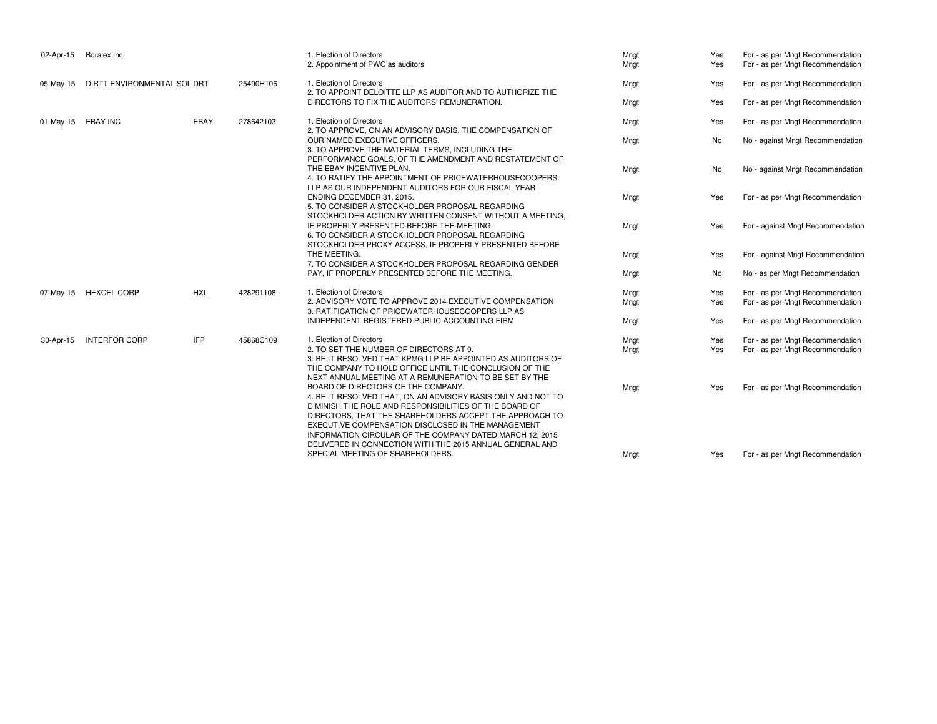| 02-Apr-15 | Boralex Inc.                |            |           | 1. Election of Directors<br>2. Appointment of PWC as auditors                                                                                                                                                                                                                                                                                                                                         | Mngt<br>Mngt | Yes<br>Yes | For - as per Mngt Recommendation<br>For - as per Mngt Recommendation |
|-----------|-----------------------------|------------|-----------|-------------------------------------------------------------------------------------------------------------------------------------------------------------------------------------------------------------------------------------------------------------------------------------------------------------------------------------------------------------------------------------------------------|--------------|------------|----------------------------------------------------------------------|
| 05-May-15 | DIRTT ENVIRONMENTAL SOL DRT |            | 25490H106 | 1. Election of Directors                                                                                                                                                                                                                                                                                                                                                                              | Mngt         | Yes        | For - as per Mngt Recommendation                                     |
|           |                             |            |           | 2. TO APPOINT DELOITTE LLP AS AUDITOR AND TO AUTHORIZE THE<br>DIRECTORS TO FIX THE AUDITORS' REMUNERATION.                                                                                                                                                                                                                                                                                            | Mngt         | Yes        | For - as per Mngt Recommendation                                     |
| 01-May-15 | <b>EBAY INC</b>             | EBAY       | 278642103 | 1. Election of Directors<br>2. TO APPROVE, ON AN ADVISORY BASIS, THE COMPENSATION OF                                                                                                                                                                                                                                                                                                                  | Mngt         | Yes        | For - as per Mngt Recommendation                                     |
|           |                             |            |           | OUR NAMED EXECUTIVE OFFICERS.<br>3. TO APPROVE THE MATERIAL TERMS, INCLUDING THE                                                                                                                                                                                                                                                                                                                      | Mngt         | No         | No - against Mngt Recommendation                                     |
|           |                             |            |           | PERFORMANCE GOALS, OF THE AMENDMENT AND RESTATEMENT OF<br>THE EBAY INCENTIVE PLAN.<br>4. TO RATIFY THE APPOINTMENT OF PRICEWATERHOUSECOOPERS<br>LLP AS OUR INDEPENDENT AUDITORS FOR OUR FISCAL YEAR                                                                                                                                                                                                   | Mngt         | No         | No - against Mngt Recommendation                                     |
|           |                             |            |           | ENDING DECEMBER 31, 2015.<br>5. TO CONSIDER A STOCKHOLDER PROPOSAL REGARDING<br>STOCKHOLDER ACTION BY WRITTEN CONSENT WITHOUT A MEETING.                                                                                                                                                                                                                                                              | Mngt         | Yes        | For - as per Mngt Recommendation                                     |
|           |                             |            |           | IF PROPERLY PRESENTED BEFORE THE MEETING.<br>6. TO CONSIDER A STOCKHOLDER PROPOSAL REGARDING<br>STOCKHOLDER PROXY ACCESS, IF PROPERLY PRESENTED BEFORE                                                                                                                                                                                                                                                | Mngt         | Yes        | For - against Mngt Recommendation                                    |
|           |                             |            |           | THE MEETING.<br>7. TO CONSIDER A STOCKHOLDER PROPOSAL REGARDING GENDER                                                                                                                                                                                                                                                                                                                                | Mngt         | Yes        | For - against Mngt Recommendation                                    |
|           |                             |            |           | PAY, IF PROPERLY PRESENTED BEFORE THE MEETING.                                                                                                                                                                                                                                                                                                                                                        | Mngt         | No         | No - as per Mngt Recommendation                                      |
| 07-May-15 | <b>HEXCEL CORP</b>          | <b>HXL</b> | 428291108 | 1. Election of Directors                                                                                                                                                                                                                                                                                                                                                                              | Mngt         | Yes        | For - as per Mngt Recommendation                                     |
|           |                             |            |           | 2. ADVISORY VOTE TO APPROVE 2014 EXECUTIVE COMPENSATION<br>3. RATIFICATION OF PRICEWATERHOUSECOOPERS LLP AS                                                                                                                                                                                                                                                                                           | Mngt         | Yes        | For - as per Mngt Recommendation                                     |
|           |                             |            |           | INDEPENDENT REGISTERED PUBLIC ACCOUNTING FIRM                                                                                                                                                                                                                                                                                                                                                         | Mngt         | Yes        | For - as per Mngt Recommendation                                     |
| 30-Apr-15 | <b>INTERFOR CORP</b>        | <b>IFP</b> | 45868C109 | 1. Election of Directors<br>2. TO SET THE NUMBER OF DIRECTORS AT 9.<br>3. BE IT RESOLVED THAT KPMG LLP BE APPOINTED AS AUDITORS OF<br>THE COMPANY TO HOLD OFFICE UNTIL THE CONCLUSION OF THE<br>NEXT ANNUAL MEETING AT A REMUNERATION TO BE SET BY THE                                                                                                                                                | Mngt<br>Mngt | Yes<br>Yes | For - as per Mngt Recommendation<br>For - as per Mngt Recommendation |
|           |                             |            |           | BOARD OF DIRECTORS OF THE COMPANY.<br>4. BE IT RESOLVED THAT, ON AN ADVISORY BASIS ONLY AND NOT TO<br>DIMINISH THE ROLE AND RESPONSIBILITIES OF THE BOARD OF<br>DIRECTORS. THAT THE SHAREHOLDERS ACCEPT THE APPROACH TO<br>EXECUTIVE COMPENSATION DISCLOSED IN THE MANAGEMENT<br>INFORMATION CIRCULAR OF THE COMPANY DATED MARCH 12, 2015<br>DELIVERED IN CONNECTION WITH THE 2015 ANNUAL GENERAL AND | Mngt         | Yes        | For - as per Mngt Recommendation                                     |
|           |                             |            |           | SPECIAL MEETING OF SHAREHOLDERS.                                                                                                                                                                                                                                                                                                                                                                      | Mnat         | Yes        | For - as per Mngt Recommendation                                     |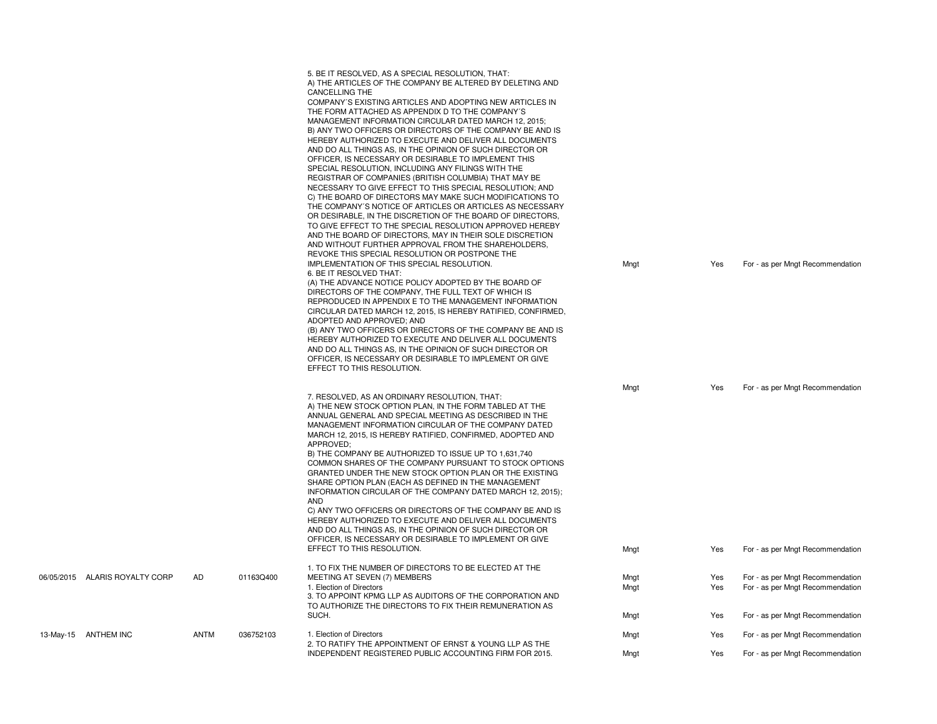|                                |           |           | 5. BE IT RESOLVED, AS A SPECIAL RESOLUTION, THAT:<br>A) THE ARTICLES OF THE COMPANY BE ALTERED BY DELETING AND<br><b>CANCELLING THE</b><br>COMPANY'S EXISTING ARTICLES AND ADOPTING NEW ARTICLES IN<br>THE FORM ATTACHED AS APPENDIX D TO THE COMPANY'S<br>MANAGEMENT INFORMATION CIRCULAR DATED MARCH 12, 2015;<br>B) ANY TWO OFFICERS OR DIRECTORS OF THE COMPANY BE AND IS<br>HEREBY AUTHORIZED TO EXECUTE AND DELIVER ALL DOCUMENTS<br>AND DO ALL THINGS AS, IN THE OPINION OF SUCH DIRECTOR OR<br>OFFICER, IS NECESSARY OR DESIRABLE TO IMPLEMENT THIS<br>SPECIAL RESOLUTION, INCLUDING ANY FILINGS WITH THE<br>REGISTRAR OF COMPANIES (BRITISH COLUMBIA) THAT MAY BE<br>NECESSARY TO GIVE EFFECT TO THIS SPECIAL RESOLUTION; AND<br>C) THE BOARD OF DIRECTORS MAY MAKE SUCH MODIFICATIONS TO<br>THE COMPANY'S NOTICE OF ARTICLES OR ARTICLES AS NECESSARY<br>OR DESIRABLE, IN THE DISCRETION OF THE BOARD OF DIRECTORS,<br>TO GIVE EFFECT TO THE SPECIAL RESOLUTION APPROVED HEREBY<br>AND THE BOARD OF DIRECTORS, MAY IN THEIR SOLE DISCRETION<br>AND WITHOUT FURTHER APPROVAL FROM THE SHAREHOLDERS.<br>REVOKE THIS SPECIAL RESOLUTION OR POSTPONE THE<br>IMPLEMENTATION OF THIS SPECIAL RESOLUTION.<br>6. BE IT RESOLVED THAT:<br>(A) THE ADVANCE NOTICE POLICY ADOPTED BY THE BOARD OF<br>DIRECTORS OF THE COMPANY. THE FULL TEXT OF WHICH IS<br>REPRODUCED IN APPENDIX E TO THE MANAGEMENT INFORMATION<br>CIRCULAR DATED MARCH 12, 2015, IS HEREBY RATIFIED, CONFIRMED,<br>ADOPTED AND APPROVED; AND<br>(B) ANY TWO OFFICERS OR DIRECTORS OF THE COMPANY BE AND IS<br>HEREBY AUTHORIZED TO EXECUTE AND DELIVER ALL DOCUMENTS<br>AND DO ALL THINGS AS, IN THE OPINION OF SUCH DIRECTOR OR<br>OFFICER, IS NECESSARY OR DESIRABLE TO IMPLEMENT OR GIVE<br>EFFECT TO THIS RESOLUTION. | Mngt         | Yes        | For - as per Mngt Recommendation                                     |
|--------------------------------|-----------|-----------|----------------------------------------------------------------------------------------------------------------------------------------------------------------------------------------------------------------------------------------------------------------------------------------------------------------------------------------------------------------------------------------------------------------------------------------------------------------------------------------------------------------------------------------------------------------------------------------------------------------------------------------------------------------------------------------------------------------------------------------------------------------------------------------------------------------------------------------------------------------------------------------------------------------------------------------------------------------------------------------------------------------------------------------------------------------------------------------------------------------------------------------------------------------------------------------------------------------------------------------------------------------------------------------------------------------------------------------------------------------------------------------------------------------------------------------------------------------------------------------------------------------------------------------------------------------------------------------------------------------------------------------------------------------------------------------------------------------------------------------------------------------------------------------------|--------------|------------|----------------------------------------------------------------------|
|                                |           |           | 7. RESOLVED, AS AN ORDINARY RESOLUTION, THAT:<br>A) THE NEW STOCK OPTION PLAN, IN THE FORM TABLED AT THE<br>ANNUAL GENERAL AND SPECIAL MEETING AS DESCRIBED IN THE<br>MANAGEMENT INFORMATION CIRCULAR OF THE COMPANY DATED<br>MARCH 12, 2015, IS HEREBY RATIFIED, CONFIRMED, ADOPTED AND<br>APPROVED:<br>B) THE COMPANY BE AUTHORIZED TO ISSUE UP TO 1,631,740<br>COMMON SHARES OF THE COMPANY PURSUANT TO STOCK OPTIONS<br>GRANTED UNDER THE NEW STOCK OPTION PLAN OR THE EXISTING<br>SHARE OPTION PLAN (EACH AS DEFINED IN THE MANAGEMENT<br>INFORMATION CIRCULAR OF THE COMPANY DATED MARCH 12, 2015);<br><b>AND</b><br>C) ANY TWO OFFICERS OR DIRECTORS OF THE COMPANY BE AND IS<br>HEREBY AUTHORIZED TO EXECUTE AND DELIVER ALL DOCUMENTS<br>AND DO ALL THINGS AS, IN THE OPINION OF SUCH DIRECTOR OR<br>OFFICER, IS NECESSARY OR DESIRABLE TO IMPLEMENT OR GIVE<br>EFFECT TO THIS RESOLUTION.                                                                                                                                                                                                                                                                                                                                                                                                                                                                                                                                                                                                                                                                                                                                                                                                                                                                                          | Mngt<br>Mngt | Yes<br>Yes | For - as per Mngt Recommendation<br>For - as per Mngt Recommendation |
| 06/05/2015 ALARIS ROYALTY CORP | <b>AD</b> | 01163Q400 | 1. TO FIX THE NUMBER OF DIRECTORS TO BE ELECTED AT THE<br>MEETING AT SEVEN (7) MEMBERS<br>1. Election of Directors<br>3. TO APPOINT KPMG LLP AS AUDITORS OF THE CORPORATION AND<br>TO AUTHORIZE THE DIRECTORS TO FIX THEIR REMUNERATION AS                                                                                                                                                                                                                                                                                                                                                                                                                                                                                                                                                                                                                                                                                                                                                                                                                                                                                                                                                                                                                                                                                                                                                                                                                                                                                                                                                                                                                                                                                                                                                   | Mngt<br>Mngt | Yes<br>Yes | For - as per Mngt Recommendation<br>For - as per Mngt Recommendation |
|                                |           |           | SUCH.                                                                                                                                                                                                                                                                                                                                                                                                                                                                                                                                                                                                                                                                                                                                                                                                                                                                                                                                                                                                                                                                                                                                                                                                                                                                                                                                                                                                                                                                                                                                                                                                                                                                                                                                                                                        | Mngt         | Yes        | For - as per Mngt Recommendation                                     |
| 13-May-15 ANTHEM INC           | ANTM      | 036752103 | 1. Election of Directors<br>2. TO RATIFY THE APPOINTMENT OF ERNST & YOUNG LLP AS THE<br>INDEPENDENT REGISTERED PUBLIC ACCOUNTING FIRM FOR 2015.                                                                                                                                                                                                                                                                                                                                                                                                                                                                                                                                                                                                                                                                                                                                                                                                                                                                                                                                                                                                                                                                                                                                                                                                                                                                                                                                                                                                                                                                                                                                                                                                                                              | Mngt<br>Mngt | Yes<br>Yes | For - as per Mngt Recommendation<br>For - as per Mngt Recommendation |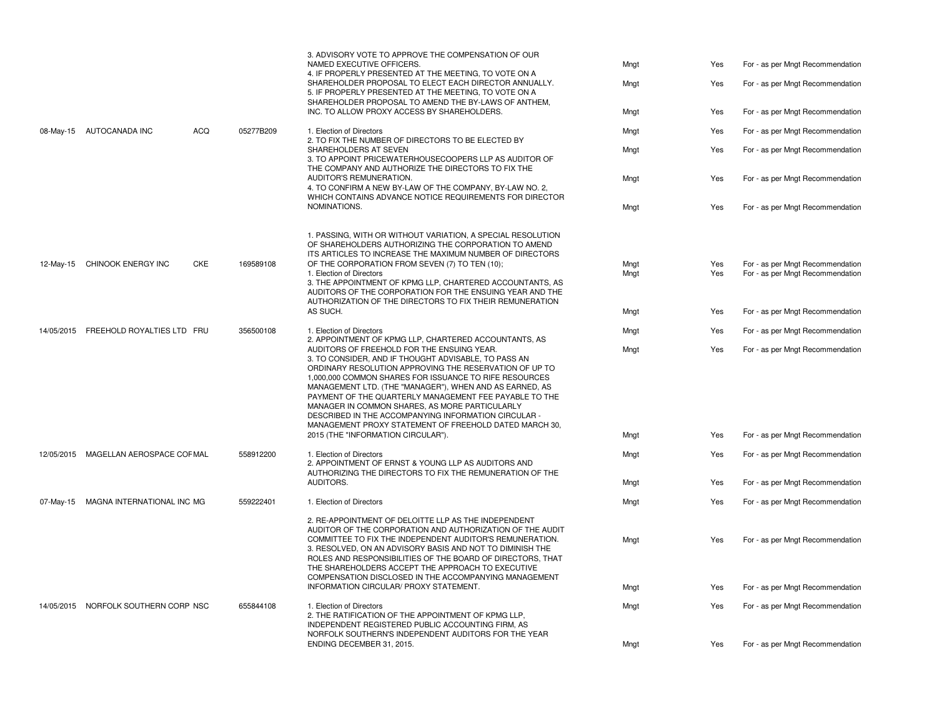|           |                                       |     |           | 3. ADVISORY VOTE TO APPROVE THE COMPENSATION OF OUR<br>NAMED EXECUTIVE OFFICERS.                                                                                                                                                                                                                                                                                                                                                                                                                              | Mngt         | Yes        | For - as per Mngt Recommendation                                     |
|-----------|---------------------------------------|-----|-----------|---------------------------------------------------------------------------------------------------------------------------------------------------------------------------------------------------------------------------------------------------------------------------------------------------------------------------------------------------------------------------------------------------------------------------------------------------------------------------------------------------------------|--------------|------------|----------------------------------------------------------------------|
|           |                                       |     |           | 4. IF PROPERLY PRESENTED AT THE MEETING, TO VOTE ON A<br>SHAREHOLDER PROPOSAL TO ELECT EACH DIRECTOR ANNUALLY.<br>5. IF PROPERLY PRESENTED AT THE MEETING, TO VOTE ON A                                                                                                                                                                                                                                                                                                                                       | Mngt         | Yes        | For - as per Mngt Recommendation                                     |
|           |                                       |     |           | SHAREHOLDER PROPOSAL TO AMEND THE BY-LAWS OF ANTHEM,<br>INC. TO ALLOW PROXY ACCESS BY SHAREHOLDERS.                                                                                                                                                                                                                                                                                                                                                                                                           | Mngt         | Yes        | For - as per Mngt Recommendation                                     |
|           | 08-May-15 AUTOCANADA INC              | ACQ | 05277B209 | 1. Election of Directors<br>2. TO FIX THE NUMBER OF DIRECTORS TO BE ELECTED BY                                                                                                                                                                                                                                                                                                                                                                                                                                | Mngt         | Yes        | For - as per Mngt Recommendation                                     |
|           |                                       |     |           | SHAREHOLDERS AT SEVEN<br>3. TO APPOINT PRICEWATERHOUSECOOPERS LLP AS AUDITOR OF<br>THE COMPANY AND AUTHORIZE THE DIRECTORS TO FIX THE                                                                                                                                                                                                                                                                                                                                                                         | Mngt         | Yes        | For - as per Mngt Recommendation                                     |
|           |                                       |     |           | AUDITOR'S REMUNERATION.<br>4. TO CONFIRM A NEW BY-LAW OF THE COMPANY, BY-LAW NO. 2,<br>WHICH CONTAINS ADVANCE NOTICE REQUIREMENTS FOR DIRECTOR                                                                                                                                                                                                                                                                                                                                                                | Mngt         | Yes        | For - as per Mngt Recommendation                                     |
|           |                                       |     |           | NOMINATIONS.                                                                                                                                                                                                                                                                                                                                                                                                                                                                                                  | Mngt         | Yes        | For - as per Mngt Recommendation                                     |
| 12-May-15 | CHINOOK ENERGY INC                    | CKE | 169589108 | 1. PASSING, WITH OR WITHOUT VARIATION, A SPECIAL RESOLUTION<br>OF SHAREHOLDERS AUTHORIZING THE CORPORATION TO AMEND<br>ITS ARTICLES TO INCREASE THE MAXIMUM NUMBER OF DIRECTORS<br>OF THE CORPORATION FROM SEVEN (7) TO TEN (10);<br>1. Election of Directors<br>3. THE APPOINTMENT OF KPMG LLP, CHARTERED ACCOUNTANTS, AS<br>AUDITORS OF THE CORPORATION FOR THE ENSUING YEAR AND THE                                                                                                                        | Mngt<br>Mngt | Yes<br>Yes | For - as per Mngt Recommendation<br>For - as per Mngt Recommendation |
|           |                                       |     |           | AUTHORIZATION OF THE DIRECTORS TO FIX THEIR REMUNERATION<br>AS SUCH.                                                                                                                                                                                                                                                                                                                                                                                                                                          | Mngt         | Yes        | For - as per Mngt Recommendation                                     |
|           | 14/05/2015 FREEHOLD ROYALTIES LTD FRU |     | 356500108 | 1. Election of Directors<br>2. APPOINTMENT OF KPMG LLP, CHARTERED ACCOUNTANTS, AS                                                                                                                                                                                                                                                                                                                                                                                                                             | Mngt         | Yes        | For - as per Mngt Recommendation                                     |
|           |                                       |     |           | AUDITORS OF FREEHOLD FOR THE ENSUING YEAR.<br>3. TO CONSIDER, AND IF THOUGHT ADVISABLE, TO PASS AN<br>ORDINARY RESOLUTION APPROVING THE RESERVATION OF UP TO<br>1,000,000 COMMON SHARES FOR ISSUANCE TO RIFE RESOURCES<br>MANAGEMENT LTD. (THE "MANAGER"), WHEN AND AS EARNED, AS<br>PAYMENT OF THE QUARTERLY MANAGEMENT FEE PAYABLE TO THE<br>MANAGER IN COMMON SHARES, AS MORE PARTICULARLY<br>DESCRIBED IN THE ACCOMPANYING INFORMATION CIRCULAR<br>MANAGEMENT PROXY STATEMENT OF FREEHOLD DATED MARCH 30, | Mngt         | Yes        | For - as per Mngt Recommendation                                     |
|           |                                       |     |           | 2015 (THE "INFORMATION CIRCULAR").                                                                                                                                                                                                                                                                                                                                                                                                                                                                            | Mngt         | Yes        | For - as per Mngt Recommendation                                     |
|           | 12/05/2015 MAGELLAN AEROSPACE COFMAL  |     | 558912200 | 1. Election of Directors<br>2. APPOINTMENT OF ERNST & YOUNG LLP AS AUDITORS AND<br>AUTHORIZING THE DIRECTORS TO FIX THE REMUNERATION OF THE                                                                                                                                                                                                                                                                                                                                                                   | Mngt         | Yes        | For - as per Mngt Recommendation                                     |
|           |                                       |     |           | AUDITORS.                                                                                                                                                                                                                                                                                                                                                                                                                                                                                                     | Mngt         | Yes        | For - as per Mngt Recommendation                                     |
| 07-May-15 | MAGNA INTERNATIONAL INC MG            |     | 559222401 | 1. Election of Directors                                                                                                                                                                                                                                                                                                                                                                                                                                                                                      | Mngt         | Yes        | For - as per Mngt Recommendation                                     |
|           |                                       |     |           | 2. RE-APPOINTMENT OF DELOITTE LLP AS THE INDEPENDENT<br>AUDITOR OF THE CORPORATION AND AUTHORIZATION OF THE AUDIT<br>COMMITTEE TO FIX THE INDEPENDENT AUDITOR'S REMUNERATION.<br>3. RESOLVED, ON AN ADVISORY BASIS AND NOT TO DIMINISH THE<br>ROLES AND RESPONSIBILITIES OF THE BOARD OF DIRECTORS, THAT<br>THE SHAREHOLDERS ACCEPT THE APPROACH TO EXECUTIVE<br>COMPENSATION DISCLOSED IN THE ACCOMPANYING MANAGEMENT                                                                                        | Mngt         | Yes        | For - as per Mngt Recommendation                                     |
|           |                                       |     |           | INFORMATION CIRCULAR/ PROXY STATEMENT.                                                                                                                                                                                                                                                                                                                                                                                                                                                                        | Mngt         | Yes        | For - as per Mngt Recommendation                                     |
|           | 14/05/2015 NORFOLK SOUTHERN CORP NSC  |     | 655844108 | 1. Election of Directors<br>2. THE RATIFICATION OF THE APPOINTMENT OF KPMG LLP,<br>INDEPENDENT REGISTERED PUBLIC ACCOUNTING FIRM, AS<br>NORFOLK SOUTHERN'S INDEPENDENT AUDITORS FOR THE YEAR                                                                                                                                                                                                                                                                                                                  | Mngt         | Yes        | For - as per Mngt Recommendation                                     |
|           |                                       |     |           | ENDING DECEMBER 31, 2015.                                                                                                                                                                                                                                                                                                                                                                                                                                                                                     | Mngt         | Yes        | For - as per Mngt Recommendation                                     |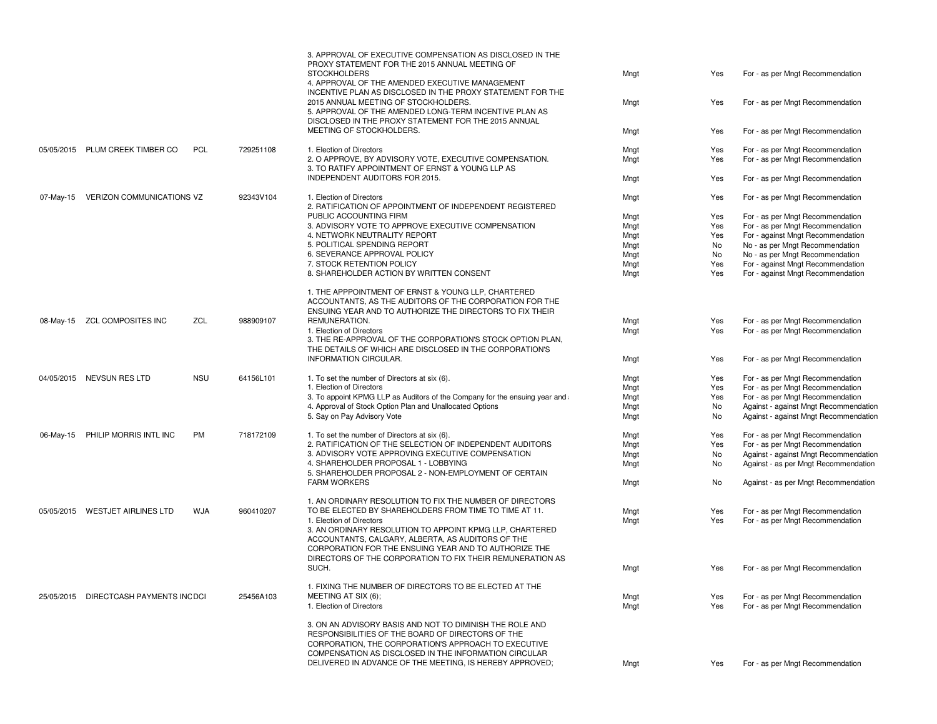|           |                                       |            |           | 3. APPROVAL OF EXECUTIVE COMPENSATION AS DISCLOSED IN THE<br>PROXY STATEMENT FOR THE 2015 ANNUAL MEETING OF<br><b>STOCKHOLDERS</b><br>4. APPROVAL OF THE AMENDED EXECUTIVE MANAGEMENT                                                                                                      | Mngt         | Yes        | For - as per Mngt Recommendation                                     |
|-----------|---------------------------------------|------------|-----------|--------------------------------------------------------------------------------------------------------------------------------------------------------------------------------------------------------------------------------------------------------------------------------------------|--------------|------------|----------------------------------------------------------------------|
|           |                                       |            |           | INCENTIVE PLAN AS DISCLOSED IN THE PROXY STATEMENT FOR THE<br>2015 ANNUAL MEETING OF STOCKHOLDERS.<br>5. APPROVAL OF THE AMENDED LONG-TERM INCENTIVE PLAN AS<br>DISCLOSED IN THE PROXY STATEMENT FOR THE 2015 ANNUAL                                                                       | Mngt         | Yes        | For - as per Mngt Recommendation                                     |
|           |                                       |            |           | MEETING OF STOCKHOLDERS.                                                                                                                                                                                                                                                                   | Mngt         | Yes        | For - as per Mngt Recommendation                                     |
|           | 05/05/2015 PLUM CREEK TIMBER CO       | <b>PCL</b> | 729251108 | 1. Election of Directors<br>2. O APPROVE, BY ADVISORY VOTE, EXECUTIVE COMPENSATION.<br>3. TO RATIFY APPOINTMENT OF ERNST & YOUNG LLP AS                                                                                                                                                    | Mngt<br>Mngt | Yes<br>Yes | For - as per Mngt Recommendation<br>For - as per Mngt Recommendation |
|           |                                       |            |           | INDEPENDENT AUDITORS FOR 2015.                                                                                                                                                                                                                                                             | Mngt         | Yes        | For - as per Mngt Recommendation                                     |
| 07-May-15 | VERIZON COMMUNICATIONS VZ             |            | 92343V104 | 1. Election of Directors<br>2. RATIFICATION OF APPOINTMENT OF INDEPENDENT REGISTERED                                                                                                                                                                                                       | Mngt         | Yes        | For - as per Mngt Recommendation                                     |
|           |                                       |            |           | PUBLIC ACCOUNTING FIRM                                                                                                                                                                                                                                                                     | Mngt         | Yes        | For - as per Mngt Recommendation                                     |
|           |                                       |            |           | 3. ADVISORY VOTE TO APPROVE EXECUTIVE COMPENSATION                                                                                                                                                                                                                                         | Mngt         | Yes        | For - as per Mngt Recommendation                                     |
|           |                                       |            |           | 4. NETWORK NEUTRALITY REPORT                                                                                                                                                                                                                                                               | Mngt         | Yes        | For - against Mngt Recommendation                                    |
|           |                                       |            |           | 5. POLITICAL SPENDING REPORT                                                                                                                                                                                                                                                               | Mngt         | No         | No - as per Mngt Recommendation                                      |
|           |                                       |            |           | 6. SEVERANCE APPROVAL POLICY                                                                                                                                                                                                                                                               | Mngt         | No         | No - as per Mngt Recommendation                                      |
|           |                                       |            |           | 7. STOCK RETENTION POLICY                                                                                                                                                                                                                                                                  | Mngt         | Yes        | For - against Mngt Recommendation                                    |
|           |                                       |            |           | 8. SHAREHOLDER ACTION BY WRITTEN CONSENT                                                                                                                                                                                                                                                   | Mngt         | Yes        | For - against Mngt Recommendation                                    |
|           |                                       |            |           | 1. THE APPPOINTMENT OF ERNST & YOUNG LLP, CHARTERED<br>ACCOUNTANTS, AS THE AUDITORS OF THE CORPORATION FOR THE<br>ENSUING YEAR AND TO AUTHORIZE THE DIRECTORS TO FIX THEIR                                                                                                                 |              |            |                                                                      |
| 08-May-15 | <b>ZCL COMPOSITES INC</b>             | ZCL        | 988909107 | REMUNERATION.                                                                                                                                                                                                                                                                              | Mngt         | Yes        | For - as per Mngt Recommendation                                     |
|           |                                       |            |           | 1. Election of Directors<br>3. THE RE-APPROVAL OF THE CORPORATION'S STOCK OPTION PLAN,<br>THE DETAILS OF WHICH ARE DISCLOSED IN THE CORPORATION'S                                                                                                                                          | Mngt         | Yes        | For - as per Mngt Recommendation                                     |
|           |                                       |            |           | INFORMATION CIRCULAR.                                                                                                                                                                                                                                                                      | Mngt         | Yes        | For - as per Mngt Recommendation                                     |
|           | 04/05/2015 NEVSUN RES LTD             | <b>NSU</b> | 64156L101 | 1. To set the number of Directors at six (6).                                                                                                                                                                                                                                              | Mngt         | Yes        | For - as per Mngt Recommendation                                     |
|           |                                       |            |           | 1. Election of Directors                                                                                                                                                                                                                                                                   | Mngt         | Yes        | For - as per Mngt Recommendation                                     |
|           |                                       |            |           | 3. To appoint KPMG LLP as Auditors of the Company for the ensuing year and                                                                                                                                                                                                                 | Mngt         | Yes        | For - as per Mngt Recommendation                                     |
|           |                                       |            |           | 4. Approval of Stock Option Plan and Unallocated Options                                                                                                                                                                                                                                   | Mngt         | No         | Against - against Mngt Recommendation                                |
|           |                                       |            |           | 5. Say on Pay Advisory Vote                                                                                                                                                                                                                                                                | Mngt         | No         | Against - against Mngt Recommendation                                |
| 06-May-15 | PHILIP MORRIS INTL INC                | PM         | 718172109 | 1. To set the number of Directors at six (6).                                                                                                                                                                                                                                              | Mngt         | Yes        | For - as per Mngt Recommendation                                     |
|           |                                       |            |           | 2. RATIFICATION OF THE SELECTION OF INDEPENDENT AUDITORS                                                                                                                                                                                                                                   | Mngt         | Yes        | For - as per Mngt Recommendation                                     |
|           |                                       |            |           | 3. ADVISORY VOTE APPROVING EXECUTIVE COMPENSATION                                                                                                                                                                                                                                          | Mngt         | No         | Against - against Mngt Recommendation                                |
|           |                                       |            |           | 4. SHAREHOLDER PROPOSAL 1 - LOBBYING<br>5. SHAREHOLDER PROPOSAL 2 - NON-EMPLOYMENT OF CERTAIN                                                                                                                                                                                              | Mngt         | No         | Against - as per Mngt Recommendation                                 |
|           |                                       |            |           | <b>FARM WORKERS</b>                                                                                                                                                                                                                                                                        | Mngt         | No         | Against - as per Mngt Recommendation                                 |
|           |                                       |            |           | 1. AN ORDINARY RESOLUTION TO FIX THE NUMBER OF DIRECTORS                                                                                                                                                                                                                                   |              |            |                                                                      |
|           | 05/05/2015 WESTJET AIRLINES LTD       | <b>WJA</b> | 960410207 | TO BE ELECTED BY SHAREHOLDERS FROM TIME TO TIME AT 11.                                                                                                                                                                                                                                     | Mngt         | Yes        | For - as per Mngt Recommendation                                     |
|           |                                       |            |           | 1. Election of Directors<br>3. AN ORDINARY RESOLUTION TO APPOINT KPMG LLP, CHARTERED                                                                                                                                                                                                       | Mngt         | Yes        | For - as per Mngt Recommendation                                     |
|           |                                       |            |           | ACCOUNTANTS, CALGARY, ALBERTA, AS AUDITORS OF THE<br>CORPORATION FOR THE ENSUING YEAR AND TO AUTHORIZE THE<br>DIRECTORS OF THE CORPORATION TO FIX THEIR REMUNERATION AS                                                                                                                    |              |            |                                                                      |
|           |                                       |            |           | SUCH.                                                                                                                                                                                                                                                                                      | Mngt         | Yes        | For - as per Mngt Recommendation                                     |
|           |                                       |            |           | 1. FIXING THE NUMBER OF DIRECTORS TO BE ELECTED AT THE                                                                                                                                                                                                                                     |              |            |                                                                      |
|           | 25/05/2015 DIRECTCASH PAYMENTS INCDCI |            | 25456A103 | MEETING AT SIX (6);                                                                                                                                                                                                                                                                        | Mngt         | Yes        | For - as per Mngt Recommendation                                     |
|           |                                       |            |           | 1. Election of Directors                                                                                                                                                                                                                                                                   | Mngt         | Yes        | For - as per Mngt Recommendation                                     |
|           |                                       |            |           | 3. ON AN ADVISORY BASIS AND NOT TO DIMINISH THE ROLE AND<br>RESPONSIBILITIES OF THE BOARD OF DIRECTORS OF THE<br>CORPORATION, THE CORPORATION'S APPROACH TO EXECUTIVE<br>COMPENSATION AS DISCLOSED IN THE INFORMATION CIRCULAR<br>DELIVERED IN ADVANCE OF THE MEETING, IS HEREBY APPROVED; | Mngt         | Yes        | For - as per Mngt Recommendation                                     |
|           |                                       |            |           |                                                                                                                                                                                                                                                                                            |              |            |                                                                      |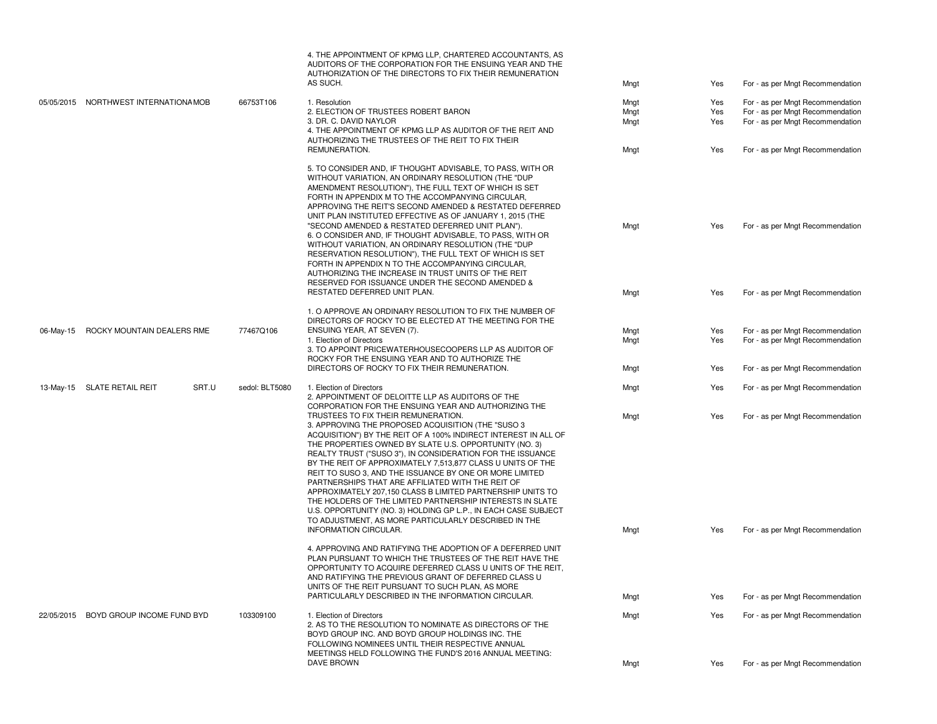|           |                                       |                | 4. THE APPOINTMENT OF KPMG LLP, CHARTERED ACCOUNTANTS, AS<br>AUDITORS OF THE CORPORATION FOR THE ENSUING YEAR AND THE<br>AUTHORIZATION OF THE DIRECTORS TO FIX THEIR REMUNERATION<br>AS SUCH.                                                                                                                                                                                                                                                                                                                                                                                                                                                                                                                                                              | Mngt | Yes | For - as per Mngt Recommendation |
|-----------|---------------------------------------|----------------|------------------------------------------------------------------------------------------------------------------------------------------------------------------------------------------------------------------------------------------------------------------------------------------------------------------------------------------------------------------------------------------------------------------------------------------------------------------------------------------------------------------------------------------------------------------------------------------------------------------------------------------------------------------------------------------------------------------------------------------------------------|------|-----|----------------------------------|
|           | 05/05/2015 NORTHWEST INTERNATIONA MOB | 66753T106      | 1. Resolution                                                                                                                                                                                                                                                                                                                                                                                                                                                                                                                                                                                                                                                                                                                                              | Mngt | Yes | For - as per Mngt Recommendation |
|           |                                       |                | 2. ELECTION OF TRUSTEES ROBERT BARON                                                                                                                                                                                                                                                                                                                                                                                                                                                                                                                                                                                                                                                                                                                       | Mngt | Yes | For - as per Mngt Recommendation |
|           |                                       |                | 3. DR. C. DAVID NAYLOR<br>4. THE APPOINTMENT OF KPMG LLP AS AUDITOR OF THE REIT AND                                                                                                                                                                                                                                                                                                                                                                                                                                                                                                                                                                                                                                                                        | Mngt | Yes | For - as per Mngt Recommendation |
|           |                                       |                | AUTHORIZING THE TRUSTEES OF THE REIT TO FIX THEIR<br>REMUNERATION.                                                                                                                                                                                                                                                                                                                                                                                                                                                                                                                                                                                                                                                                                         | Mngt | Yes | For - as per Mngt Recommendation |
|           |                                       |                | 5. TO CONSIDER AND, IF THOUGHT ADVISABLE, TO PASS, WITH OR<br>WITHOUT VARIATION, AN ORDINARY RESOLUTION (THE "DUP<br>AMENDMENT RESOLUTION"), THE FULL TEXT OF WHICH IS SET<br>FORTH IN APPENDIX M TO THE ACCOMPANYING CIRCULAR,<br>APPROVING THE REIT'S SECOND AMENDED & RESTATED DEFERRED<br>UNIT PLAN INSTITUTED EFFECTIVE AS OF JANUARY 1, 2015 (THE<br>"SECOND AMENDED & RESTATED DEFERRED UNIT PLAN").<br>6. O CONSIDER AND, IF THOUGHT ADVISABLE, TO PASS, WITH OR<br>WITHOUT VARIATION, AN ORDINARY RESOLUTION (THE "DUP<br>RESERVATION RESOLUTION"), THE FULL TEXT OF WHICH IS SET<br>FORTH IN APPENDIX N TO THE ACCOMPANYING CIRCULAR,<br>AUTHORIZING THE INCREASE IN TRUST UNITS OF THE REIT<br>RESERVED FOR ISSUANCE UNDER THE SECOND AMENDED & | Mngt | Yes | For - as per Mngt Recommendation |
|           |                                       |                | RESTATED DEFERRED UNIT PLAN.                                                                                                                                                                                                                                                                                                                                                                                                                                                                                                                                                                                                                                                                                                                               | Mngt | Yes | For - as per Mngt Recommendation |
|           |                                       |                | 1. O APPROVE AN ORDINARY RESOLUTION TO FIX THE NUMBER OF<br>DIRECTORS OF ROCKY TO BE ELECTED AT THE MEETING FOR THE                                                                                                                                                                                                                                                                                                                                                                                                                                                                                                                                                                                                                                        |      |     |                                  |
| 06-May-15 | ROCKY MOUNTAIN DEALERS RME            | 77467Q106      | ENSUING YEAR, AT SEVEN (7).                                                                                                                                                                                                                                                                                                                                                                                                                                                                                                                                                                                                                                                                                                                                | Mngt | Yes | For - as per Mngt Recommendation |
|           |                                       |                | 1. Election of Directors<br>3. TO APPOINT PRICEWATERHOUSECOOPERS LLP AS AUDITOR OF<br>ROCKY FOR THE ENSUING YEAR AND TO AUTHORIZE THE                                                                                                                                                                                                                                                                                                                                                                                                                                                                                                                                                                                                                      | Mngt | Yes | For - as per Mngt Recommendation |
|           |                                       |                | DIRECTORS OF ROCKY TO FIX THEIR REMUNERATION.                                                                                                                                                                                                                                                                                                                                                                                                                                                                                                                                                                                                                                                                                                              | Mngt | Yes | For - as per Mngt Recommendation |
|           | SRT.U<br>13-May-15 SLATE RETAIL REIT  | sedol: BLT5080 | 1. Election of Directors<br>2. APPOINTMENT OF DELOITTE LLP AS AUDITORS OF THE<br>CORPORATION FOR THE ENSUING YEAR AND AUTHORIZING THE                                                                                                                                                                                                                                                                                                                                                                                                                                                                                                                                                                                                                      | Mngt | Yes | For - as per Mngt Recommendation |
|           |                                       |                | TRUSTEES TO FIX THEIR REMUNERATION.<br>3. APPROVING THE PROPOSED ACQUISITION (THE "SUSO 3<br>ACQUISITION") BY THE REIT OF A 100% INDIRECT INTEREST IN ALL OF<br>THE PROPERTIES OWNED BY SLATE U.S. OPPORTUNITY (NO. 3)<br>REALTY TRUST ("SUSO 3"), IN CONSIDERATION FOR THE ISSUANCE<br>BY THE REIT OF APPROXIMATELY 7,513,877 CLASS U UNITS OF THE<br>REIT TO SUSO 3. AND THE ISSUANCE BY ONE OR MORE LIMITED<br>PARTNERSHIPS THAT ARE AFFILIATED WITH THE REIT OF<br>APPROXIMATELY 207,150 CLASS B LIMITED PARTNERSHIP UNITS TO<br>THE HOLDERS OF THE LIMITED PARTNERSHIP INTERESTS IN SLATE<br>U.S. OPPORTUNITY (NO. 3) HOLDING GP L.P., IN EACH CASE SUBJECT<br>TO ADJUSTMENT, AS MORE PARTICULARLY DESCRIBED IN THE                                   | Mngt | Yes | For - as per Mngt Recommendation |
|           |                                       |                | INFORMATION CIRCULAR.                                                                                                                                                                                                                                                                                                                                                                                                                                                                                                                                                                                                                                                                                                                                      | Mngt | Yes | For - as per Mngt Recommendation |
|           |                                       |                | 4. APPROVING AND RATIFYING THE ADOPTION OF A DEFERRED UNIT<br>PLAN PURSUANT TO WHICH THE TRUSTEES OF THE REIT HAVE THE<br>OPPORTUNITY TO ACQUIRE DEFERRED CLASS U UNITS OF THE REIT,<br>AND RATIFYING THE PREVIOUS GRANT OF DEFERRED CLASS U<br>UNITS OF THE REIT PURSUANT TO SUCH PLAN, AS MORE                                                                                                                                                                                                                                                                                                                                                                                                                                                           |      |     |                                  |
|           |                                       |                | PARTICULARLY DESCRIBED IN THE INFORMATION CIRCULAR.                                                                                                                                                                                                                                                                                                                                                                                                                                                                                                                                                                                                                                                                                                        | Mngt | Yes | For - as per Mngt Recommendation |
|           | 22/05/2015 BOYD GROUP INCOME FUND BYD | 103309100      | 1. Election of Directors<br>2. AS TO THE RESOLUTION TO NOMINATE AS DIRECTORS OF THE<br>BOYD GROUP INC. AND BOYD GROUP HOLDINGS INC. THE<br>FOLLOWING NOMINEES UNTIL THEIR RESPECTIVE ANNUAL<br>MEETINGS HELD FOLLOWING THE FUND'S 2016 ANNUAL MEETING:                                                                                                                                                                                                                                                                                                                                                                                                                                                                                                     | Mngt | Yes | For - as per Mngt Recommendation |
|           |                                       |                | <b>DAVE BROWN</b>                                                                                                                                                                                                                                                                                                                                                                                                                                                                                                                                                                                                                                                                                                                                          | Mngt | Yes | For - as per Mngt Recommendation |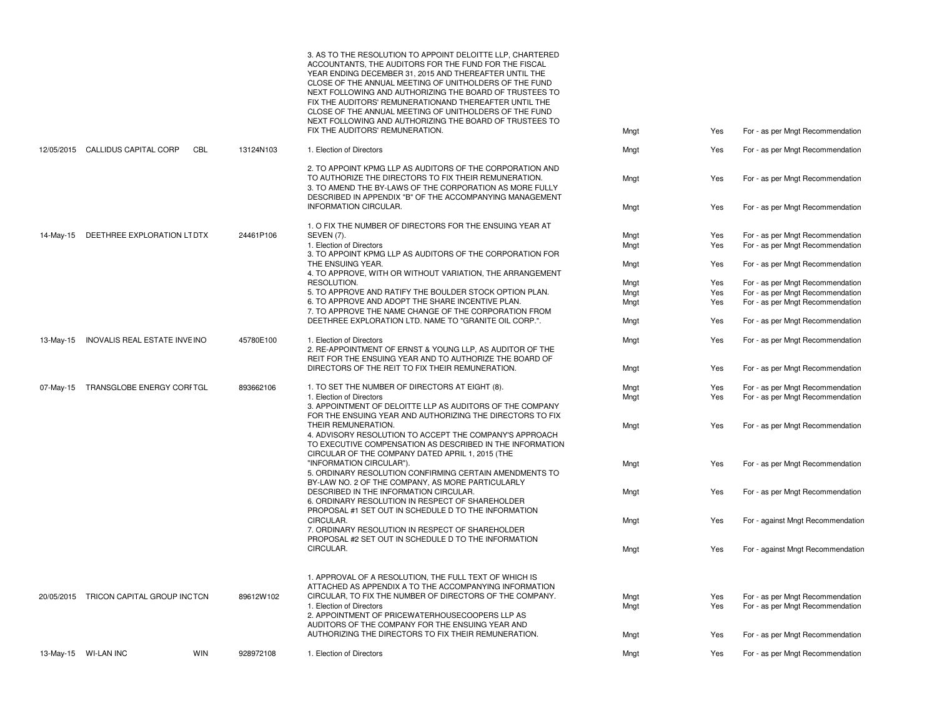|           | 13-May-15 WI-LAN INC                   | <b>WIN</b><br>928972108 | 1. Election of Directors                                                                                                                                                                                                                                                                                                                                                                                            | Mngt                 | Yes               | For - as per Mngt Recommendation                                                                         |
|-----------|----------------------------------------|-------------------------|---------------------------------------------------------------------------------------------------------------------------------------------------------------------------------------------------------------------------------------------------------------------------------------------------------------------------------------------------------------------------------------------------------------------|----------------------|-------------------|----------------------------------------------------------------------------------------------------------|
|           | 20/05/2015 TRICON CAPITAL GROUP INCTCN | 89612W102               | 1. APPROVAL OF A RESOLUTION, THE FULL TEXT OF WHICH IS<br>ATTACHED AS APPENDIX A TO THE ACCOMPANYING INFORMATION<br>CIRCULAR, TO FIX THE NUMBER OF DIRECTORS OF THE COMPANY.<br>1. Election of Directors<br>2. APPOINTMENT OF PRICEWATERHOUSECOOPERS LLP AS<br>AUDITORS OF THE COMPANY FOR THE ENSUING YEAR AND<br>AUTHORIZING THE DIRECTORS TO FIX THEIR REMUNERATION.                                             | Mngt<br>Mngt<br>Mngt | Yes<br>Yes<br>Yes | For - as per Mngt Recommendation<br>For - as per Mngt Recommendation<br>For - as per Mngt Recommendation |
|           |                                        |                         | CIRCULAR.                                                                                                                                                                                                                                                                                                                                                                                                           | Mngt                 | Yes               | For - against Mngt Recommendation                                                                        |
|           |                                        |                         | CIRCULAR.<br>7. ORDINARY RESOLUTION IN RESPECT OF SHAREHOLDER<br>PROPOSAL #2 SET OUT IN SCHEDULE D TO THE INFORMATION                                                                                                                                                                                                                                                                                               | Mngt                 | Yes               | For - against Mngt Recommendation                                                                        |
|           |                                        |                         | 6. ORDINARY RESOLUTION IN RESPECT OF SHAREHOLDER<br>PROPOSAL #1 SET OUT IN SCHEDULE D TO THE INFORMATION                                                                                                                                                                                                                                                                                                            |                      |                   |                                                                                                          |
|           |                                        |                         | 5. ORDINARY RESOLUTION CONFIRMING CERTAIN AMENDMENTS TO<br>BY-LAW NO. 2 OF THE COMPANY, AS MORE PARTICULARLY<br>DESCRIBED IN THE INFORMATION CIRCULAR.                                                                                                                                                                                                                                                              | Mngt                 | Yes               | For - as per Mngt Recommendation                                                                         |
|           |                                        |                         | 4. ADVISORY RESOLUTION TO ACCEPT THE COMPANY'S APPROACH<br>TO EXECUTIVE COMPENSATION AS DESCRIBED IN THE INFORMATION<br>CIRCULAR OF THE COMPANY DATED APRIL 1, 2015 (THE<br>"INFORMATION CIRCULAR").                                                                                                                                                                                                                | Mngt                 | Yes               | For - as per Mngt Recommendation                                                                         |
|           |                                        |                         | 3. APPOINTMENT OF DELOITTE LLP AS AUDITORS OF THE COMPANY<br>FOR THE ENSUING YEAR AND AUTHORIZING THE DIRECTORS TO FIX<br>THEIR REMUNERATION.                                                                                                                                                                                                                                                                       | Mngt                 | Yes               | For - as per Mngt Recommendation                                                                         |
| 07-May-15 | TRANSGLOBE ENERGY CORFTGL              | 893662106               | 1. TO SET THE NUMBER OF DIRECTORS AT EIGHT (8).<br>1. Election of Directors                                                                                                                                                                                                                                                                                                                                         | Mngt<br>Mngt         | Yes<br>Yes        | For - as per Mngt Recommendation<br>For - as per Mngt Recommendation                                     |
|           |                                        |                         | DIRECTORS OF THE REIT TO FIX THEIR REMUNERATION.                                                                                                                                                                                                                                                                                                                                                                    | Mngt                 | Yes               | For - as per Mngt Recommendation                                                                         |
| 13-May-15 | INOVALIS REAL ESTATE INVEINO           | 45780E100               | 1. Election of Directors<br>2. RE-APPOINTMENT OF ERNST & YOUNG LLP, AS AUDITOR OF THE<br>REIT FOR THE ENSUING YEAR AND TO AUTHORIZE THE BOARD OF                                                                                                                                                                                                                                                                    | Mngt                 | Yes               | For - as per Mngt Recommendation                                                                         |
|           |                                        |                         | DEETHREE EXPLORATION LTD. NAME TO "GRANITE OIL CORP.".                                                                                                                                                                                                                                                                                                                                                              | Mngt                 | Yes               | For - as per Mngt Recommendation                                                                         |
|           |                                        |                         | 5. TO APPROVE AND RATIFY THE BOULDER STOCK OPTION PLAN.<br>6. TO APPROVE AND ADOPT THE SHARE INCENTIVE PLAN.<br>7. TO APPROVE THE NAME CHANGE OF THE CORPORATION FROM                                                                                                                                                                                                                                               | Mngt<br>Mngt         | Yes<br>Yes        | For - as per Mngt Recommendation<br>For - as per Mngt Recommendation                                     |
|           |                                        |                         | 4. TO APPROVE, WITH OR WITHOUT VARIATION, THE ARRANGEMENT<br>RESOLUTION.                                                                                                                                                                                                                                                                                                                                            | Mngt                 | Yes               | For - as per Mngt Recommendation                                                                         |
|           |                                        |                         | 3. TO APPOINT KPMG LLP AS AUDITORS OF THE CORPORATION FOR<br>THE ENSUING YEAR.                                                                                                                                                                                                                                                                                                                                      | Mngt                 | Yes               | For - as per Mngt Recommendation                                                                         |
| 14-May-15 | DEETHREE EXPLORATION LTDTX             | 24461P106               | 1. O FIX THE NUMBER OF DIRECTORS FOR THE ENSUING YEAR AT<br><b>SEVEN (7).</b><br>1. Election of Directors                                                                                                                                                                                                                                                                                                           | Mngt<br>Mngt         | Yes<br>Yes        | For - as per Mngt Recommendation<br>For - as per Mngt Recommendation                                     |
|           |                                        |                         | <b>INFORMATION CIRCULAR.</b>                                                                                                                                                                                                                                                                                                                                                                                        | Mngt                 | Yes               | For - as per Mngt Recommendation                                                                         |
|           |                                        |                         | TO AUTHORIZE THE DIRECTORS TO FIX THEIR REMUNERATION.<br>3. TO AMEND THE BY-LAWS OF THE CORPORATION AS MORE FULLY<br>DESCRIBED IN APPENDIX "B" OF THE ACCOMPANYING MANAGEMENT                                                                                                                                                                                                                                       | Mngt                 | Yes               | For - as per Mngt Recommendation                                                                         |
|           |                                        |                         | 2. TO APPOINT KPMG LLP AS AUDITORS OF THE CORPORATION AND                                                                                                                                                                                                                                                                                                                                                           |                      |                   |                                                                                                          |
|           | 12/05/2015 CALLIDUS CAPITAL CORP       | CBL<br>13124N103        | FIX THE AUDITORS' REMUNERATION.<br>1. Election of Directors                                                                                                                                                                                                                                                                                                                                                         | Mngt<br>Mngt         | Yes<br>Yes        | For - as per Mngt Recommendation<br>For - as per Mngt Recommendation                                     |
|           |                                        |                         | ACCOUNTANTS. THE AUDITORS FOR THE FUND FOR THE FISCAL<br>YEAR ENDING DECEMBER 31, 2015 AND THEREAFTER UNTIL THE<br>CLOSE OF THE ANNUAL MEETING OF UNITHOLDERS OF THE FUND<br>NEXT FOLLOWING AND AUTHORIZING THE BOARD OF TRUSTEES TO<br>FIX THE AUDITORS' REMUNERATIONAND THEREAFTER UNTIL THE<br>CLOSE OF THE ANNUAL MEETING OF UNITHOLDERS OF THE FUND<br>NEXT FOLLOWING AND AUTHORIZING THE BOARD OF TRUSTEES TO |                      |                   |                                                                                                          |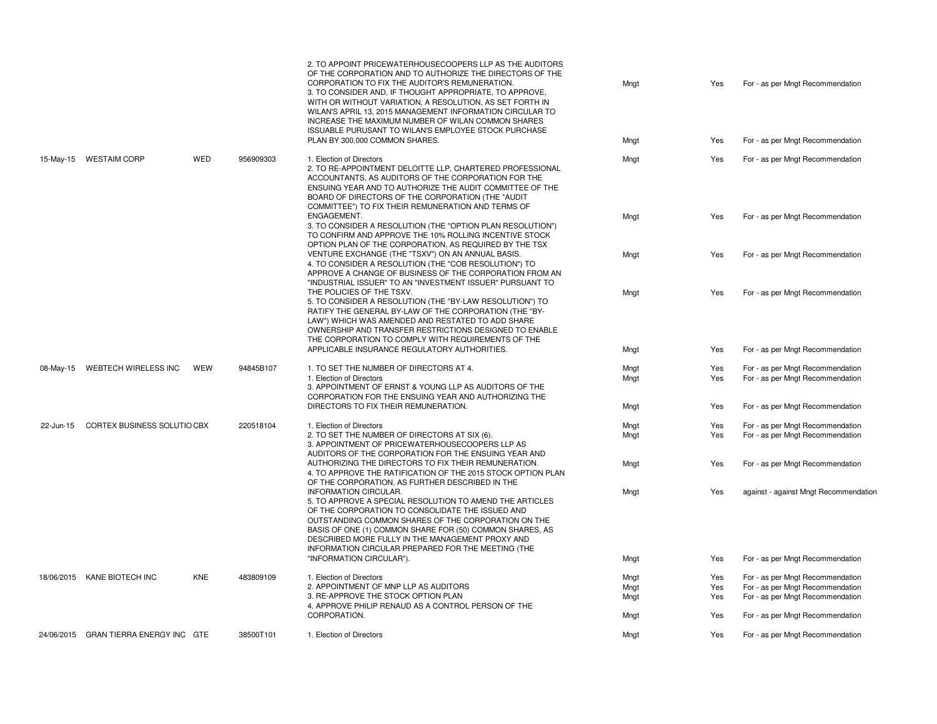|           |                                       |            |           | 2. TO APPOINT PRICEWATERHOUSECOOPERS LLP AS THE AUDITORS<br>OF THE CORPORATION AND TO AUTHORIZE THE DIRECTORS OF THE<br>CORPORATION TO FIX THE AUDITOR'S REMUNERATION.<br>3. TO CONSIDER AND, IF THOUGHT APPROPRIATE, TO APPROVE,<br>WITH OR WITHOUT VARIATION, A RESOLUTION, AS SET FORTH IN<br>WILAN'S APRIL 13, 2015 MANAGEMENT INFORMATION CIRCULAR TO<br>INCREASE THE MAXIMUM NUMBER OF WILAN COMMON SHARES<br>ISSUABLE PURUSANT TO WILAN'S EMPLOYEE STOCK PURCHASE | Mngt         | Yes        | For - as per Mngt Recommendation                                     |
|-----------|---------------------------------------|------------|-----------|--------------------------------------------------------------------------------------------------------------------------------------------------------------------------------------------------------------------------------------------------------------------------------------------------------------------------------------------------------------------------------------------------------------------------------------------------------------------------|--------------|------------|----------------------------------------------------------------------|
|           |                                       |            |           | PLAN BY 300,000 COMMON SHARES.                                                                                                                                                                                                                                                                                                                                                                                                                                           | Mngt         | Yes        | For - as per Mngt Recommendation                                     |
| 15-May-15 | <b>WESTAIM CORP</b>                   | WED        | 956909303 | 1. Election of Directors<br>2. TO RE-APPOINTMENT DELOITTE LLP, CHARTERED PROFESSIONAL<br>ACCOUNTANTS, AS AUDITORS OF THE CORPORATION FOR THE<br>ENSUING YEAR AND TO AUTHORIZE THE AUDIT COMMITTEE OF THE<br>BOARD OF DIRECTORS OF THE CORPORATION (THE "AUDIT<br>COMMITTEE") TO FIX THEIR REMUNERATION AND TERMS OF                                                                                                                                                      | Mngt         | Yes        | For - as per Mngt Recommendation                                     |
|           |                                       |            |           | ENGAGEMENT.<br>3. TO CONSIDER A RESOLUTION (THE "OPTION PLAN RESOLUTION")<br>TO CONFIRM AND APPROVE THE 10% ROLLING INCENTIVE STOCK<br>OPTION PLAN OF THE CORPORATION, AS REQUIRED BY THE TSX                                                                                                                                                                                                                                                                            | Mngt         | Yes        | For - as per Mngt Recommendation                                     |
|           |                                       |            |           | VENTURE EXCHANGE (THE "TSXV") ON AN ANNUAL BASIS.<br>4. TO CONSIDER A RESOLUTION (THE "COB RESOLUTION") TO<br>APPROVE A CHANGE OF BUSINESS OF THE CORPORATION FROM AN<br>"INDUSTRIAL ISSUER" TO AN "INVESTMENT ISSUER" PURSUANT TO                                                                                                                                                                                                                                       | Mngt         | Yes        | For - as per Mngt Recommendation                                     |
|           |                                       |            |           | THE POLICIES OF THE TSXV.<br>5. TO CONSIDER A RESOLUTION (THE "BY-LAW RESOLUTION") TO<br>RATIFY THE GENERAL BY-LAW OF THE CORPORATION (THE "BY-<br>LAW") WHICH WAS AMENDED AND RESTATED TO ADD SHARE<br>OWNERSHIP AND TRANSFER RESTRICTIONS DESIGNED TO ENABLE<br>THE CORPORATION TO COMPLY WITH REQUIREMENTS OF THE                                                                                                                                                     | Mngt         | Yes        | For - as per Mngt Recommendation                                     |
|           |                                       |            |           | APPLICABLE INSURANCE REGULATORY AUTHORITIES.                                                                                                                                                                                                                                                                                                                                                                                                                             | Mngt         | Yes        | For - as per Mngt Recommendation                                     |
| 08-May-15 | WEBTECH WIRELESS INC                  | WEW        | 94845B107 | 1. TO SET THE NUMBER OF DIRECTORS AT 4.<br>1. Election of Directors<br>3. APPOINTMENT OF ERNST & YOUNG LLP AS AUDITORS OF THE                                                                                                                                                                                                                                                                                                                                            | Mngt<br>Mngt | Yes<br>Yes | For - as per Mngt Recommendation<br>For - as per Mngt Recommendation |
|           |                                       |            |           | CORPORATION FOR THE ENSUING YEAR AND AUTHORIZING THE<br>DIRECTORS TO FIX THEIR REMUNERATION.                                                                                                                                                                                                                                                                                                                                                                             | Mngt         | Yes        | For - as per Mngt Recommendation                                     |
| 22-Jun-15 | CORTEX BUSINESS SOLUTIO CBX           |            | 220518104 | 1. Election of Directors                                                                                                                                                                                                                                                                                                                                                                                                                                                 | Mngt         | Yes        | For - as per Mngt Recommendation                                     |
|           |                                       |            |           | 2. TO SET THE NUMBER OF DIRECTORS AT SIX (6).<br>3. APPOINTMENT OF PRICEWATERHOUSECOOPERS LLP AS<br>AUDITORS OF THE CORPORATION FOR THE ENSUING YEAR AND                                                                                                                                                                                                                                                                                                                 | Mngt         | Yes        | For - as per Mngt Recommendation                                     |
|           |                                       |            |           | AUTHORIZING THE DIRECTORS TO FIX THEIR REMUNERATION.<br>4. TO APPROVE THE RATIFICATION OF THE 2015 STOCK OPTION PLAN<br>OF THE CORPORATION, AS FURTHER DESCRIBED IN THE                                                                                                                                                                                                                                                                                                  | Mngt         | Yes        | For - as per Mngt Recommendation                                     |
|           |                                       |            |           | <b>INFORMATION CIRCULAR.</b><br>5. TO APPROVE A SPECIAL RESOLUTION TO AMEND THE ARTICLES<br>OF THE CORPORATION TO CONSOLIDATE THE ISSUED AND<br>OUTSTANDING COMMON SHARES OF THE CORPORATION ON THE<br>BASIS OF ONE (1) COMMON SHARE FOR (50) COMMON SHARES, AS<br>DESCRIBED MORE FULLY IN THE MANAGEMENT PROXY AND<br>INFORMATION CIRCULAR PREPARED FOR THE MEETING (THE                                                                                                | Mngt         | Yes        | against - against Mngt Recommendation                                |
|           |                                       |            |           | "INFORMATION CIRCULAR").                                                                                                                                                                                                                                                                                                                                                                                                                                                 | Mngt         | Yes        | For - as per Mngt Recommendation                                     |
|           | 18/06/2015 KANE BIOTECH INC           | <b>KNE</b> | 483809109 | 1. Election of Directors                                                                                                                                                                                                                                                                                                                                                                                                                                                 | Mngt         | Yes        | For - as per Mngt Recommendation                                     |
|           |                                       |            |           | 2. APPOINTMENT OF MNP LLP AS AUDITORS<br>3. RE-APPROVE THE STOCK OPTION PLAN                                                                                                                                                                                                                                                                                                                                                                                             | Mngt         | Yes        | For - as per Mngt Recommendation                                     |
|           |                                       |            |           | 4. APPROVE PHILIP RENAUD AS A CONTROL PERSON OF THE<br>CORPORATION.                                                                                                                                                                                                                                                                                                                                                                                                      | Mngt<br>Mngt | Yes<br>Yes | For - as per Mngt Recommendation<br>For - as per Mngt Recommendation |
|           |                                       |            |           |                                                                                                                                                                                                                                                                                                                                                                                                                                                                          |              |            |                                                                      |
|           | 24/06/2015 GRAN TIERRA ENERGY INC GTE |            | 38500T101 | 1. Election of Directors                                                                                                                                                                                                                                                                                                                                                                                                                                                 | Mngt         | Yes        | For - as per Mngt Recommendation                                     |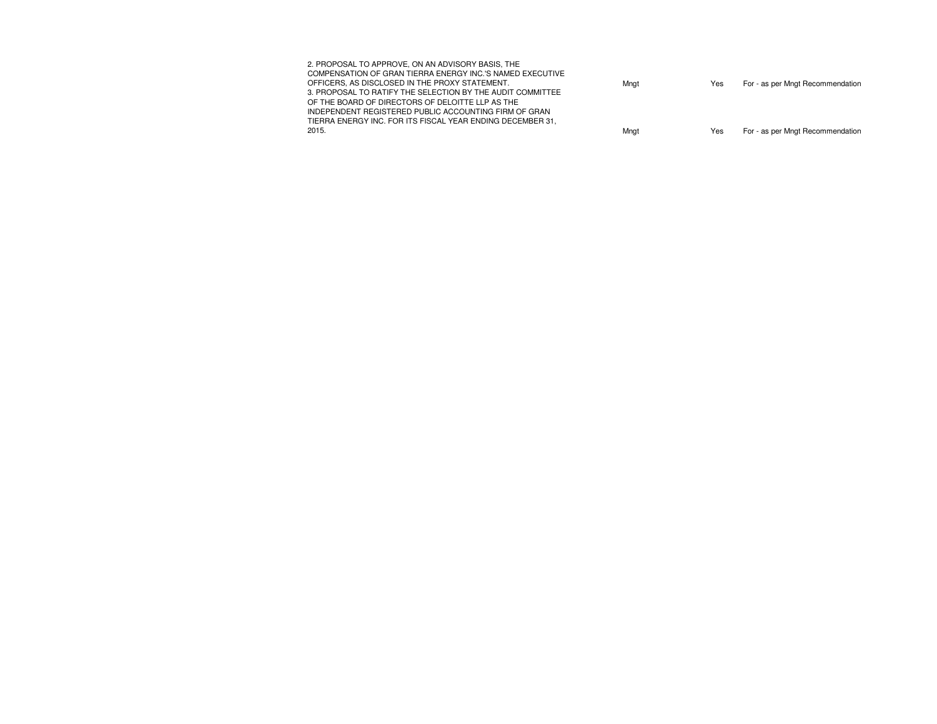| 2. PROPOSAL TO APPROVE, ON AN ADVISORY BASIS, THE<br>COMPENSATION OF GRAN TIERRA ENERGY INC.'S NAMED EXECUTIVE<br>OFFICERS. AS DISCLOSED IN THE PROXY STATEMENT.<br>3. PROPOSAL TO RATIFY THE SELECTION BY THE AUDIT COMMITTEE<br>OF THE BOARD OF DIRECTORS OF DELOITTE LLP AS THE<br>INDEPENDENT REGISTERED PUBLIC ACCOUNTING FIRM OF GRAN<br>TIERRA ENERGY INC. FOR ITS FISCAL YEAR ENDING DECEMBER 31. | Mngt | Yes | For - as per Mngt Recommendation |
|-----------------------------------------------------------------------------------------------------------------------------------------------------------------------------------------------------------------------------------------------------------------------------------------------------------------------------------------------------------------------------------------------------------|------|-----|----------------------------------|
| 2015.                                                                                                                                                                                                                                                                                                                                                                                                     | Mngt | Yes | For - as per Mngt Recommendation |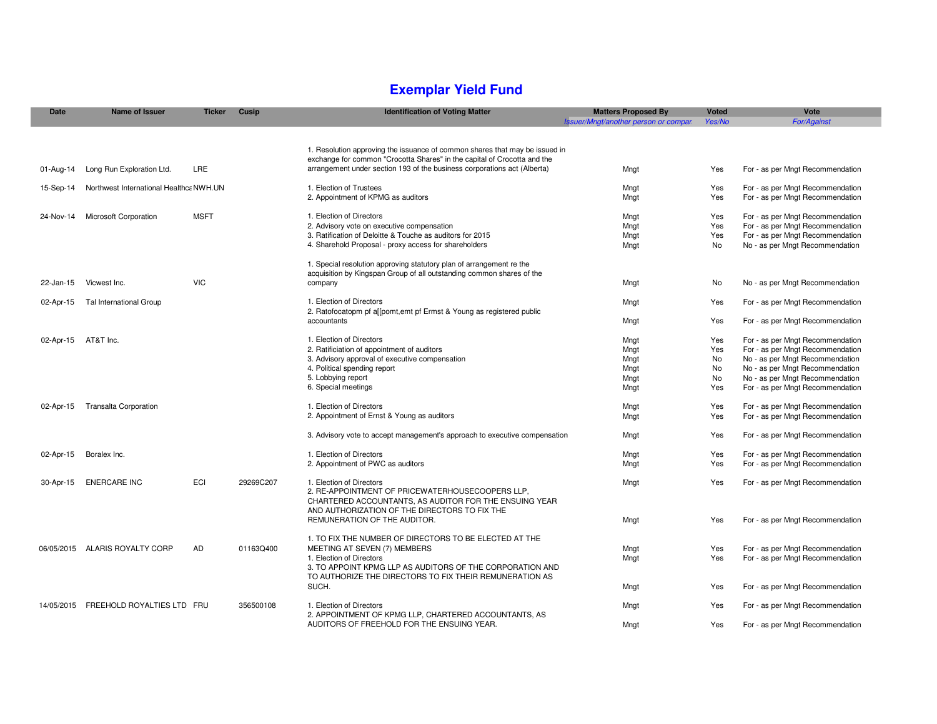#### **Exemplar Yield Fund**

| <b>Date</b> | <b>Name of Issuer</b>                   | <b>Ticker</b> | Cusip     | <b>Identification of Voting Matter</b>                                                                                                                                                  | <b>Matters Proposed By</b><br>Issuer/Mngt/another person or compar. | <b>Voted</b><br>Yes/No | Vote<br><b>For/Against</b>       |
|-------------|-----------------------------------------|---------------|-----------|-----------------------------------------------------------------------------------------------------------------------------------------------------------------------------------------|---------------------------------------------------------------------|------------------------|----------------------------------|
|             |                                         |               |           |                                                                                                                                                                                         |                                                                     |                        |                                  |
|             |                                         |               |           | 1. Resolution approving the issuance of common shares that may be issued in<br>exchange for common "Crocotta Shares" in the capital of Crocotta and the                                 |                                                                     |                        |                                  |
| 01-Aug-14   | Long Run Exploration Ltd.               | LRE           |           | arrangement under section 193 of the business corporations act (Alberta)                                                                                                                | Mngt                                                                | Yes                    | For - as per Mngt Recommendation |
| 15-Sep-14   | Northwest International Healthca NWH.UN |               |           | 1. Election of Trustees                                                                                                                                                                 | Mngt                                                                | Yes                    | For - as per Mngt Recommendation |
|             |                                         |               |           | 2. Appointment of KPMG as auditors                                                                                                                                                      | Mngt                                                                | Yes                    | For - as per Mngt Recommendation |
| 24-Nov-14   | Microsoft Corporation                   | <b>MSFT</b>   |           | 1. Election of Directors                                                                                                                                                                | Mngt                                                                | Yes                    | For - as per Mngt Recommendation |
|             |                                         |               |           | 2. Advisory vote on executive compensation                                                                                                                                              | Mngt                                                                | Yes                    | For - as per Mngt Recommendation |
|             |                                         |               |           | 3. Ratification of Deloitte & Touche as auditors for 2015                                                                                                                               | Mngt                                                                | Yes                    | For - as per Mngt Recommendation |
|             |                                         |               |           | 4. Sharehold Proposal - proxy access for shareholders                                                                                                                                   | Mngt                                                                | No                     | No - as per Mngt Recommendation  |
|             |                                         |               |           | 1. Special resolution approving statutory plan of arrangement re the<br>acquisition by Kingspan Group of all outstanding common shares of the                                           |                                                                     |                        |                                  |
| 22-Jan-15   | Vicwest Inc.                            | <b>VIC</b>    |           | company                                                                                                                                                                                 | Mngt                                                                | No                     | No - as per Mngt Recommendation  |
| 02-Apr-15   | Tal International Group                 |               |           | 1. Election of Directors<br>2. Ratofocatopm pf all pomt, emt pf Ermst & Young as registered public                                                                                      | Mngt                                                                | Yes                    | For - as per Mngt Recommendation |
|             |                                         |               |           | accountants                                                                                                                                                                             | Mngt                                                                | Yes                    | For - as per Mngt Recommendation |
| 02-Apr-15   | AT&T Inc.                               |               |           | 1. Election of Directors                                                                                                                                                                | Mngt                                                                | Yes                    | For - as per Mngt Recommendation |
|             |                                         |               |           | 2. Ratificiation of appointment of auditors                                                                                                                                             | Mngt                                                                | Yes                    | For - as per Mngt Recommendation |
|             |                                         |               |           | 3. Advisory approval of executive compensation                                                                                                                                          | Mngt                                                                | No                     | No - as per Mngt Recommendation  |
|             |                                         |               |           | 4. Political spending report                                                                                                                                                            | Mngt                                                                | No                     | No - as per Mngt Recommendation  |
|             |                                         |               |           | 5. Lobbying report                                                                                                                                                                      | Mngt                                                                | No                     | No - as per Mngt Recommendation  |
|             |                                         |               |           | 6. Special meetings                                                                                                                                                                     | Mngt                                                                | Yes                    | For - as per Mngt Recommendation |
| 02-Apr-15   | <b>Transalta Corporation</b>            |               |           | 1. Election of Directors                                                                                                                                                                | Mngt                                                                | Yes                    | For - as per Mngt Recommendation |
|             |                                         |               |           | 2. Appointment of Ernst & Young as auditors                                                                                                                                             | Mngt                                                                | Yes                    | For - as per Mngt Recommendation |
|             |                                         |               |           | 3. Advisory vote to accept management's approach to executive compensation                                                                                                              | Mngt                                                                | Yes                    | For - as per Mngt Recommendation |
| 02-Apr-15   | Boralex Inc.                            |               |           | 1. Election of Directors                                                                                                                                                                | Mngt                                                                | Yes                    | For - as per Mngt Recommendation |
|             |                                         |               |           | 2. Appointment of PWC as auditors                                                                                                                                                       | Mngt                                                                | Yes                    | For - as per Mngt Recommendation |
| 30-Apr-15   | <b>ENERCARE INC</b>                     | ECI           | 29269C207 | 1. Election of Directors<br>2. RE-APPOINTMENT OF PRICEWATERHOUSECOOPERS LLP,<br>CHARTERED ACCOUNTANTS. AS AUDITOR FOR THE ENSUING YEAR<br>AND AUTHORIZATION OF THE DIRECTORS TO FIX THE | Mngt                                                                | Yes                    | For - as per Mngt Recommendation |
|             |                                         |               |           | REMUNERATION OF THE AUDITOR.                                                                                                                                                            | Mngt                                                                | Yes                    | For - as per Mngt Recommendation |
|             | 06/05/2015 ALARIS ROYALTY CORP          | <b>AD</b>     |           | 1. TO FIX THE NUMBER OF DIRECTORS TO BE ELECTED AT THE                                                                                                                                  |                                                                     |                        |                                  |
|             |                                         |               | 01163Q400 | MEETING AT SEVEN (7) MEMBERS                                                                                                                                                            | Mngt                                                                | Yes                    | For - as per Mngt Recommendation |
|             |                                         |               |           | 1. Election of Directors<br>3. TO APPOINT KPMG LLP AS AUDITORS OF THE CORPORATION AND<br>TO AUTHORIZE THE DIRECTORS TO FIX THEIR REMUNERATION AS                                        | Mngt                                                                | Yes                    | For - as per Mngt Recommendation |
|             |                                         |               |           | SUCH.                                                                                                                                                                                   | Mngt                                                                | Yes                    | For - as per Mngt Recommendation |
|             | 14/05/2015 FREEHOLD ROYALTIES LTD FRU   |               | 356500108 | 1. Election of Directors<br>2. APPOINTMENT OF KPMG LLP, CHARTERED ACCOUNTANTS, AS                                                                                                       | Mngt                                                                | Yes                    | For - as per Mngt Recommendation |
|             |                                         |               |           | AUDITORS OF FREEHOLD FOR THE ENSUING YEAR.                                                                                                                                              | Mngt                                                                | Yes                    | For - as per Mngt Recommendation |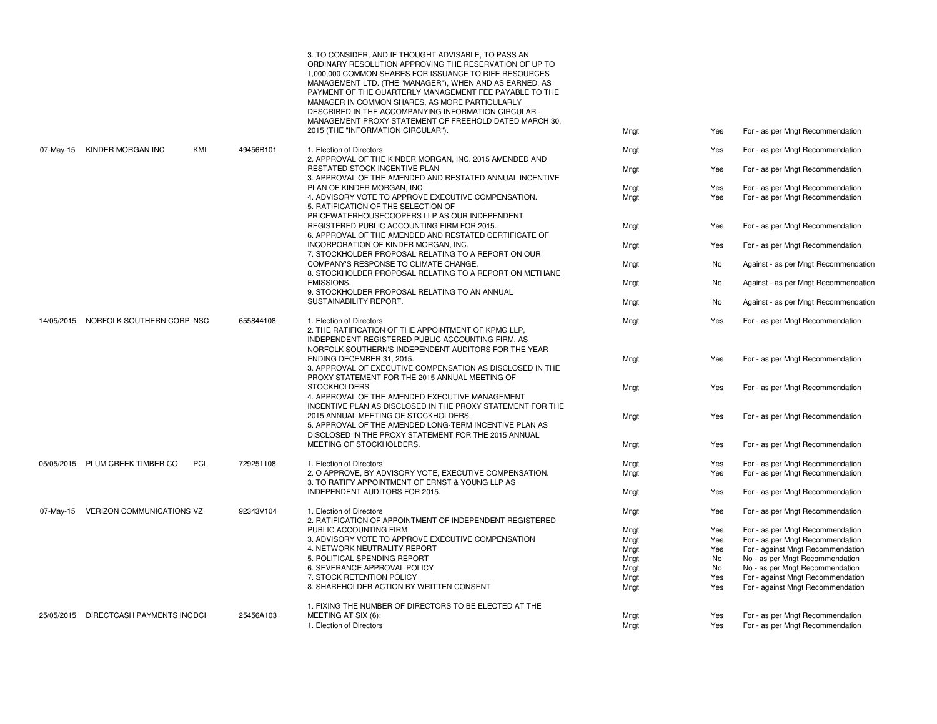|            |                                       |                         | 3. TO CONSIDER, AND IF THOUGHT ADVISABLE, TO PASS AN<br>ORDINARY RESOLUTION APPROVING THE RESERVATION OF UP TO<br>1,000,000 COMMON SHARES FOR ISSUANCE TO RIFE RESOURCES<br>MANAGEMENT LTD. (THE "MANAGER"), WHEN AND AS EARNED, AS<br>PAYMENT OF THE QUARTERLY MANAGEMENT FEE PAYABLE TO THE<br>MANAGER IN COMMON SHARES, AS MORE PARTICULARLY<br>DESCRIBED IN THE ACCOMPANYING INFORMATION CIRCULAR -<br>MANAGEMENT PROXY STATEMENT OF FREEHOLD DATED MARCH 30. |              |            |                                                                        |
|------------|---------------------------------------|-------------------------|-------------------------------------------------------------------------------------------------------------------------------------------------------------------------------------------------------------------------------------------------------------------------------------------------------------------------------------------------------------------------------------------------------------------------------------------------------------------|--------------|------------|------------------------------------------------------------------------|
|            |                                       |                         | 2015 (THE "INFORMATION CIRCULAR").                                                                                                                                                                                                                                                                                                                                                                                                                                | Mngt         | Yes        | For - as per Mngt Recommendation                                       |
| 07-May-15  | KINDER MORGAN INC                     | KMI<br>49456B101        | 1. Election of Directors<br>2. APPROVAL OF THE KINDER MORGAN, INC. 2015 AMENDED AND                                                                                                                                                                                                                                                                                                                                                                               | Mngt         | Yes        | For - as per Mngt Recommendation                                       |
|            |                                       |                         | RESTATED STOCK INCENTIVE PLAN<br>3. APPROVAL OF THE AMENDED AND RESTATED ANNUAL INCENTIVE                                                                                                                                                                                                                                                                                                                                                                         | Mngt         | Yes        | For - as per Mngt Recommendation                                       |
|            |                                       |                         | PLAN OF KINDER MORGAN. INC                                                                                                                                                                                                                                                                                                                                                                                                                                        | Mngt         | Yes        | For - as per Mngt Recommendation                                       |
|            |                                       |                         | 4. ADVISORY VOTE TO APPROVE EXECUTIVE COMPENSATION.<br>5. RATIFICATION OF THE SELECTION OF<br>PRICEWATERHOUSECOOPERS LLP AS OUR INDEPENDENT                                                                                                                                                                                                                                                                                                                       | Mngt         | Yes        | For - as per Mngt Recommendation                                       |
|            |                                       |                         | REGISTERED PUBLIC ACCOUNTING FIRM FOR 2015.<br>6. APPROVAL OF THE AMENDED AND RESTATED CERTIFICATE OF                                                                                                                                                                                                                                                                                                                                                             | Mngt         | Yes        | For - as per Mngt Recommendation                                       |
|            |                                       |                         | INCORPORATION OF KINDER MORGAN, INC.<br>7. STOCKHOLDER PROPOSAL RELATING TO A REPORT ON OUR                                                                                                                                                                                                                                                                                                                                                                       | Mngt         | Yes        | For - as per Mngt Recommendation                                       |
|            |                                       |                         | COMPANY'S RESPONSE TO CLIMATE CHANGE.<br>8. STOCKHOLDER PROPOSAL RELATING TO A REPORT ON METHANE                                                                                                                                                                                                                                                                                                                                                                  | Mngt         | No         | Against - as per Mngt Recommendation                                   |
|            |                                       |                         | <b>EMISSIONS.</b><br>9. STOCKHOLDER PROPOSAL RELATING TO AN ANNUAL                                                                                                                                                                                                                                                                                                                                                                                                | Mngt         | No         | Against - as per Mngt Recommendation                                   |
|            |                                       |                         | SUSTAINABILITY REPORT.                                                                                                                                                                                                                                                                                                                                                                                                                                            | Mngt         | No         | Against - as per Mngt Recommendation                                   |
| 14/05/2015 | NORFOLK SOUTHERN CORP NSC             | 655844108               | 1. Election of Directors<br>2. THE RATIFICATION OF THE APPOINTMENT OF KPMG LLP,<br>INDEPENDENT REGISTERED PUBLIC ACCOUNTING FIRM, AS<br>NORFOLK SOUTHERN'S INDEPENDENT AUDITORS FOR THE YEAR                                                                                                                                                                                                                                                                      | Mngt         | Yes        | For - as per Mngt Recommendation                                       |
|            |                                       |                         | ENDING DECEMBER 31, 2015.<br>3. APPROVAL OF EXECUTIVE COMPENSATION AS DISCLOSED IN THE<br>PROXY STATEMENT FOR THE 2015 ANNUAL MEETING OF                                                                                                                                                                                                                                                                                                                          | Mngt         | Yes        | For - as per Mngt Recommendation                                       |
|            |                                       |                         | <b>STOCKHOLDERS</b><br>4. APPROVAL OF THE AMENDED EXECUTIVE MANAGEMENT<br>INCENTIVE PLAN AS DISCLOSED IN THE PROXY STATEMENT FOR THE                                                                                                                                                                                                                                                                                                                              | Mngt         | Yes        | For - as per Mngt Recommendation                                       |
|            |                                       |                         | 2015 ANNUAL MEETING OF STOCKHOLDERS.<br>5. APPROVAL OF THE AMENDED LONG-TERM INCENTIVE PLAN AS<br>DISCLOSED IN THE PROXY STATEMENT FOR THE 2015 ANNUAL                                                                                                                                                                                                                                                                                                            | Mngt         | Yes        | For - as per Mngt Recommendation                                       |
|            |                                       |                         | MEETING OF STOCKHOLDERS.                                                                                                                                                                                                                                                                                                                                                                                                                                          | Mngt         | Yes        | For - as per Mngt Recommendation                                       |
|            | 05/05/2015 PLUM CREEK TIMBER CO       | <b>PCL</b><br>729251108 | 1. Election of Directors                                                                                                                                                                                                                                                                                                                                                                                                                                          | Mngt         | Yes        | For - as per Mngt Recommendation                                       |
|            |                                       |                         | 2. O APPROVE, BY ADVISORY VOTE, EXECUTIVE COMPENSATION.<br>3. TO RATIFY APPOINTMENT OF ERNST & YOUNG LLP AS                                                                                                                                                                                                                                                                                                                                                       | Mngt         | Yes        | For - as per Mngt Recommendation                                       |
|            |                                       |                         | INDEPENDENT AUDITORS FOR 2015.                                                                                                                                                                                                                                                                                                                                                                                                                                    | Mngt         | Yes        | For - as per Mngt Recommendation                                       |
| 07-May-15  | VERIZON COMMUNICATIONS VZ             | 92343V104               | 1. Election of Directors<br>2. RATIFICATION OF APPOINTMENT OF INDEPENDENT REGISTERED                                                                                                                                                                                                                                                                                                                                                                              | Mngt         | Yes        | For - as per Mngt Recommendation                                       |
|            |                                       |                         | PUBLIC ACCOUNTING FIRM                                                                                                                                                                                                                                                                                                                                                                                                                                            | Mngt         | Yes        | For - as per Mngt Recommendation                                       |
|            |                                       |                         | 3. ADVISORY VOTE TO APPROVE EXECUTIVE COMPENSATION                                                                                                                                                                                                                                                                                                                                                                                                                | Mngt         | Yes        | For - as per Mngt Recommendation                                       |
|            |                                       |                         | 4. NETWORK NEUTRALITY REPORT                                                                                                                                                                                                                                                                                                                                                                                                                                      | Mngt         | Yes        | For - against Mngt Recommendation                                      |
|            |                                       |                         | 5. POLITICAL SPENDING REPORT<br>6. SEVERANCE APPROVAL POLICY                                                                                                                                                                                                                                                                                                                                                                                                      | Mngt         | No         | No - as per Mngt Recommendation                                        |
|            |                                       |                         |                                                                                                                                                                                                                                                                                                                                                                                                                                                                   | Mngt         | No         | No - as per Mngt Recommendation                                        |
|            |                                       |                         | 7. STOCK RETENTION POLICY<br>8. SHAREHOLDER ACTION BY WRITTEN CONSENT                                                                                                                                                                                                                                                                                                                                                                                             | Mngt<br>Mngt | Yes<br>Yes | For - against Mngt Recommendation<br>For - against Mngt Recommendation |
|            |                                       |                         | 1. FIXING THE NUMBER OF DIRECTORS TO BE ELECTED AT THE                                                                                                                                                                                                                                                                                                                                                                                                            |              |            |                                                                        |
|            | 25/05/2015 DIRECTCASH PAYMENTS INCDCI | 25456A103               | MEETING AT SIX (6);                                                                                                                                                                                                                                                                                                                                                                                                                                               | Mngt         | Yes        | For - as per Mngt Recommendation                                       |
|            |                                       |                         | 1. Election of Directors                                                                                                                                                                                                                                                                                                                                                                                                                                          | Mngt         | Yes        | For - as per Mngt Recommendation                                       |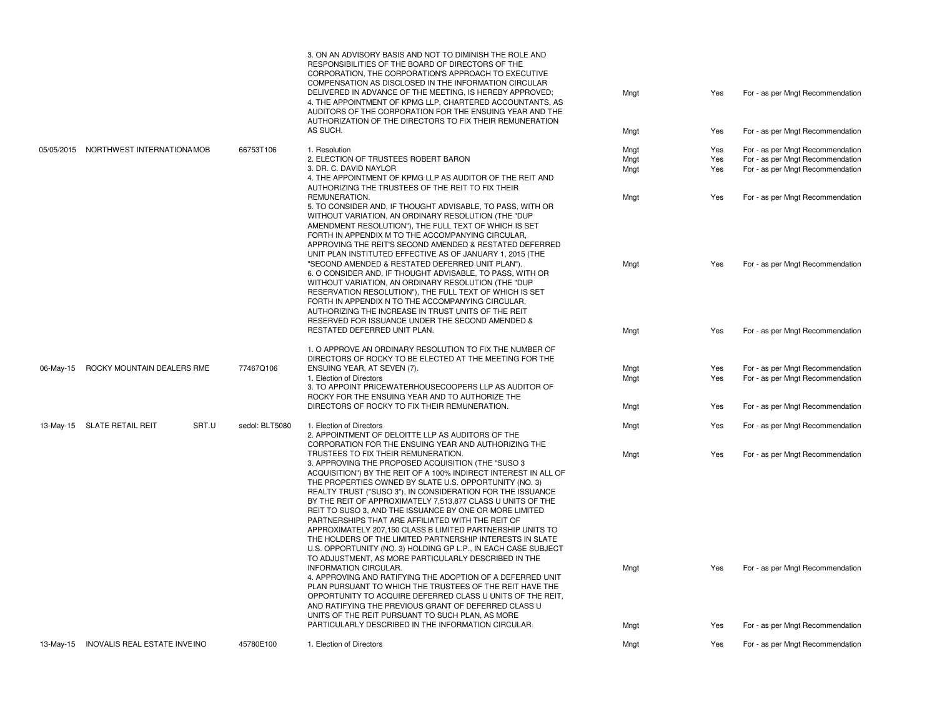|           |                                        |                | 3. ON AN ADVISORY BASIS AND NOT TO DIMINISH THE ROLE AND<br>RESPONSIBILITIES OF THE BOARD OF DIRECTORS OF THE<br>CORPORATION, THE CORPORATION'S APPROACH TO EXECUTIVE<br>COMPENSATION AS DISCLOSED IN THE INFORMATION CIRCULAR<br>DELIVERED IN ADVANCE OF THE MEETING, IS HEREBY APPROVED;<br>4. THE APPOINTMENT OF KPMG LLP, CHARTERED ACCOUNTANTS, AS<br>AUDITORS OF THE CORPORATION FOR THE ENSUING YEAR AND THE                                                                                                                                                                                                                                                                                                      | Mngt         | Yes        | For - as per Mngt Recommendation                                     |
|-----------|----------------------------------------|----------------|--------------------------------------------------------------------------------------------------------------------------------------------------------------------------------------------------------------------------------------------------------------------------------------------------------------------------------------------------------------------------------------------------------------------------------------------------------------------------------------------------------------------------------------------------------------------------------------------------------------------------------------------------------------------------------------------------------------------------|--------------|------------|----------------------------------------------------------------------|
|           |                                        |                | AUTHORIZATION OF THE DIRECTORS TO FIX THEIR REMUNERATION<br>AS SUCH.                                                                                                                                                                                                                                                                                                                                                                                                                                                                                                                                                                                                                                                     | Mngt         | Yes        | For - as per Mngt Recommendation                                     |
|           | 05/05/2015 NORTHWEST INTERNATIONA MOB  | 66753T106      | 1. Resolution                                                                                                                                                                                                                                                                                                                                                                                                                                                                                                                                                                                                                                                                                                            | Mngt         | Yes        | For - as per Mngt Recommendation                                     |
|           |                                        |                | 2. ELECTION OF TRUSTEES ROBERT BARON                                                                                                                                                                                                                                                                                                                                                                                                                                                                                                                                                                                                                                                                                     | Mngt         | Yes        | For - as per Mngt Recommendation                                     |
|           |                                        |                | 3. DR. C. DAVID NAYLOR<br>4. THE APPOINTMENT OF KPMG LLP AS AUDITOR OF THE REIT AND<br>AUTHORIZING THE TRUSTEES OF THE REIT TO FIX THEIR                                                                                                                                                                                                                                                                                                                                                                                                                                                                                                                                                                                 | Mngt         | Yes        | For - as per Mngt Recommendation                                     |
|           |                                        |                | REMUNERATION.<br>5. TO CONSIDER AND, IF THOUGHT ADVISABLE, TO PASS, WITH OR<br>WITHOUT VARIATION, AN ORDINARY RESOLUTION (THE "DUP<br>AMENDMENT RESOLUTION"), THE FULL TEXT OF WHICH IS SET<br>FORTH IN APPENDIX M TO THE ACCOMPANYING CIRCULAR,<br>APPROVING THE REIT'S SECOND AMENDED & RESTATED DEFERRED<br>UNIT PLAN INSTITUTED EFFECTIVE AS OF JANUARY 1, 2015 (THE<br>"SECOND AMENDED & RESTATED DEFERRED UNIT PLAN").<br>6. O CONSIDER AND, IF THOUGHT ADVISABLE, TO PASS, WITH OR                                                                                                                                                                                                                                | Mngt<br>Mngt | Yes<br>Yes | For - as per Mngt Recommendation<br>For - as per Mngt Recommendation |
|           |                                        |                | WITHOUT VARIATION, AN ORDINARY RESOLUTION (THE "DUP<br>RESERVATION RESOLUTION"), THE FULL TEXT OF WHICH IS SET<br>FORTH IN APPENDIX N TO THE ACCOMPANYING CIRCULAR,<br>AUTHORIZING THE INCREASE IN TRUST UNITS OF THE REIT<br>RESERVED FOR ISSUANCE UNDER THE SECOND AMENDED &<br>RESTATED DEFERRED UNIT PLAN.                                                                                                                                                                                                                                                                                                                                                                                                           | Mngt         | Yes        | For - as per Mngt Recommendation                                     |
| 06-May-15 | ROCKY MOUNTAIN DEALERS RME             | 77467Q106      | 1. O APPROVE AN ORDINARY RESOLUTION TO FIX THE NUMBER OF<br>DIRECTORS OF ROCKY TO BE ELECTED AT THE MEETING FOR THE<br>ENSUING YEAR, AT SEVEN (7).<br>1. Election of Directors                                                                                                                                                                                                                                                                                                                                                                                                                                                                                                                                           | Mngt<br>Mngt | Yes<br>Yes | For - as per Mngt Recommendation<br>For - as per Mngt Recommendation |
|           |                                        |                | 3. TO APPOINT PRICEWATERHOUSECOOPERS LLP AS AUDITOR OF<br>ROCKY FOR THE ENSUING YEAR AND TO AUTHORIZE THE<br>DIRECTORS OF ROCKY TO FIX THEIR REMUNERATION.                                                                                                                                                                                                                                                                                                                                                                                                                                                                                                                                                               | Mngt         | Yes        | For - as per Mngt Recommendation                                     |
|           |                                        |                |                                                                                                                                                                                                                                                                                                                                                                                                                                                                                                                                                                                                                                                                                                                          |              |            |                                                                      |
|           | 13-May-15 SLATE RETAIL REIT<br>SRT.U   | sedol: BLT5080 | 1. Election of Directors<br>2. APPOINTMENT OF DELOITTE LLP AS AUDITORS OF THE<br>CORPORATION FOR THE ENSUING YEAR AND AUTHORIZING THE                                                                                                                                                                                                                                                                                                                                                                                                                                                                                                                                                                                    | Mngt         | Yes        | For - as per Mngt Recommendation                                     |
|           |                                        |                | TRUSTEES TO FIX THEIR REMUNERATION.<br>3. APPROVING THE PROPOSED ACQUISITION (THE "SUSO 3<br>ACQUISITION") BY THE REIT OF A 100% INDIRECT INTEREST IN ALL OF<br>THE PROPERTIES OWNED BY SLATE U.S. OPPORTUNITY (NO. 3)<br>REALTY TRUST ("SUSO 3"), IN CONSIDERATION FOR THE ISSUANCE<br>BY THE REIT OF APPROXIMATELY 7,513,877 CLASS U UNITS OF THE<br>REIT TO SUSO 3, AND THE ISSUANCE BY ONE OR MORE LIMITED<br>PARTNERSHIPS THAT ARE AFFILIATED WITH THE REIT OF<br>APPROXIMATELY 207,150 CLASS B LIMITED PARTNERSHIP UNITS TO<br>THE HOLDERS OF THE LIMITED PARTNERSHIP INTERESTS IN SLATE<br>U.S. OPPORTUNITY (NO. 3) HOLDING GP L.P., IN EACH CASE SUBJECT<br>TO ADJUSTMENT. AS MORE PARTICULARLY DESCRIBED IN THE | Mngt         | Yes        | For - as per Mngt Recommendation                                     |
|           |                                        |                | INFORMATION CIRCULAR.<br>4. APPROVING AND RATIFYING THE ADOPTION OF A DEFERRED UNIT<br>PLAN PURSUANT TO WHICH THE TRUSTEES OF THE REIT HAVE THE<br>OPPORTUNITY TO ACQUIRE DEFERRED CLASS U UNITS OF THE REIT.<br>AND RATIFYING THE PREVIOUS GRANT OF DEFERRED CLASS U<br>UNITS OF THE REIT PURSUANT TO SUCH PLAN, AS MORE                                                                                                                                                                                                                                                                                                                                                                                                | Mngt         | Yes        | For - as per Mngt Recommendation                                     |
|           |                                        |                | PARTICULARLY DESCRIBED IN THE INFORMATION CIRCULAR.                                                                                                                                                                                                                                                                                                                                                                                                                                                                                                                                                                                                                                                                      | Mngt         | Yes        | For - as per Mngt Recommendation                                     |
|           | 13-May-15 INOVALIS REAL ESTATE INVEINO | 45780E100      | 1. Election of Directors                                                                                                                                                                                                                                                                                                                                                                                                                                                                                                                                                                                                                                                                                                 | Mngt         | Yes        | For - as per Mngt Recommendation                                     |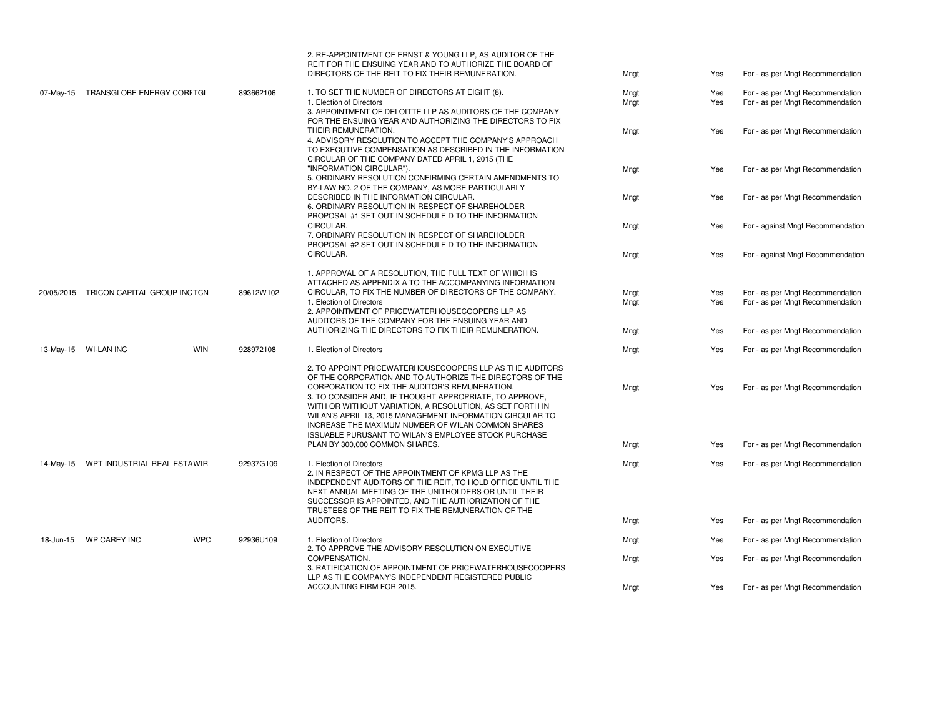|           |                                        |                         | 2. RE-APPOINTMENT OF ERNST & YOUNG LLP. AS AUDITOR OF THE<br>REIT FOR THE ENSUING YEAR AND TO AUTHORIZE THE BOARD OF<br>DIRECTORS OF THE REIT TO FIX THEIR REMUNERATION.                                                                                                                                                                                                                                                                                                 | Mngt | Yes | For - as per Mngt Recommendation  |
|-----------|----------------------------------------|-------------------------|--------------------------------------------------------------------------------------------------------------------------------------------------------------------------------------------------------------------------------------------------------------------------------------------------------------------------------------------------------------------------------------------------------------------------------------------------------------------------|------|-----|-----------------------------------|
| 07-May-15 | TRANSGLOBE ENERGY CORFTGL              | 893662106               | 1. TO SET THE NUMBER OF DIRECTORS AT EIGHT (8).                                                                                                                                                                                                                                                                                                                                                                                                                          | Mngt | Yes | For - as per Mngt Recommendation  |
|           |                                        |                         | 1. Election of Directors<br>3. APPOINTMENT OF DELOITTE LLP AS AUDITORS OF THE COMPANY<br>FOR THE ENSUING YEAR AND AUTHORIZING THE DIRECTORS TO FIX                                                                                                                                                                                                                                                                                                                       | Mngt | Yes | For - as per Mngt Recommendation  |
|           |                                        |                         | THEIR REMUNERATION.<br>4. ADVISORY RESOLUTION TO ACCEPT THE COMPANY'S APPROACH<br>TO EXECUTIVE COMPENSATION AS DESCRIBED IN THE INFORMATION<br>CIRCULAR OF THE COMPANY DATED APRIL 1, 2015 (THE                                                                                                                                                                                                                                                                          | Mngt | Yes | For - as per Mngt Recommendation  |
|           |                                        |                         | "INFORMATION CIRCULAR").<br>5. ORDINARY RESOLUTION CONFIRMING CERTAIN AMENDMENTS TO<br>BY-LAW NO. 2 OF THE COMPANY, AS MORE PARTICULARLY                                                                                                                                                                                                                                                                                                                                 | Mngt | Yes | For - as per Mngt Recommendation  |
|           |                                        |                         | DESCRIBED IN THE INFORMATION CIRCULAR.<br>6. ORDINARY RESOLUTION IN RESPECT OF SHAREHOLDER<br>PROPOSAL #1 SET OUT IN SCHEDULE D TO THE INFORMATION                                                                                                                                                                                                                                                                                                                       | Mngt | Yes | For - as per Mngt Recommendation  |
|           |                                        |                         | CIRCULAR.<br>7. ORDINARY RESOLUTION IN RESPECT OF SHAREHOLDER<br>PROPOSAL #2 SET OUT IN SCHEDULE D TO THE INFORMATION                                                                                                                                                                                                                                                                                                                                                    | Mngt | Yes | For - against Mngt Recommendation |
|           |                                        |                         | CIRCULAR.                                                                                                                                                                                                                                                                                                                                                                                                                                                                | Mngt | Yes | For - against Mngt Recommendation |
|           |                                        |                         | 1. APPROVAL OF A RESOLUTION, THE FULL TEXT OF WHICH IS<br>ATTACHED AS APPENDIX A TO THE ACCOMPANYING INFORMATION                                                                                                                                                                                                                                                                                                                                                         |      |     |                                   |
|           | 20/05/2015 TRICON CAPITAL GROUP INCTCN | 89612W102               | CIRCULAR, TO FIX THE NUMBER OF DIRECTORS OF THE COMPANY.                                                                                                                                                                                                                                                                                                                                                                                                                 | Mngt | Yes | For - as per Mngt Recommendation  |
|           |                                        |                         | 1. Election of Directors<br>2. APPOINTMENT OF PRICEWATERHOUSECOOPERS LLP AS<br>AUDITORS OF THE COMPANY FOR THE ENSUING YEAR AND                                                                                                                                                                                                                                                                                                                                          | Mngt | Yes | For - as per Mngt Recommendation  |
|           |                                        |                         | AUTHORIZING THE DIRECTORS TO FIX THEIR REMUNERATION.                                                                                                                                                                                                                                                                                                                                                                                                                     | Mngt | Yes | For - as per Mngt Recommendation  |
|           | 13-May-15 WI-LAN INC                   | <b>WIN</b><br>928972108 | 1. Election of Directors                                                                                                                                                                                                                                                                                                                                                                                                                                                 | Mngt | Yes | For - as per Mngt Recommendation  |
|           |                                        |                         | 2. TO APPOINT PRICEWATERHOUSECOOPERS LLP AS THE AUDITORS<br>OF THE CORPORATION AND TO AUTHORIZE THE DIRECTORS OF THE<br>CORPORATION TO FIX THE AUDITOR'S REMUNERATION.<br>3. TO CONSIDER AND, IF THOUGHT APPROPRIATE, TO APPROVE,<br>WITH OR WITHOUT VARIATION, A RESOLUTION, AS SET FORTH IN<br>WILAN'S APRIL 13, 2015 MANAGEMENT INFORMATION CIRCULAR TO<br>INCREASE THE MAXIMUM NUMBER OF WILAN COMMON SHARES<br>ISSUABLE PURUSANT TO WILAN'S EMPLOYEE STOCK PURCHASE | Mngt | Yes | For - as per Mngt Recommendation  |
|           |                                        |                         | PLAN BY 300,000 COMMON SHARES.                                                                                                                                                                                                                                                                                                                                                                                                                                           | Mngt | Yes | For - as per Mngt Recommendation  |
| 14-May-15 | WPT INDUSTRIAL REAL ESTAWIR            | 92937G109               | 1. Election of Directors<br>2. IN RESPECT OF THE APPOINTMENT OF KPMG LLP AS THE<br>INDEPENDENT AUDITORS OF THE REIT, TO HOLD OFFICE UNTIL THE<br>NEXT ANNUAL MEETING OF THE UNITHOLDERS OR UNTIL THEIR<br>SUCCESSOR IS APPOINTED, AND THE AUTHORIZATION OF THE<br>TRUSTEES OF THE REIT TO FIX THE REMUNERATION OF THE                                                                                                                                                    | Mngt | Yes | For - as per Mngt Recommendation  |
|           |                                        |                         | AUDITORS.                                                                                                                                                                                                                                                                                                                                                                                                                                                                | Mngt | Yes | For - as per Mngt Recommendation  |
|           | 18-Jun-15 WP CAREY INC                 | <b>WPC</b><br>92936U109 | 1. Election of Directors<br>2. TO APPROVE THE ADVISORY RESOLUTION ON EXECUTIVE                                                                                                                                                                                                                                                                                                                                                                                           | Mngt | Yes | For - as per Mngt Recommendation  |
|           |                                        |                         | <b>COMPENSATION.</b><br>3. RATIFICATION OF APPOINTMENT OF PRICEWATERHOUSECOOPERS<br>LLP AS THE COMPANY'S INDEPENDENT REGISTERED PUBLIC                                                                                                                                                                                                                                                                                                                                   | Mngt | Yes | For - as per Mngt Recommendation  |
|           |                                        |                         | ACCOUNTING FIRM FOR 2015.                                                                                                                                                                                                                                                                                                                                                                                                                                                | Mnat | Yes | For - as per Mngt Recommendation  |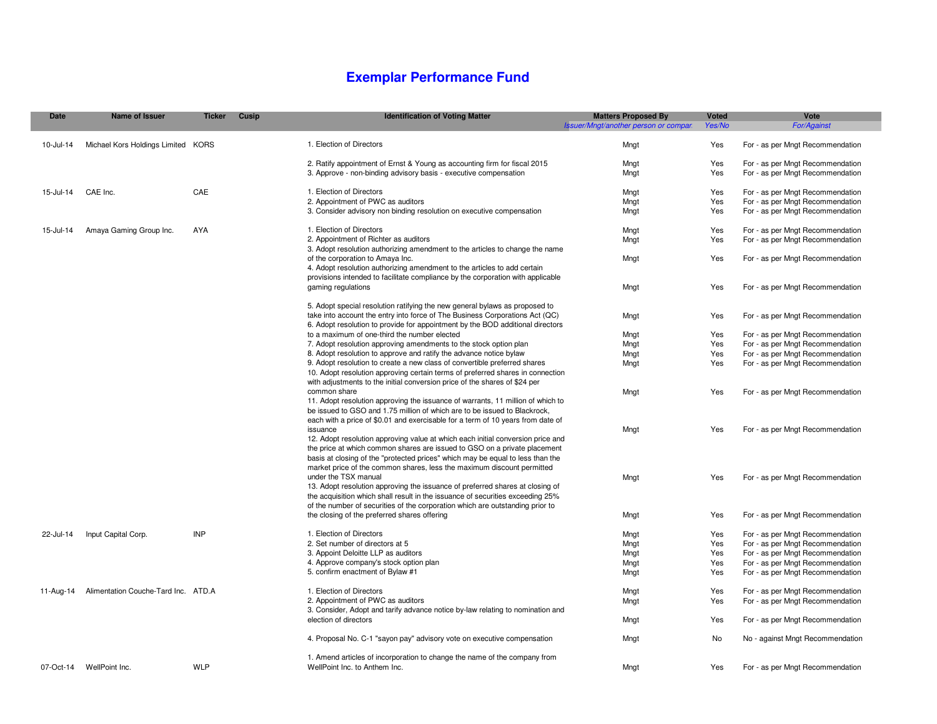### **Exemplar Performance Fund**

| <b>Date</b> | <b>Name of Issuer</b>               | <b>Ticker</b> | Cusip | <b>Identification of Voting Matter</b>                                                                                                                       | <b>Matters Proposed By</b>           | <b>Voted</b> | Vote                             |
|-------------|-------------------------------------|---------------|-------|--------------------------------------------------------------------------------------------------------------------------------------------------------------|--------------------------------------|--------------|----------------------------------|
|             |                                     |               |       |                                                                                                                                                              | Issuer/Mngt/another person or compan | Yes/No       | <b>For/Against</b>               |
| 10-Jul-14   | Michael Kors Holdings Limited KORS  |               |       | 1. Election of Directors                                                                                                                                     | Mngt                                 | Yes          | For - as per Mngt Recommendation |
|             |                                     |               |       | 2. Ratify appointment of Ernst & Young as accounting firm for fiscal 2015                                                                                    | Mngt                                 | Yes          | For - as per Mngt Recommendation |
|             |                                     |               |       | 3. Approve - non-binding advisory basis - executive compensation                                                                                             | Mngt                                 | Yes          | For - as per Mngt Recommendation |
|             |                                     |               |       |                                                                                                                                                              |                                      |              |                                  |
| 15-Jul-14   | CAE Inc.                            | CAE           |       | 1. Election of Directors                                                                                                                                     | Mngt                                 | Yes          | For - as per Mngt Recommendation |
|             |                                     |               |       | 2. Appointment of PWC as auditors                                                                                                                            | Mngt                                 | Yes          | For - as per Mngt Recommendation |
|             |                                     |               |       | 3. Consider advisory non binding resolution on executive compensation                                                                                        | Mngt                                 | Yes          | For - as per Mngt Recommendation |
|             |                                     |               |       |                                                                                                                                                              |                                      |              |                                  |
| 15-Jul-14   | Amaya Gaming Group Inc.             | AYA           |       | 1. Election of Directors                                                                                                                                     | Mngt                                 | Yes          | For - as per Mngt Recommendation |
|             |                                     |               |       | 2. Appointment of Richter as auditors                                                                                                                        | Mngt                                 | Yes          | For - as per Mngt Recommendation |
|             |                                     |               |       | 3. Adopt resolution authorizing amendment to the articles to change the name                                                                                 |                                      |              |                                  |
|             |                                     |               |       | of the corporation to Amaya Inc.                                                                                                                             | Mngt                                 | Yes          | For - as per Mngt Recommendation |
|             |                                     |               |       | 4. Adopt resolution authorizing amendment to the articles to add certain                                                                                     |                                      |              |                                  |
|             |                                     |               |       | provisions intended to facilitate compliance by the corporation with applicable                                                                              |                                      |              |                                  |
|             |                                     |               |       | gaming regulations                                                                                                                                           | Mngt                                 | Yes          | For - as per Mngt Recommendation |
|             |                                     |               |       |                                                                                                                                                              |                                      |              |                                  |
|             |                                     |               |       | 5. Adopt special resolution ratifying the new general bylaws as proposed to                                                                                  |                                      |              |                                  |
|             |                                     |               |       | take into account the entry into force of The Business Corporations Act (QC)                                                                                 | Mngt                                 | Yes          | For - as per Mngt Recommendation |
|             |                                     |               |       | 6. Adopt resolution to provide for appointment by the BOD additional directors                                                                               |                                      |              |                                  |
|             |                                     |               |       | to a maximum of one-third the number elected                                                                                                                 | Mngt                                 | Yes          | For - as per Mngt Recommendation |
|             |                                     |               |       | 7. Adopt resolution approving amendments to the stock option plan                                                                                            | Mngt                                 | Yes          | For - as per Mngt Recommendation |
|             |                                     |               |       | 8. Adopt resolution to approve and ratify the advance notice bylaw                                                                                           | Mngt                                 | Yes          | For - as per Mngt Recommendation |
|             |                                     |               |       | 9. Adopt resolution to create a new class of convertible preferred shares                                                                                    | Mngt                                 | Yes          | For - as per Mngt Recommendation |
|             |                                     |               |       | 10. Adopt resolution approving certain terms of preferred shares in connection                                                                               |                                      |              |                                  |
|             |                                     |               |       | with adjustments to the initial conversion price of the shares of \$24 per                                                                                   |                                      |              |                                  |
|             |                                     |               |       | common share                                                                                                                                                 | Mngt                                 | Yes          | For - as per Mngt Recommendation |
|             |                                     |               |       | 11. Adopt resolution approving the issuance of warrants, 11 million of which to<br>be issued to GSO and 1.75 million of which are to be issued to Blackrock, |                                      |              |                                  |
|             |                                     |               |       | each with a price of \$0.01 and exercisable for a term of 10 years from date of                                                                              |                                      |              |                                  |
|             |                                     |               |       | issuance                                                                                                                                                     | Mngt                                 | Yes          | For - as per Mngt Recommendation |
|             |                                     |               |       | 12. Adopt resolution approving value at which each initial conversion price and                                                                              |                                      |              |                                  |
|             |                                     |               |       | the price at which common shares are issued to GSO on a private placement                                                                                    |                                      |              |                                  |
|             |                                     |               |       | basis at closing of the "protected prices" which may be equal to less than the                                                                               |                                      |              |                                  |
|             |                                     |               |       | market price of the common shares, less the maximum discount permitted                                                                                       |                                      |              |                                  |
|             |                                     |               |       | under the TSX manual                                                                                                                                         | Mngt                                 | Yes          | For - as per Mngt Recommendation |
|             |                                     |               |       | 13. Adopt resolution approving the issuance of preferred shares at closing of                                                                                |                                      |              |                                  |
|             |                                     |               |       | the acquisition which shall result in the issuance of securities exceeding 25%                                                                               |                                      |              |                                  |
|             |                                     |               |       | of the number of securities of the corporation which are outstanding prior to                                                                                |                                      |              |                                  |
|             |                                     |               |       | the closing of the preferred shares offering                                                                                                                 | Mngt                                 | Yes          | For - as per Mngt Recommendation |
| 22-Jul-14   | Input Capital Corp.                 | INP           |       | 1. Election of Directors                                                                                                                                     | Mngt                                 | Yes          | For - as per Mngt Recommendation |
|             |                                     |               |       | 2. Set number of directors at 5                                                                                                                              | Mngt                                 | Yes          | For - as per Mngt Recommendation |
|             |                                     |               |       | 3. Appoint Deloitte LLP as auditors                                                                                                                          | Mngt                                 | Yes          | For - as per Mngt Recommendation |
|             |                                     |               |       | 4. Approve company's stock option plan                                                                                                                       | Mngt                                 | Yes          | For - as per Mngt Recommendation |
|             |                                     |               |       | 5. confirm enactment of Bylaw #1                                                                                                                             | Mngt                                 | Yes          | For - as per Mngt Recommendation |
|             |                                     |               |       |                                                                                                                                                              |                                      |              |                                  |
| 11-Aug-14   | Alimentation Couche-Tard Inc. ATD.A |               |       | 1. Election of Directors                                                                                                                                     | Mngt                                 | Yes          | For - as per Mngt Recommendation |
|             |                                     |               |       | 2. Appointment of PWC as auditors                                                                                                                            | Mngt                                 | Yes          | For - as per Mngt Recommendation |
|             |                                     |               |       | 3. Consider, Adopt and tarify advance notice by-law relating to nomination and                                                                               |                                      |              |                                  |
|             |                                     |               |       | election of directors                                                                                                                                        | Mngt                                 | Yes          | For - as per Mngt Recommendation |
|             |                                     |               |       |                                                                                                                                                              |                                      |              |                                  |
|             |                                     |               |       | 4. Proposal No. C-1 "sayon pay" advisory vote on executive compensation                                                                                      | Mngt                                 | No.          | No - against Mngt Recommendation |
|             |                                     |               |       | 1. Amend articles of incorporation to change the name of the company from                                                                                    |                                      |              |                                  |
|             | 07-Oct-14 WellPoint Inc.            | <b>WLP</b>    |       | WellPoint Inc. to Anthem Inc.                                                                                                                                | Mngt                                 | Yes          | For - as per Mngt Recommendation |
|             |                                     |               |       |                                                                                                                                                              |                                      |              |                                  |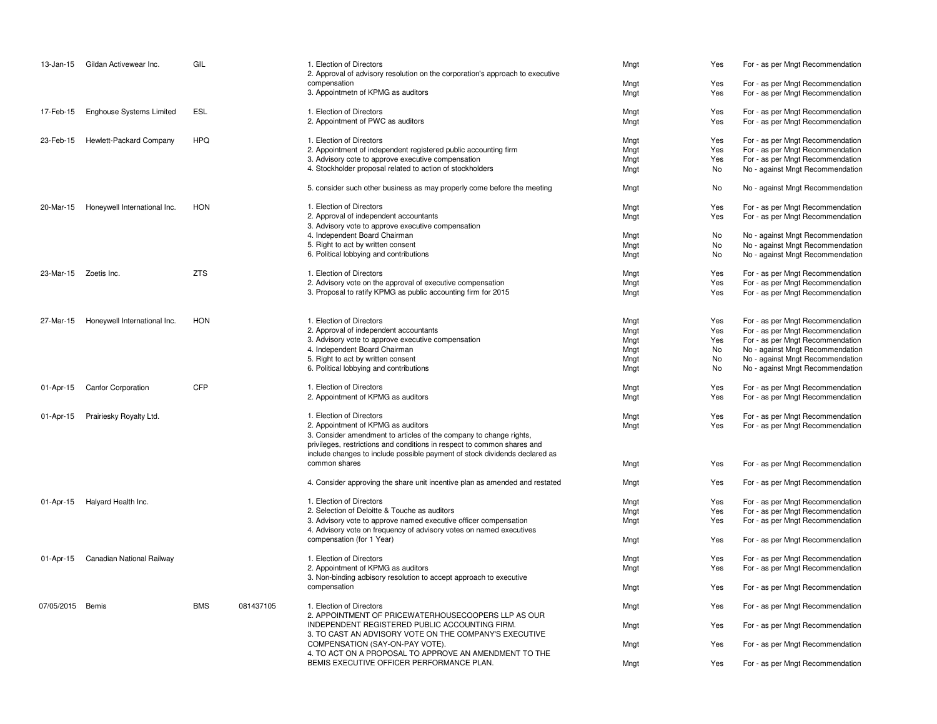| 13-Jan-15             | Gildan Activewear Inc.          | GIL        |           | 1. Election of Directors<br>2. Approval of advisory resolution on the corporation's approach to executive<br>compensation<br>3. Appointmetn of KPMG as auditors                                                             | Mngt<br>Mngt<br>Mngt | Yes<br>Yes<br>Yes | For - as per Mngt Recommendation<br>For - as per Mngt Recommendation<br>For - as per Mngt Recommendation |
|-----------------------|---------------------------------|------------|-----------|-----------------------------------------------------------------------------------------------------------------------------------------------------------------------------------------------------------------------------|----------------------|-------------------|----------------------------------------------------------------------------------------------------------|
|                       |                                 |            |           |                                                                                                                                                                                                                             |                      |                   |                                                                                                          |
| 17-Feb-15             | <b>Enghouse Systems Limited</b> | <b>ESL</b> |           | 1. Election of Directors<br>2. Appointment of PWC as auditors                                                                                                                                                               | Mngt<br>Mngt         | Yes<br>Yes        | For - as per Mngt Recommendation<br>For - as per Mngt Recommendation                                     |
| 23-Feb-15             | Hewlett-Packard Company         | <b>HPQ</b> |           | 1. Election of Directors                                                                                                                                                                                                    | Mngt                 | Yes               | For - as per Mngt Recommendation                                                                         |
|                       |                                 |            |           | 2. Appointment of independent registered public accounting firm                                                                                                                                                             | Mngt                 | Yes               | For - as per Mngt Recommendation                                                                         |
|                       |                                 |            |           | 3. Advisory cote to approve executive compensation                                                                                                                                                                          | Mngt                 | Yes               | For - as per Mngt Recommendation                                                                         |
|                       |                                 |            |           | 4. Stockholder proposal related to action of stockholders                                                                                                                                                                   | Mngt                 | No                | No - against Mngt Recommendation                                                                         |
|                       |                                 |            |           | 5. consider such other business as may properly come before the meeting                                                                                                                                                     | Mngt                 | No                | No - against Mngt Recommendation                                                                         |
| 20-Mar-15             | Honeywell International Inc.    | <b>HON</b> |           | 1. Election of Directors                                                                                                                                                                                                    | Mngt                 | Yes               | For - as per Mngt Recommendation                                                                         |
|                       |                                 |            |           | 2. Approval of independent accountants                                                                                                                                                                                      | Mngt                 | Yes               | For - as per Mngt Recommendation                                                                         |
|                       |                                 |            |           | 3. Advisory vote to approve executive compensation                                                                                                                                                                          |                      |                   |                                                                                                          |
|                       |                                 |            |           | 4. Independent Board Chairman                                                                                                                                                                                               | Mngt                 | No                | No - against Mngt Recommendation                                                                         |
|                       |                                 |            |           | 5. Right to act by written consent                                                                                                                                                                                          | Mngt                 | No                | No - against Mngt Recommendation                                                                         |
|                       |                                 |            |           | 6. Political lobbying and contributions                                                                                                                                                                                     | Mngt                 | No                | No - against Mngt Recommendation                                                                         |
| 23-Mar-15 Zoetis Inc. |                                 | <b>ZTS</b> |           | 1. Election of Directors                                                                                                                                                                                                    | Mngt                 | Yes               | For - as per Mngt Recommendation                                                                         |
|                       |                                 |            |           | 2. Advisory vote on the approval of executive compensation                                                                                                                                                                  | Mngt                 | Yes               | For - as per Mngt Recommendation                                                                         |
|                       |                                 |            |           | 3. Proposal to ratify KPMG as public accounting firm for 2015                                                                                                                                                               | Mngt                 | Yes               | For - as per Mngt Recommendation                                                                         |
| 27-Mar-15             | Honeywell International Inc.    | <b>HON</b> |           | 1. Election of Directors                                                                                                                                                                                                    | Mngt                 | Yes               | For - as per Mngt Recommendation                                                                         |
|                       |                                 |            |           | 2. Approval of independent accountants                                                                                                                                                                                      | Mngt                 | Yes               | For - as per Mngt Recommendation                                                                         |
|                       |                                 |            |           | 3. Advisory vote to approve executive compensation                                                                                                                                                                          | Mngt                 | Yes               | For - as per Mngt Recommendation                                                                         |
|                       |                                 |            |           | 4. Independent Board Chairman                                                                                                                                                                                               | Mngt                 | No                | No - against Mngt Recommendation                                                                         |
|                       |                                 |            |           | 5. Right to act by written consent                                                                                                                                                                                          | Mngt                 | No                | No - against Mngt Recommendation                                                                         |
|                       |                                 |            |           | 6. Political lobbying and contributions                                                                                                                                                                                     | Mngt                 | No                | No - against Mngt Recommendation                                                                         |
| 01-Apr-15             | <b>Canfor Corporation</b>       | <b>CFP</b> |           | 1. Election of Directors                                                                                                                                                                                                    | Mngt                 | Yes               | For - as per Mngt Recommendation                                                                         |
|                       |                                 |            |           | 2. Appointment of KPMG as auditors                                                                                                                                                                                          | Mngt                 | Yes               | For - as per Mngt Recommendation                                                                         |
| 01-Apr-15             | Prairiesky Royalty Ltd.         |            |           | 1. Election of Directors                                                                                                                                                                                                    | Mngt                 | Yes               | For - as per Mngt Recommendation                                                                         |
|                       |                                 |            |           | 2. Appointment of KPMG as auditors                                                                                                                                                                                          | Mngt                 | Yes               | For - as per Mngt Recommendation                                                                         |
|                       |                                 |            |           | 3. Consider amendment to articles of the company to change rights,<br>privileges, restrictions and conditions in respect to common shares and<br>include changes to include possible payment of stock dividends declared as |                      |                   |                                                                                                          |
|                       |                                 |            |           | common shares                                                                                                                                                                                                               | Mngt                 | Yes               | For - as per Mngt Recommendation                                                                         |
|                       |                                 |            |           | 4. Consider approving the share unit incentive plan as amended and restated                                                                                                                                                 | Mngt                 | Yes               | For - as per Mngt Recommendation                                                                         |
| 01-Apr-15             | Halyard Health Inc.             |            |           | 1. Election of Directors                                                                                                                                                                                                    | Mngt                 | Yes               | For - as per Mngt Recommendation                                                                         |
|                       |                                 |            |           | 2. Selection of Deloitte & Touche as auditors                                                                                                                                                                               | Mngt                 | Yes               | For - as per Mngt Recommendation                                                                         |
|                       |                                 |            |           | 3. Advisory vote to approve named executive officer compensation                                                                                                                                                            | Mngt                 | Yes               | For - as per Mngt Recommendation                                                                         |
|                       |                                 |            |           | 4. Advisory vote on frequency of advisory votes on named executives                                                                                                                                                         |                      |                   |                                                                                                          |
|                       |                                 |            |           | compensation (for 1 Year)                                                                                                                                                                                                   | Mngt                 | Yes               | For - as per Mngt Recommendation                                                                         |
| 01-Apr-15             | Canadian National Railway       |            |           | 1. Election of Directors                                                                                                                                                                                                    | Mngt                 | Yes               | For - as per Mngt Recommendation                                                                         |
|                       |                                 |            |           | 2. Appointment of KPMG as auditors                                                                                                                                                                                          | Mngt                 | Yes               | For - as per Mngt Recommendation                                                                         |
|                       |                                 |            |           | 3. Non-binding adbisory resolution to accept approach to executive                                                                                                                                                          |                      |                   |                                                                                                          |
|                       |                                 |            |           | compensation                                                                                                                                                                                                                | Mngt                 | Yes               | For - as per Mngt Recommendation                                                                         |
| 07/05/2015            | Bemis                           | <b>BMS</b> | 081437105 | 1. Election of Directors                                                                                                                                                                                                    | Mngt                 | Yes               | For - as per Mngt Recommendation                                                                         |
|                       |                                 |            |           | 2. APPOINTMENT OF PRICEWATERHOUSECOOPERS LLP AS OUR<br>INDEPENDENT REGISTERED PUBLIC ACCOUNTING FIRM.                                                                                                                       | Mngt                 | Yes               | For - as per Mngt Recommendation                                                                         |
|                       |                                 |            |           | 3. TO CAST AN ADVISORY VOTE ON THE COMPANY'S EXECUTIVE<br>COMPENSATION (SAY-ON-PAY VOTE).                                                                                                                                   | Mngt                 | Yes               | For - as per Mngt Recommendation                                                                         |
|                       |                                 |            |           | 4. TO ACT ON A PROPOSAL TO APPROVE AN AMENDMENT TO THE                                                                                                                                                                      |                      |                   |                                                                                                          |
|                       |                                 |            |           | BEMIS EXECUTIVE OFFICER PERFORMANCE PLAN.                                                                                                                                                                                   | Mngt                 | Yes               | For - as per Mngt Recommendation                                                                         |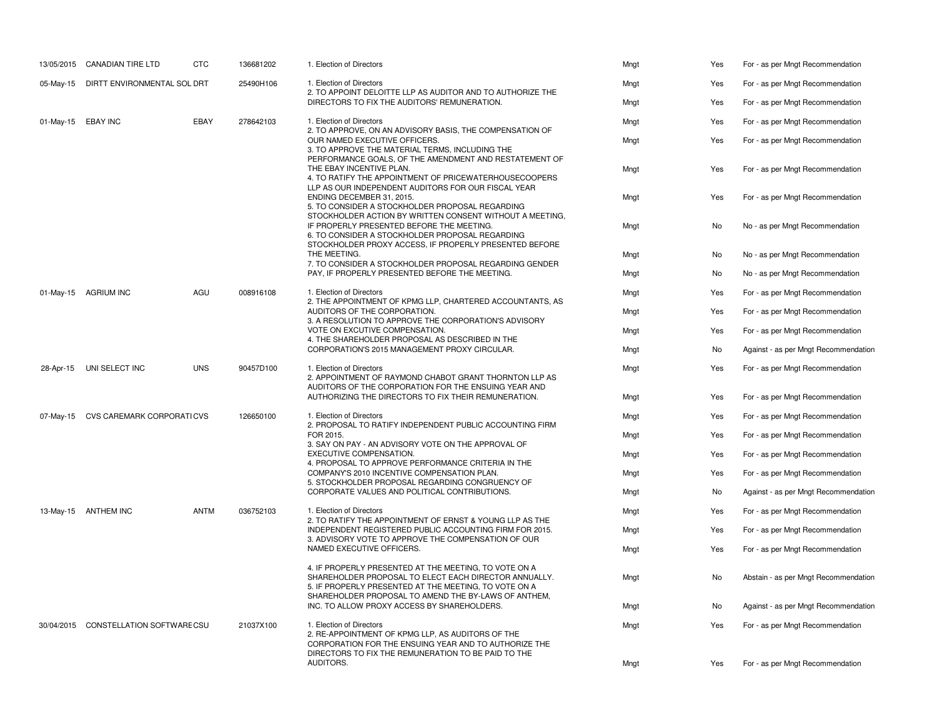|                    | 13/05/2015 CANADIAN TIRE LTD         | <b>CTC</b>  | 136681202 | 1. Election of Directors                                                                                                                                                | Mngt                                                             | Yes  | For - as per Mngt Recommendation     |
|--------------------|--------------------------------------|-------------|-----------|-------------------------------------------------------------------------------------------------------------------------------------------------------------------------|------------------------------------------------------------------|------|--------------------------------------|
| 05-May-15          | DIRTT ENVIRONMENTAL SOL DRT          |             | 25490H106 | 1. Election of Directors<br>2. TO APPOINT DELOITTE LLP AS AUDITOR AND TO AUTHORIZE THE                                                                                  | Mngt                                                             | Yes  | For - as per Mngt Recommendation     |
|                    |                                      |             |           | DIRECTORS TO FIX THE AUDITORS' REMUNERATION.                                                                                                                            | Mngt                                                             | Yes  | For - as per Mngt Recommendation     |
| 01-May-15 EBAY INC |                                      | EBAY        | 278642103 | 1. Election of Directors<br>2. TO APPROVE, ON AN ADVISORY BASIS, THE COMPENSATION OF                                                                                    | Mngt                                                             | Yes  | For - as per Mngt Recommendation     |
|                    |                                      |             |           | OUR NAMED EXECUTIVE OFFICERS.<br>3. TO APPROVE THE MATERIAL TERMS, INCLUDING THE<br>PERFORMANCE GOALS, OF THE AMENDMENT AND RESTATEMENT OF                              | Mngt                                                             | Yes  | For - as per Mngt Recommendation     |
|                    |                                      |             |           | THE EBAY INCENTIVE PLAN.<br>4. TO RATIFY THE APPOINTMENT OF PRICEWATERHOUSECOOPERS<br>LLP AS OUR INDEPENDENT AUDITORS FOR OUR FISCAL YEAR                               | Mngt                                                             | Yes  | For - as per Mngt Recommendation     |
|                    |                                      |             |           | ENDING DECEMBER 31, 2015.<br>5. TO CONSIDER A STOCKHOLDER PROPOSAL REGARDING<br>STOCKHOLDER ACTION BY WRITTEN CONSENT WITHOUT A MEETING.                                | Mngt                                                             | Yes  | For - as per Mngt Recommendation     |
|                    |                                      |             |           | IF PROPERLY PRESENTED BEFORE THE MEETING.<br>6. TO CONSIDER A STOCKHOLDER PROPOSAL REGARDING<br>STOCKHOLDER PROXY ACCESS, IF PROPERLY PRESENTED BEFORE                  | Mngt                                                             | No   | No - as per Mngt Recommendation      |
|                    |                                      |             |           | THE MEETING.                                                                                                                                                            | Mngt                                                             | No   | No - as per Mngt Recommendation      |
|                    |                                      |             |           | 7. TO CONSIDER A STOCKHOLDER PROPOSAL REGARDING GENDER<br>PAY, IF PROPERLY PRESENTED BEFORE THE MEETING.                                                                | Mngt                                                             | No   | No - as per Mngt Recommendation      |
| 01-May-15          | <b>AGRIUM INC</b>                    | AGU         | 008916108 | 1. Election of Directors<br>2. THE APPOINTMENT OF KPMG LLP, CHARTERED ACCOUNTANTS, AS                                                                                   | Mngt                                                             | Yes  | For - as per Mngt Recommendation     |
|                    |                                      |             |           | AUDITORS OF THE CORPORATION.<br>3. A RESOLUTION TO APPROVE THE CORPORATION'S ADVISORY                                                                                   | Mngt                                                             | Yes  | For - as per Mngt Recommendation     |
|                    |                                      |             |           | VOTE ON EXCUTIVE COMPENSATION.<br>4. THE SHAREHOLDER PROPOSAL AS DESCRIBED IN THE                                                                                       | Mngt                                                             | Yes  | For - as per Mngt Recommendation     |
|                    |                                      |             |           | CORPORATION'S 2015 MANAGEMENT PROXY CIRCULAR.                                                                                                                           | Mngt                                                             | No   | Against - as per Mngt Recommendation |
| 28-Apr-15          | UNI SELECT INC                       | <b>UNS</b>  | 90457D100 | 1. Election of Directors<br>2. APPOINTMENT OF RAYMOND CHABOT GRANT THORNTON LLP AS<br>AUDITORS OF THE CORPORATION FOR THE ENSUING YEAR AND                              | Mngt                                                             | Yes  | For - as per Mngt Recommendation     |
|                    |                                      |             |           | AUTHORIZING THE DIRECTORS TO FIX THEIR REMUNERATION.                                                                                                                    | Mngt                                                             | Yes  | For - as per Mngt Recommendation     |
| 07-May-15          | CVS CAREMARK CORPORATICVS            |             | 126650100 | 1. Election of Directors<br>2. PROPOSAL TO RATIFY INDEPENDENT PUBLIC ACCOUNTING FIRM<br>FOR 2015.<br>3. SAY ON PAY - AN ADVISORY VOTE ON THE APPROVAL OF                | Mngt                                                             | Yes  | For - as per Mngt Recommendation     |
|                    |                                      |             |           |                                                                                                                                                                         | Mngt                                                             | Yes  | For - as per Mngt Recommendation     |
|                    |                                      |             |           | EXECUTIVE COMPENSATION.<br>4. PROPOSAL TO APPROVE PERFORMANCE CRITERIA IN THE                                                                                           | Mngt                                                             | Yes  | For - as per Mngt Recommendation     |
|                    |                                      |             |           | COMPANY'S 2010 INCENTIVE COMPENSATION PLAN.<br>5. STOCKHOLDER PROPOSAL REGARDING CONGRUENCY OF                                                                          | Mngt                                                             | Yes  | For - as per Mngt Recommendation     |
|                    |                                      |             |           | CORPORATE VALUES AND POLITICAL CONTRIBUTIONS.                                                                                                                           | Mngt                                                             | No   | Against - as per Mngt Recommendation |
|                    | 13-May-15 ANTHEM INC                 | <b>ANTM</b> | 036752103 | 1. Election of Directors<br>2. TO RATIFY THE APPOINTMENT OF ERNST & YOUNG LLP AS THE                                                                                    | Mngt                                                             | Yes  | For - as per Mngt Recommendation     |
|                    |                                      |             |           | INDEPENDENT REGISTERED PUBLIC ACCOUNTING FIRM FOR 2015.<br>3. ADVISORY VOTE TO APPROVE THE COMPENSATION OF OUR                                                          | Mngt                                                             | Yes  | For - as per Mngt Recommendation     |
|                    |                                      |             |           | NAMED EXECUTIVE OFFICERS.                                                                                                                                               | Mngt                                                             | Yes  | For - as per Mngt Recommendation     |
|                    |                                      |             |           | 4. IF PROPERLY PRESENTED AT THE MEETING, TO VOTE ON A<br>SHAREHOLDER PROPOSAL TO ELECT EACH DIRECTOR ANNUALLY.<br>5. IF PROPERLY PRESENTED AT THE MEETING, TO VOTE ON A | Mngt                                                             | No   | Abstain - as per Mngt Recommendation |
|                    |                                      |             |           | SHAREHOLDER PROPOSAL TO AMEND THE BY-LAWS OF ANTHEM,<br>INC. TO ALLOW PROXY ACCESS BY SHAREHOLDERS.                                                                     | Mngt                                                             | No   | Against - as per Mngt Recommendation |
|                    | 30/04/2015 CONSTELLATION SOFTWARECSU |             | 21037X100 | 1. Election of Directors<br>2. RE-APPOINTMENT OF KPMG LLP, AS AUDITORS OF THE<br>CORPORATION FOR THE ENSUING YEAR AND TO AUTHORIZE THE                                  | Mngt                                                             | Yes  | For - as per Mngt Recommendation     |
|                    |                                      |             |           |                                                                                                                                                                         | DIRECTORS TO FIX THE REMUNERATION TO BE PAID TO THE<br>AUDITORS. | Mngt | Yes                                  |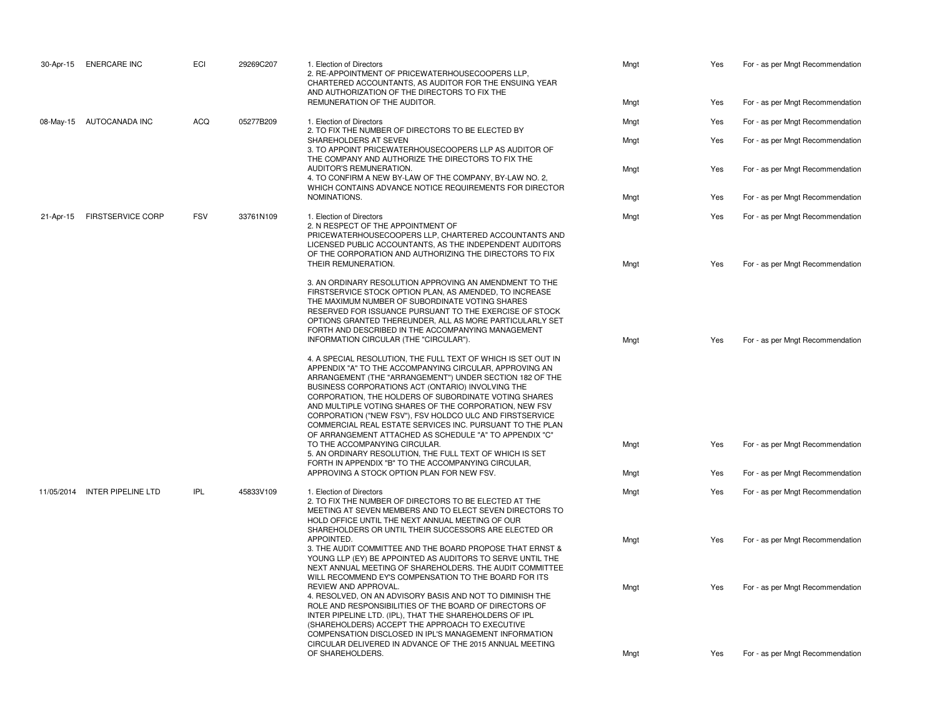| 30-Apr-15 | <b>ENERCARE INC</b>           | ECI        | 29269C207 | 1. Election of Directors<br>2. RE-APPOINTMENT OF PRICEWATERHOUSECOOPERS LLP,<br>CHARTERED ACCOUNTANTS, AS AUDITOR FOR THE ENSUING YEAR<br>AND AUTHORIZATION OF THE DIRECTORS TO FIX THE                                                                                                                                                                                                                                                                                                                                                          | Mngt | Yes | For - as per Mngt Recommendation |
|-----------|-------------------------------|------------|-----------|--------------------------------------------------------------------------------------------------------------------------------------------------------------------------------------------------------------------------------------------------------------------------------------------------------------------------------------------------------------------------------------------------------------------------------------------------------------------------------------------------------------------------------------------------|------|-----|----------------------------------|
|           |                               |            |           | REMUNERATION OF THE AUDITOR.                                                                                                                                                                                                                                                                                                                                                                                                                                                                                                                     | Mngt | Yes | For - as per Mngt Recommendation |
|           | 08-May-15 AUTOCANADA INC      | <b>ACQ</b> | 05277B209 | 1. Election of Directors<br>2. TO FIX THE NUMBER OF DIRECTORS TO BE ELECTED BY                                                                                                                                                                                                                                                                                                                                                                                                                                                                   | Mngt | Yes | For - as per Mngt Recommendation |
|           |                               |            |           | SHAREHOLDERS AT SEVEN<br>3. TO APPOINT PRICEWATERHOUSECOOPERS LLP AS AUDITOR OF<br>THE COMPANY AND AUTHORIZE THE DIRECTORS TO FIX THE                                                                                                                                                                                                                                                                                                                                                                                                            | Mngt | Yes | For - as per Mngt Recommendation |
|           |                               |            |           | AUDITOR'S REMUNERATION.<br>4. TO CONFIRM A NEW BY-LAW OF THE COMPANY, BY-LAW NO. 2,<br>WHICH CONTAINS ADVANCE NOTICE REQUIREMENTS FOR DIRECTOR                                                                                                                                                                                                                                                                                                                                                                                                   | Mngt | Yes | For - as per Mngt Recommendation |
|           |                               |            |           | NOMINATIONS.                                                                                                                                                                                                                                                                                                                                                                                                                                                                                                                                     | Mngt | Yes | For - as per Mngt Recommendation |
| 21-Apr-15 | <b>FIRSTSERVICE CORP</b>      | <b>FSV</b> | 33761N109 | 1. Election of Directors<br>2. N RESPECT OF THE APPOINTMENT OF<br>PRICEWATERHOUSECOOPERS LLP, CHARTERED ACCOUNTANTS AND<br>LICENSED PUBLIC ACCOUNTANTS, AS THE INDEPENDENT AUDITORS<br>OF THE CORPORATION AND AUTHORIZING THE DIRECTORS TO FIX                                                                                                                                                                                                                                                                                                   | Mngt | Yes | For - as per Mngt Recommendation |
|           |                               |            |           | THEIR REMUNERATION.                                                                                                                                                                                                                                                                                                                                                                                                                                                                                                                              | Mngt | Yes | For - as per Mngt Recommendation |
|           |                               |            |           | 3. AN ORDINARY RESOLUTION APPROVING AN AMENDMENT TO THE<br>FIRSTSERVICE STOCK OPTION PLAN, AS AMENDED, TO INCREASE<br>THE MAXIMUM NUMBER OF SUBORDINATE VOTING SHARES<br>RESERVED FOR ISSUANCE PURSUANT TO THE EXERCISE OF STOCK<br>OPTIONS GRANTED THEREUNDER, ALL AS MORE PARTICULARLY SET<br>FORTH AND DESCRIBED IN THE ACCOMPANYING MANAGEMENT<br>INFORMATION CIRCULAR (THE "CIRCULAR").                                                                                                                                                     | Mngt | Yes | For - as per Mngt Recommendation |
|           |                               |            |           | 4. A SPECIAL RESOLUTION, THE FULL TEXT OF WHICH IS SET OUT IN<br>APPENDIX "A" TO THE ACCOMPANYING CIRCULAR, APPROVING AN<br>ARRANGEMENT (THE "ARRANGEMENT") UNDER SECTION 182 OF THE<br>BUSINESS CORPORATIONS ACT (ONTARIO) INVOLVING THE<br>CORPORATION, THE HOLDERS OF SUBORDINATE VOTING SHARES<br>AND MULTIPLE VOTING SHARES OF THE CORPORATION, NEW FSV<br>CORPORATION ("NEW FSV"), FSV HOLDCO ULC AND FIRSTSERVICE<br>COMMERCIAL REAL ESTATE SERVICES INC. PURSUANT TO THE PLAN<br>OF ARRANGEMENT ATTACHED AS SCHEDULE "A" TO APPENDIX "C" |      |     |                                  |
|           |                               |            |           | TO THE ACCOMPANYING CIRCULAR.<br>5. AN ORDINARY RESOLUTION, THE FULL TEXT OF WHICH IS SET<br>FORTH IN APPENDIX "B" TO THE ACCOMPANYING CIRCULAR,                                                                                                                                                                                                                                                                                                                                                                                                 | Mngt | Yes | For - as per Mngt Recommendation |
|           |                               |            |           | APPROVING A STOCK OPTION PLAN FOR NEW FSV.                                                                                                                                                                                                                                                                                                                                                                                                                                                                                                       | Mngt | Yes | For - as per Mngt Recommendation |
|           | 11/05/2014 INTER PIPELINE LTD | IPL        | 45833V109 | 1. Election of Directors<br>2. TO FIX THE NUMBER OF DIRECTORS TO BE ELECTED AT THE<br>MEETING AT SEVEN MEMBERS AND TO ELECT SEVEN DIRECTORS TO<br>HOLD OFFICE UNTIL THE NEXT ANNUAL MEETING OF OUR<br>SHAREHOLDERS OR UNTIL THEIR SUCCESSORS ARE ELECTED OR                                                                                                                                                                                                                                                                                      | Mngt | Yes | For - as per Mngt Recommendation |
|           |                               |            |           | APPOINTED.<br>3. THE AUDIT COMMITTEE AND THE BOARD PROPOSE THAT ERNST &<br>YOUNG LLP (EY) BE APPOINTED AS AUDITORS TO SERVE UNTIL THE<br>NEXT ANNUAL MEETING OF SHAREHOLDERS. THE AUDIT COMMITTEE<br>WILL RECOMMEND EY'S COMPENSATION TO THE BOARD FOR ITS                                                                                                                                                                                                                                                                                       | Mngt | Yes | For - as per Mngt Recommendation |
|           |                               |            |           | REVIEW AND APPROVAL.<br>4. RESOLVED, ON AN ADVISORY BASIS AND NOT TO DIMINISH THE<br>ROLE AND RESPONSIBILITIES OF THE BOARD OF DIRECTORS OF<br>INTER PIPELINE LTD. (IPL), THAT THE SHAREHOLDERS OF IPL<br>(SHAREHOLDERS) ACCEPT THE APPROACH TO EXECUTIVE<br>COMPENSATION DISCLOSED IN IPL'S MANAGEMENT INFORMATION<br>CIRCULAR DELIVERED IN ADVANCE OF THE 2015 ANNUAL MEETING                                                                                                                                                                  | Mngt | Yes | For - as per Mngt Recommendation |
|           |                               |            |           | OF SHAREHOLDERS.                                                                                                                                                                                                                                                                                                                                                                                                                                                                                                                                 | Mngt | Yes | For - as per Mngt Recommendation |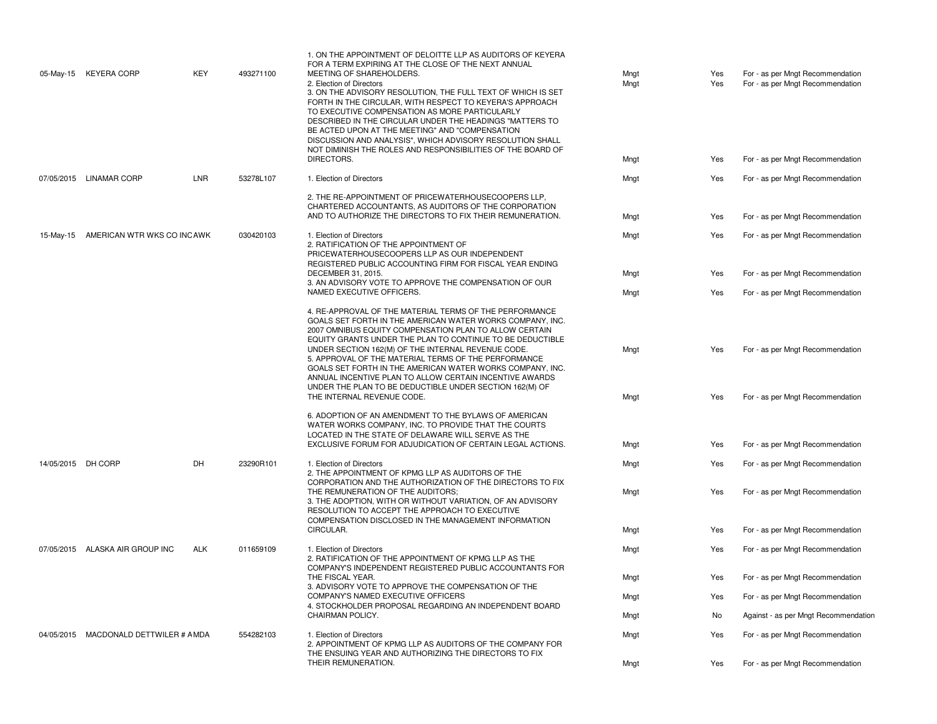|                    | 05-May-15 KEYERA CORP                 | KEY        | 493271100 | 1. ON THE APPOINTMENT OF DELOITTE LLP AS AUDITORS OF KEYERA<br>FOR A TERM EXPIRING AT THE CLOSE OF THE NEXT ANNUAL<br>MEETING OF SHAREHOLDERS.<br>2. Election of Directors<br>3. ON THE ADVISORY RESOLUTION, THE FULL TEXT OF WHICH IS SET<br>FORTH IN THE CIRCULAR, WITH RESPECT TO KEYERA'S APPROACH<br>TO EXECUTIVE COMPENSATION AS MORE PARTICULARLY<br>DESCRIBED IN THE CIRCULAR UNDER THE HEADINGS "MATTERS TO<br>BE ACTED UPON AT THE MEETING" AND "COMPENSATION<br>DISCUSSION AND ANALYSIS", WHICH ADVISORY RESOLUTION SHALL<br>NOT DIMINISH THE ROLES AND RESPONSIBILITIES OF THE BOARD OF<br>DIRECTORS. | Mngt<br>Mngt<br>Mngt | Yes<br>Yes<br>Yes | For - as per Mngt Recommendation<br>For - as per Mngt Recommendation<br>For - as per Mngt Recommendation |
|--------------------|---------------------------------------|------------|-----------|-------------------------------------------------------------------------------------------------------------------------------------------------------------------------------------------------------------------------------------------------------------------------------------------------------------------------------------------------------------------------------------------------------------------------------------------------------------------------------------------------------------------------------------------------------------------------------------------------------------------|----------------------|-------------------|----------------------------------------------------------------------------------------------------------|
|                    | 07/05/2015 LINAMAR CORP               | <b>LNR</b> | 53278L107 | 1. Election of Directors                                                                                                                                                                                                                                                                                                                                                                                                                                                                                                                                                                                          | Mngt                 | Yes               | For - as per Mngt Recommendation                                                                         |
|                    |                                       |            |           | 2. THE RE-APPOINTMENT OF PRICEWATERHOUSECOOPERS LLP,<br>CHARTERED ACCOUNTANTS, AS AUDITORS OF THE CORPORATION<br>AND TO AUTHORIZE THE DIRECTORS TO FIX THEIR REMUNERATION.                                                                                                                                                                                                                                                                                                                                                                                                                                        | Mngt                 | Yes               | For - as per Mngt Recommendation                                                                         |
| 15-May-15          | AMERICAN WTR WKS CO INCAWK            |            | 030420103 | 1. Election of Directors<br>2. RATIFICATION OF THE APPOINTMENT OF<br>PRICEWATERHOUSECOOPERS LLP AS OUR INDEPENDENT<br>REGISTERED PUBLIC ACCOUNTING FIRM FOR FISCAL YEAR ENDING                                                                                                                                                                                                                                                                                                                                                                                                                                    | Mngt                 | Yes               | For - as per Mngt Recommendation                                                                         |
|                    |                                       |            |           | DECEMBER 31, 2015.<br>3. AN ADVISORY VOTE TO APPROVE THE COMPENSATION OF OUR                                                                                                                                                                                                                                                                                                                                                                                                                                                                                                                                      | Mngt                 | Yes               | For - as per Mngt Recommendation                                                                         |
|                    |                                       |            |           | NAMED EXECUTIVE OFFICERS.                                                                                                                                                                                                                                                                                                                                                                                                                                                                                                                                                                                         | Mngt                 | Yes               | For - as per Mngt Recommendation                                                                         |
|                    |                                       |            |           | 4. RE-APPROVAL OF THE MATERIAL TERMS OF THE PERFORMANCE<br>GOALS SET FORTH IN THE AMERICAN WATER WORKS COMPANY, INC.<br>2007 OMNIBUS EQUITY COMPENSATION PLAN TO ALLOW CERTAIN<br>EQUITY GRANTS UNDER THE PLAN TO CONTINUE TO BE DEDUCTIBLE<br>UNDER SECTION 162(M) OF THE INTERNAL REVENUE CODE.<br>5. APPROVAL OF THE MATERIAL TERMS OF THE PERFORMANCE<br>GOALS SET FORTH IN THE AMERICAN WATER WORKS COMPANY, INC.<br>ANNUAL INCENTIVE PLAN TO ALLOW CERTAIN INCENTIVE AWARDS<br>UNDER THE PLAN TO BE DEDUCTIBLE UNDER SECTION 162(M) OF<br>THE INTERNAL REVENUE CODE.                                        | Mngt<br>Mngt         | Yes<br>Yes        | For - as per Mngt Recommendation<br>For - as per Mngt Recommendation                                     |
|                    |                                       |            |           | 6. ADOPTION OF AN AMENDMENT TO THE BYLAWS OF AMERICAN<br>WATER WORKS COMPANY, INC. TO PROVIDE THAT THE COURTS<br>LOCATED IN THE STATE OF DELAWARE WILL SERVE AS THE<br>EXCLUSIVE FORUM FOR ADJUDICATION OF CERTAIN LEGAL ACTIONS.                                                                                                                                                                                                                                                                                                                                                                                 | Mngt                 | Yes               | For - as per Mngt Recommendation                                                                         |
| 14/05/2015 DH CORP |                                       | DH         | 23290R101 | 1. Election of Directors<br>2. THE APPOINTMENT OF KPMG LLP AS AUDITORS OF THE                                                                                                                                                                                                                                                                                                                                                                                                                                                                                                                                     | Mngt                 | Yes               | For - as per Mngt Recommendation                                                                         |
|                    |                                       |            |           | CORPORATION AND THE AUTHORIZATION OF THE DIRECTORS TO FIX<br>THE REMUNERATION OF THE AUDITORS;<br>3. THE ADOPTION, WITH OR WITHOUT VARIATION, OF AN ADVISORY<br>RESOLUTION TO ACCEPT THE APPROACH TO EXECUTIVE<br>COMPENSATION DISCLOSED IN THE MANAGEMENT INFORMATION                                                                                                                                                                                                                                                                                                                                            | Mngt                 | Yes               | For - as per Mngt Recommendation                                                                         |
|                    |                                       |            |           | CIRCULAR.                                                                                                                                                                                                                                                                                                                                                                                                                                                                                                                                                                                                         | Mngt                 | Yes               | For - as per Mngt Recommendation                                                                         |
|                    | 07/05/2015 ALASKA AIR GROUP INC       | <b>ALK</b> | 011659109 | 1. Election of Directors<br>2. RATIFICATION OF THE APPOINTMENT OF KPMG LLP AS THE                                                                                                                                                                                                                                                                                                                                                                                                                                                                                                                                 | Mngt                 | Yes               | For - as per Mngt Recommendation                                                                         |
|                    |                                       |            |           | COMPANY'S INDEPENDENT REGISTERED PUBLIC ACCOUNTANTS FOR<br>THE FISCAL YEAR.<br>3. ADVISORY VOTE TO APPROVE THE COMPENSATION OF THE                                                                                                                                                                                                                                                                                                                                                                                                                                                                                | Mngt                 | Yes               | For - as per Mngt Recommendation                                                                         |
|                    |                                       |            |           | COMPANY'S NAMED EXECUTIVE OFFICERS<br>4. STOCKHOLDER PROPOSAL REGARDING AN INDEPENDENT BOARD                                                                                                                                                                                                                                                                                                                                                                                                                                                                                                                      | Mngt                 | Yes               | For - as per Mngt Recommendation                                                                         |
|                    |                                       |            |           | CHAIRMAN POLICY.                                                                                                                                                                                                                                                                                                                                                                                                                                                                                                                                                                                                  | Mngt                 | No                | Against - as per Mngt Recommendation                                                                     |
|                    | 04/05/2015 MACDONALD DETTWILER # AMDA |            | 554282103 | 1. Election of Directors<br>2. APPOINTMENT OF KPMG LLP AS AUDITORS OF THE COMPANY FOR<br>THE ENSUING YEAR AND AUTHORIZING THE DIRECTORS TO FIX                                                                                                                                                                                                                                                                                                                                                                                                                                                                    | Mngt                 | Yes               | For - as per Mngt Recommendation                                                                         |
|                    |                                       |            |           | THEIR REMUNERATION.                                                                                                                                                                                                                                                                                                                                                                                                                                                                                                                                                                                               | Mngt                 | Yes               | For - as per Mngt Recommendation                                                                         |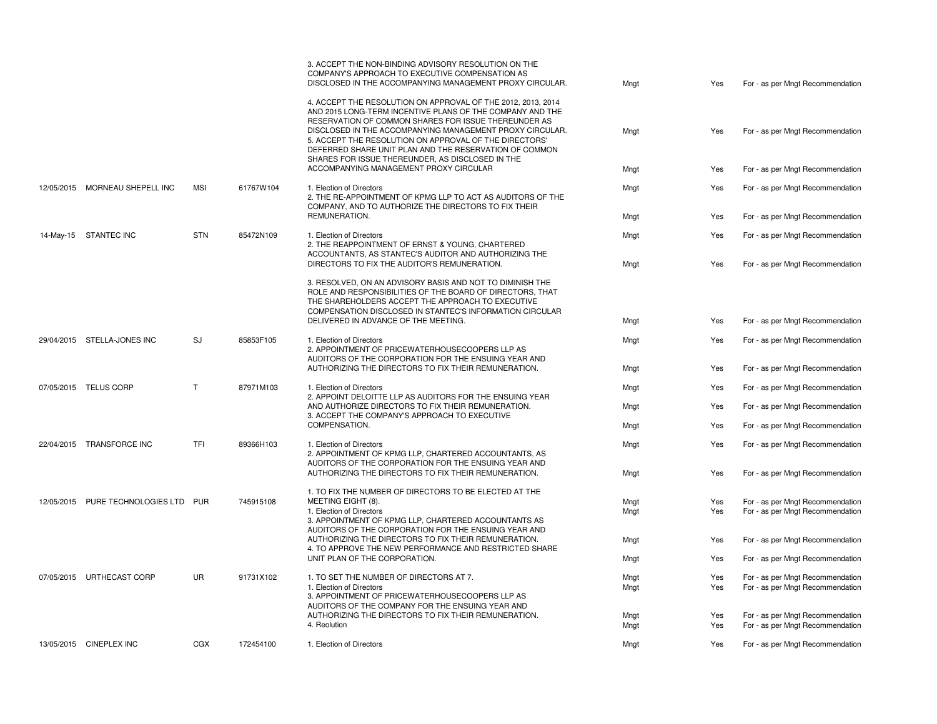|                                  |            |                                                                                                                                                                                                                                                                                                                                                                                                                       | 3. ACCEPT THE NON-BINDING ADVISORY RESOLUTION ON THE<br>COMPANY'S APPROACH TO EXECUTIVE COMPENSATION AS<br>DISCLOSED IN THE ACCOMPANYING MANAGEMENT PROXY CIRCULAR.                                                                     | Mngt | Yes                              | For - as per Mngt Recommendation |
|----------------------------------|------------|-----------------------------------------------------------------------------------------------------------------------------------------------------------------------------------------------------------------------------------------------------------------------------------------------------------------------------------------------------------------------------------------------------------------------|-----------------------------------------------------------------------------------------------------------------------------------------------------------------------------------------------------------------------------------------|------|----------------------------------|----------------------------------|
|                                  |            | 4. ACCEPT THE RESOLUTION ON APPROVAL OF THE 2012, 2013, 2014<br>AND 2015 LONG-TERM INCENTIVE PLANS OF THE COMPANY AND THE<br>RESERVATION OF COMMON SHARES FOR ISSUE THEREUNDER AS<br>DISCLOSED IN THE ACCOMPANYING MANAGEMENT PROXY CIRCULAR.<br>5. ACCEPT THE RESOLUTION ON APPROVAL OF THE DIRECTORS'<br>DEFERRED SHARE UNIT PLAN AND THE RESERVATION OF COMMON<br>SHARES FOR ISSUE THEREUNDER, AS DISCLOSED IN THE | Mngt                                                                                                                                                                                                                                    | Yes  | For - as per Mngt Recommendation |                                  |
|                                  |            |                                                                                                                                                                                                                                                                                                                                                                                                                       | ACCOMPANYING MANAGEMENT PROXY CIRCULAR                                                                                                                                                                                                  | Mngt | Yes                              | For - as per Mngt Recommendation |
| 12/05/2015 MORNEAU SHEPELL INC   | <b>MSI</b> | 61767W104                                                                                                                                                                                                                                                                                                                                                                                                             | 1. Election of Directors<br>2. THE RE-APPOINTMENT OF KPMG LLP TO ACT AS AUDITORS OF THE<br>COMPANY, AND TO AUTHORIZE THE DIRECTORS TO FIX THEIR                                                                                         | Mngt | Yes                              | For - as per Mngt Recommendation |
|                                  |            |                                                                                                                                                                                                                                                                                                                                                                                                                       | REMUNERATION.                                                                                                                                                                                                                           | Mngt | Yes                              | For - as per Mngt Recommendation |
| 14-May-15 STANTEC INC            | <b>STN</b> | 85472N109                                                                                                                                                                                                                                                                                                                                                                                                             | 1. Election of Directors<br>2. THE REAPPOINTMENT OF ERNST & YOUNG, CHARTERED<br>ACCOUNTANTS, AS STANTEC'S AUDITOR AND AUTHORIZING THE                                                                                                   | Mngt | Yes                              | For - as per Mngt Recommendation |
|                                  |            |                                                                                                                                                                                                                                                                                                                                                                                                                       | DIRECTORS TO FIX THE AUDITOR'S REMUNERATION.                                                                                                                                                                                            | Mngt | Yes                              | For - as per Mngt Recommendation |
|                                  |            |                                                                                                                                                                                                                                                                                                                                                                                                                       | 3. RESOLVED, ON AN ADVISORY BASIS AND NOT TO DIMINISH THE<br>ROLE AND RESPONSIBILITIES OF THE BOARD OF DIRECTORS, THAT<br>THE SHAREHOLDERS ACCEPT THE APPROACH TO EXECUTIVE<br>COMPENSATION DISCLOSED IN STANTEC'S INFORMATION CIRCULAR |      |                                  |                                  |
|                                  |            |                                                                                                                                                                                                                                                                                                                                                                                                                       | DELIVERED IN ADVANCE OF THE MEETING.                                                                                                                                                                                                    | Mngt | Yes                              | For - as per Mngt Recommendation |
| 29/04/2015 STELLA-JONES INC      | <b>SJ</b>  | 85853F105                                                                                                                                                                                                                                                                                                                                                                                                             | 1. Election of Directors<br>2. APPOINTMENT OF PRICEWATERHOUSECOOPERS LLP AS<br>AUDITORS OF THE CORPORATION FOR THE ENSUING YEAR AND                                                                                                     | Mngt | Yes                              | For - as per Mngt Recommendation |
|                                  |            |                                                                                                                                                                                                                                                                                                                                                                                                                       | AUTHORIZING THE DIRECTORS TO FIX THEIR REMUNERATION.                                                                                                                                                                                    | Mngt | Yes                              | For - as per Mngt Recommendation |
| 07/05/2015 TELUS CORP            | T          | 87971M103                                                                                                                                                                                                                                                                                                                                                                                                             | 1. Election of Directors<br>2. APPOINT DELOITTE LLP AS AUDITORS FOR THE ENSUING YEAR                                                                                                                                                    | Mngt | Yes                              | For - as per Mngt Recommendation |
|                                  |            |                                                                                                                                                                                                                                                                                                                                                                                                                       | AND AUTHORIZE DIRECTORS TO FIX THEIR REMUNERATION.<br>3. ACCEPT THE COMPANY'S APPROACH TO EXECUTIVE                                                                                                                                     | Mngt | Yes                              | For - as per Mngt Recommendation |
|                                  |            |                                                                                                                                                                                                                                                                                                                                                                                                                       | COMPENSATION.                                                                                                                                                                                                                           | Mngt | Yes                              | For - as per Mngt Recommendation |
| 22/04/2015 TRANSFORCE INC        | <b>TFI</b> | 89366H103                                                                                                                                                                                                                                                                                                                                                                                                             | 1. Election of Directors<br>2. APPOINTMENT OF KPMG LLP, CHARTERED ACCOUNTANTS, AS<br>AUDITORS OF THE CORPORATION FOR THE ENSUING YEAR AND                                                                                               | Mngt | Yes                              | For - as per Mngt Recommendation |
|                                  |            |                                                                                                                                                                                                                                                                                                                                                                                                                       | AUTHORIZING THE DIRECTORS TO FIX THEIR REMUNERATION.                                                                                                                                                                                    | Mngt | Yes                              | For - as per Mngt Recommendation |
| 12/05/2015 PURE TECHNOLOGIES LTD | PUR        | 745915108                                                                                                                                                                                                                                                                                                                                                                                                             | 1. TO FIX THE NUMBER OF DIRECTORS TO BE ELECTED AT THE<br>MEETING EIGHT (8).                                                                                                                                                            | Mngt | Yes                              | For - as per Mngt Recommendation |
|                                  |            |                                                                                                                                                                                                                                                                                                                                                                                                                       | 1. Election of Directors<br>3. APPOINTMENT OF KPMG LLP, CHARTERED ACCOUNTANTS AS<br>AUDITORS OF THE CORPORATION FOR THE ENSUING YEAR AND                                                                                                | Mngt | Yes                              | For - as per Mngt Recommendation |
|                                  |            |                                                                                                                                                                                                                                                                                                                                                                                                                       | AUTHORIZING THE DIRECTORS TO FIX THEIR REMUNERATION.<br>4. TO APPROVE THE NEW PERFORMANCE AND RESTRICTED SHARE                                                                                                                          | Mngt | Yes                              | For - as per Mngt Recommendation |
|                                  |            |                                                                                                                                                                                                                                                                                                                                                                                                                       | UNIT PLAN OF THE CORPORATION.                                                                                                                                                                                                           | Mngt | Yes                              | For - as per Mngt Recommendation |
| 07/05/2015 URTHECAST CORP        | UR         | 91731X102                                                                                                                                                                                                                                                                                                                                                                                                             | 1. TO SET THE NUMBER OF DIRECTORS AT 7.                                                                                                                                                                                                 | Mngt | Yes                              | For - as per Mngt Recommendation |
|                                  |            |                                                                                                                                                                                                                                                                                                                                                                                                                       | 1. Election of Directors<br>3. APPOINTMENT OF PRICEWATERHOUSECOOPERS LLP AS<br>AUDITORS OF THE COMPANY FOR THE ENSUING YEAR AND                                                                                                         | Mngt | Yes                              | For - as per Mngt Recommendation |
|                                  |            |                                                                                                                                                                                                                                                                                                                                                                                                                       | AUTHORIZING THE DIRECTORS TO FIX THEIR REMUNERATION.                                                                                                                                                                                    | Mngt | Yes                              | For - as per Mngt Recommendation |
|                                  |            |                                                                                                                                                                                                                                                                                                                                                                                                                       | 4. Reolution                                                                                                                                                                                                                            | Mngt | Yes                              | For - as per Mngt Recommendation |
| 13/05/2015 CINEPLEX INC          | CGX        | 172454100                                                                                                                                                                                                                                                                                                                                                                                                             | 1. Election of Directors                                                                                                                                                                                                                | Mngt | Yes                              | For - as per Mngt Recommendation |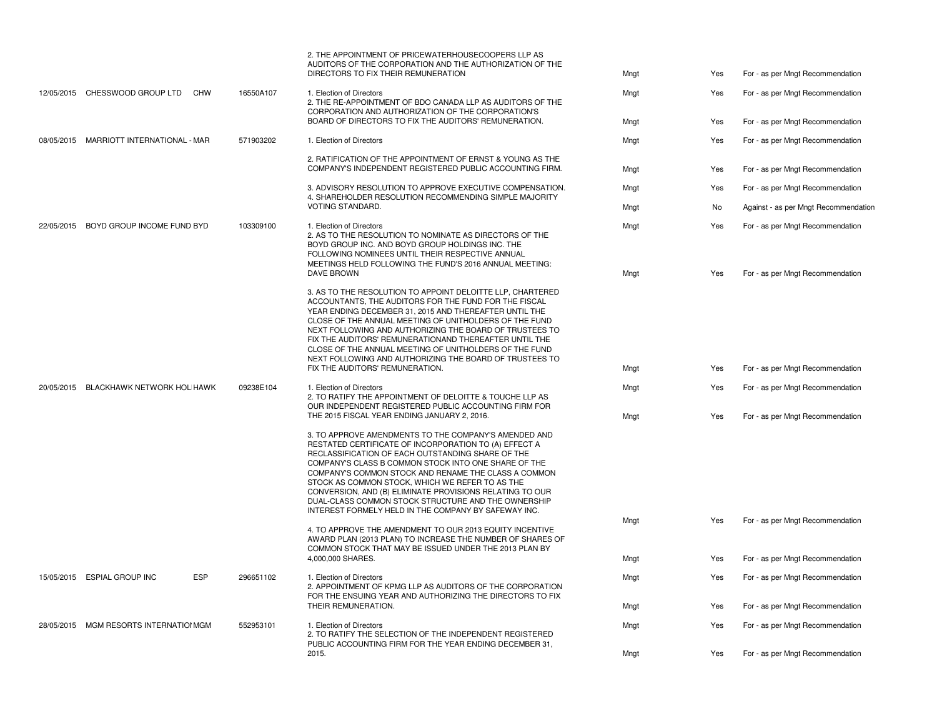|            |                                           |           | 2. THE APPOINTMENT OF PRICEWATERHOUSECOOPERS LLP AS<br>AUDITORS OF THE CORPORATION AND THE AUTHORIZATION OF THE<br>DIRECTORS TO FIX THEIR REMUNERATION                                                                                                                                                                                                                                                                                                                                                            | Mngt         | Yes        | For - as per Mngt Recommendation                                     |
|------------|-------------------------------------------|-----------|-------------------------------------------------------------------------------------------------------------------------------------------------------------------------------------------------------------------------------------------------------------------------------------------------------------------------------------------------------------------------------------------------------------------------------------------------------------------------------------------------------------------|--------------|------------|----------------------------------------------------------------------|
|            | 12/05/2015 CHESSWOOD GROUP LTD<br>CHW     | 16550A107 | 1. Election of Directors<br>2. THE RE-APPOINTMENT OF BDO CANADA LLP AS AUDITORS OF THE<br>CORPORATION AND AUTHORIZATION OF THE CORPORATION'S                                                                                                                                                                                                                                                                                                                                                                      | Mngt         | Yes        | For - as per Mngt Recommendation                                     |
|            |                                           |           | BOARD OF DIRECTORS TO FIX THE AUDITORS' REMUNERATION.                                                                                                                                                                                                                                                                                                                                                                                                                                                             | Mngt         | Yes        | For - as per Mngt Recommendation                                     |
| 08/05/2015 | MARRIOTT INTERNATIONAL - MAR              | 571903202 | 1. Election of Directors                                                                                                                                                                                                                                                                                                                                                                                                                                                                                          | Mngt         | Yes        | For - as per Mngt Recommendation                                     |
|            |                                           |           | 2. RATIFICATION OF THE APPOINTMENT OF ERNST & YOUNG AS THE<br>COMPANY'S INDEPENDENT REGISTERED PUBLIC ACCOUNTING FIRM.                                                                                                                                                                                                                                                                                                                                                                                            | Mngt         | Yes        | For - as per Mngt Recommendation                                     |
|            |                                           |           | 3. ADVISORY RESOLUTION TO APPROVE EXECUTIVE COMPENSATION.<br>4. SHAREHOLDER RESOLUTION RECOMMENDING SIMPLE MAJORITY                                                                                                                                                                                                                                                                                                                                                                                               | Mngt         | Yes        | For - as per Mngt Recommendation                                     |
|            |                                           |           | VOTING STANDARD.                                                                                                                                                                                                                                                                                                                                                                                                                                                                                                  | Mngt         | No         | Against - as per Mngt Recommendation                                 |
| 22/05/2015 | BOYD GROUP INCOME FUND BYD                | 103309100 | 1. Election of Directors<br>2. AS TO THE RESOLUTION TO NOMINATE AS DIRECTORS OF THE<br>BOYD GROUP INC. AND BOYD GROUP HOLDINGS INC. THE<br>FOLLOWING NOMINEES UNTIL THEIR RESPECTIVE ANNUAL<br>MEETINGS HELD FOLLOWING THE FUND'S 2016 ANNUAL MEETING:<br><b>DAVE BROWN</b>                                                                                                                                                                                                                                       | Mngt<br>Mngt | Yes<br>Yes | For - as per Mngt Recommendation<br>For - as per Mngt Recommendation |
|            |                                           |           | 3. AS TO THE RESOLUTION TO APPOINT DELOITTE LLP, CHARTERED<br>ACCOUNTANTS, THE AUDITORS FOR THE FUND FOR THE FISCAL<br>YEAR ENDING DECEMBER 31, 2015 AND THEREAFTER UNTIL THE<br>CLOSE OF THE ANNUAL MEETING OF UNITHOLDERS OF THE FUND<br>NEXT FOLLOWING AND AUTHORIZING THE BOARD OF TRUSTEES TO<br>FIX THE AUDITORS' REMUNERATIONAND THEREAFTER UNTIL THE<br>CLOSE OF THE ANNUAL MEETING OF UNITHOLDERS OF THE FUND<br>NEXT FOLLOWING AND AUTHORIZING THE BOARD OF TRUSTEES TO                                 |              |            |                                                                      |
|            |                                           |           | FIX THE AUDITORS' REMUNERATION.                                                                                                                                                                                                                                                                                                                                                                                                                                                                                   | Mngt         | Yes        | For - as per Mngt Recommendation                                     |
|            | 20/05/2015 BLACKHAWK NETWORK HOL HAWK     | 09238E104 | 1. Election of Directors<br>2. TO RATIFY THE APPOINTMENT OF DELOITTE & TOUCHE LLP AS<br>OUR INDEPENDENT REGISTERED PUBLIC ACCOUNTING FIRM FOR                                                                                                                                                                                                                                                                                                                                                                     | Mngt         | Yes        | For - as per Mngt Recommendation                                     |
|            |                                           |           | THE 2015 FISCAL YEAR ENDING JANUARY 2, 2016.                                                                                                                                                                                                                                                                                                                                                                                                                                                                      | Mngt         | Yes        | For - as per Mngt Recommendation                                     |
|            |                                           |           | 3. TO APPROVE AMENDMENTS TO THE COMPANY'S AMENDED AND<br>RESTATED CERTIFICATE OF INCORPORATION TO (A) EFFECT A<br>RECLASSIFICATION OF EACH OUTSTANDING SHARE OF THE<br>COMPANY'S CLASS B COMMON STOCK INTO ONE SHARE OF THE<br>COMPANY'S COMMON STOCK AND RENAME THE CLASS A COMMON<br>STOCK AS COMMON STOCK, WHICH WE REFER TO AS THE<br>CONVERSION, AND (B) ELIMINATE PROVISIONS RELATING TO OUR<br>DUAL-CLASS COMMON STOCK STRUCTURE AND THE OWNERSHIP<br>INTEREST FORMELY HELD IN THE COMPANY BY SAFEWAY INC. |              |            |                                                                      |
|            |                                           |           | 4. TO APPROVE THE AMENDMENT TO OUR 2013 EQUITY INCENTIVE<br>AWARD PLAN (2013 PLAN) TO INCREASE THE NUMBER OF SHARES OF<br>COMMON STOCK THAT MAY BE ISSUED UNDER THE 2013 PLAN BY                                                                                                                                                                                                                                                                                                                                  | Mngt         | Yes        | For - as per Mngt Recommendation                                     |
|            |                                           |           | 4.000.000 SHARES.                                                                                                                                                                                                                                                                                                                                                                                                                                                                                                 | Mngt         | Yes        | For - as per Mngt Recommendation                                     |
|            | <b>ESP</b><br>15/05/2015 ESPIAL GROUP INC | 296651102 | 1. Election of Directors<br>2. APPOINTMENT OF KPMG LLP AS AUDITORS OF THE CORPORATION<br>FOR THE ENSUING YEAR AND AUTHORIZING THE DIRECTORS TO FIX                                                                                                                                                                                                                                                                                                                                                                | Mngt         | Yes        | For - as per Mngt Recommendation                                     |
|            |                                           |           | THEIR REMUNERATION.                                                                                                                                                                                                                                                                                                                                                                                                                                                                                               | Mngt         | Yes        | For - as per Mngt Recommendation                                     |
|            | 28/05/2015 MGM RESORTS INTERNATION GM     | 552953101 | 1. Election of Directors<br>2. TO RATIFY THE SELECTION OF THE INDEPENDENT REGISTERED<br>PUBLIC ACCOUNTING FIRM FOR THE YEAR ENDING DECEMBER 31,                                                                                                                                                                                                                                                                                                                                                                   | Mngt         | Yes        | For - as per Mngt Recommendation                                     |
|            |                                           |           | 2015.                                                                                                                                                                                                                                                                                                                                                                                                                                                                                                             | Mngt         | Yes        | For - as per Mngt Recommendation                                     |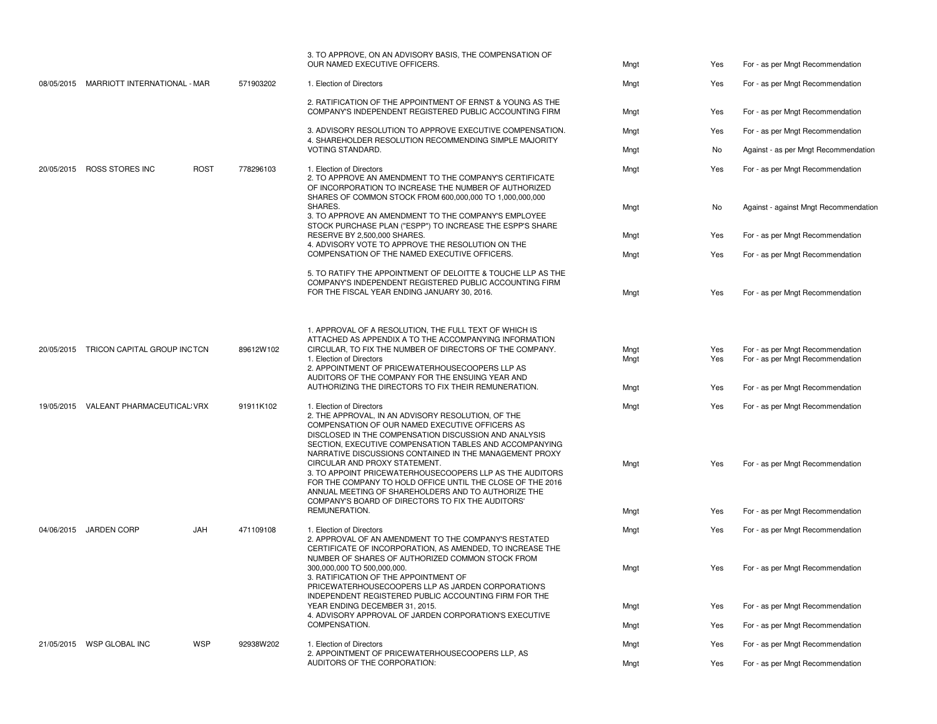|                                         |                          | 3. TO APPROVE, ON AN ADVISORY BASIS, THE COMPENSATION OF<br>OUR NAMED EXECUTIVE OFFICERS.                                                                                                                                                                                                                                                                                                                                                                                                                              | Mngt                 | Yes               | For - as per Mngt Recommendation                                                                         |
|-----------------------------------------|--------------------------|------------------------------------------------------------------------------------------------------------------------------------------------------------------------------------------------------------------------------------------------------------------------------------------------------------------------------------------------------------------------------------------------------------------------------------------------------------------------------------------------------------------------|----------------------|-------------------|----------------------------------------------------------------------------------------------------------|
| 08/05/2015 MARRIOTT INTERNATIONAL - MAR | 571903202                | 1. Election of Directors                                                                                                                                                                                                                                                                                                                                                                                                                                                                                               | Mngt                 | Yes               | For - as per Mngt Recommendation                                                                         |
|                                         |                          | 2. RATIFICATION OF THE APPOINTMENT OF ERNST & YOUNG AS THE<br>COMPANY'S INDEPENDENT REGISTERED PUBLIC ACCOUNTING FIRM                                                                                                                                                                                                                                                                                                                                                                                                  | Mngt                 | Yes               | For - as per Mngt Recommendation                                                                         |
|                                         |                          | 3. ADVISORY RESOLUTION TO APPROVE EXECUTIVE COMPENSATION.                                                                                                                                                                                                                                                                                                                                                                                                                                                              | Mngt                 | Yes               | For - as per Mngt Recommendation                                                                         |
|                                         |                          | 4. SHAREHOLDER RESOLUTION RECOMMENDING SIMPLE MAJORITY<br>VOTING STANDARD.                                                                                                                                                                                                                                                                                                                                                                                                                                             | Mngt                 | No                | Against - as per Mngt Recommendation                                                                     |
| 20/05/2015 ROSS STORES INC              | <b>ROST</b><br>778296103 | 1. Election of Directors<br>2. TO APPROVE AN AMENDMENT TO THE COMPANY'S CERTIFICATE<br>OF INCORPORATION TO INCREASE THE NUMBER OF AUTHORIZED                                                                                                                                                                                                                                                                                                                                                                           | Mngt                 | Yes               | For - as per Mngt Recommendation                                                                         |
|                                         |                          | SHARES OF COMMON STOCK FROM 600,000,000 TO 1,000,000,000<br>SHARES.<br>3. TO APPROVE AN AMENDMENT TO THE COMPANY'S EMPLOYEE                                                                                                                                                                                                                                                                                                                                                                                            | Mngt                 | No                | Against - against Mngt Recommendation                                                                    |
|                                         |                          | STOCK PURCHASE PLAN ("ESPP") TO INCREASE THE ESPP'S SHARE<br>RESERVE BY 2,500,000 SHARES.                                                                                                                                                                                                                                                                                                                                                                                                                              | Mngt                 | Yes               | For - as per Mngt Recommendation                                                                         |
|                                         |                          | 4. ADVISORY VOTE TO APPROVE THE RESOLUTION ON THE<br>COMPENSATION OF THE NAMED EXECUTIVE OFFICERS.                                                                                                                                                                                                                                                                                                                                                                                                                     | Mngt                 | Yes               | For - as per Mngt Recommendation                                                                         |
|                                         |                          | 5. TO RATIFY THE APPOINTMENT OF DELOITTE & TOUCHE LLP AS THE<br>COMPANY'S INDEPENDENT REGISTERED PUBLIC ACCOUNTING FIRM<br>FOR THE FISCAL YEAR ENDING JANUARY 30, 2016.                                                                                                                                                                                                                                                                                                                                                | Mngt                 | Yes               | For - as per Mngt Recommendation                                                                         |
| 20/05/2015 TRICON CAPITAL GROUP INCTCN  | 89612W102                | 1. APPROVAL OF A RESOLUTION, THE FULL TEXT OF WHICH IS<br>ATTACHED AS APPENDIX A TO THE ACCOMPANYING INFORMATION<br>CIRCULAR, TO FIX THE NUMBER OF DIRECTORS OF THE COMPANY.<br>1. Election of Directors<br>2. APPOINTMENT OF PRICEWATERHOUSECOOPERS LLP AS<br>AUDITORS OF THE COMPANY FOR THE ENSUING YEAR AND<br>AUTHORIZING THE DIRECTORS TO FIX THEIR REMUNERATION.                                                                                                                                                | Mngt<br>Mngt<br>Mngt | Yes<br>Yes<br>Yes | For - as per Mngt Recommendation<br>For - as per Mngt Recommendation<br>For - as per Mngt Recommendation |
| 19/05/2015 VALEANT PHARMACEUTICAL VRX   | 91911K102                | 1. Election of Directors<br>2. THE APPROVAL, IN AN ADVISORY RESOLUTION, OF THE                                                                                                                                                                                                                                                                                                                                                                                                                                         | Mngt                 | Yes               | For - as per Mngt Recommendation                                                                         |
|                                         |                          | COMPENSATION OF OUR NAMED EXECUTIVE OFFICERS AS<br>DISCLOSED IN THE COMPENSATION DISCUSSION AND ANALYSIS<br>SECTION, EXECUTIVE COMPENSATION TABLES AND ACCOMPANYING<br>NARRATIVE DISCUSSIONS CONTAINED IN THE MANAGEMENT PROXY<br>CIRCULAR AND PROXY STATEMENT.<br>3. TO APPOINT PRICEWATERHOUSECOOPERS LLP AS THE AUDITORS<br>FOR THE COMPANY TO HOLD OFFICE UNTIL THE CLOSE OF THE 2016<br>ANNUAL MEETING OF SHAREHOLDERS AND TO AUTHORIZE THE<br>COMPANY'S BOARD OF DIRECTORS TO FIX THE AUDITORS'<br>REMUNERATION. | Mngt<br>Mngt         | Yes<br>Yes        | For - as per Mngt Recommendation<br>For - as per Mngt Recommendation                                     |
| 04/06/2015 JARDEN CORP                  | JAH<br>471109108         | 1. Election of Directors                                                                                                                                                                                                                                                                                                                                                                                                                                                                                               | Mngt                 | Yes               | For - as per Mngt Recommendation                                                                         |
|                                         |                          | 2. APPROVAL OF AN AMENDMENT TO THE COMPANY'S RESTATED<br>CERTIFICATE OF INCORPORATION, AS AMENDED, TO INCREASE THE<br>NUMBER OF SHARES OF AUTHORIZED COMMON STOCK FROM<br>300,000,000 TO 500,000,000.<br>3. RATIFICATION OF THE APPOINTMENT OF<br>PRICEWATERHOUSECOOPERS LLP AS JARDEN CORPORATION'S                                                                                                                                                                                                                   | Mngt                 | Yes               | For - as per Mngt Recommendation                                                                         |
|                                         |                          | INDEPENDENT REGISTERED PUBLIC ACCOUNTING FIRM FOR THE<br>YEAR ENDING DECEMBER 31, 2015.                                                                                                                                                                                                                                                                                                                                                                                                                                | Mngt                 | Yes               | For - as per Mngt Recommendation                                                                         |
|                                         |                          | 4. ADVISORY APPROVAL OF JARDEN CORPORATION'S EXECUTIVE<br>COMPENSATION.                                                                                                                                                                                                                                                                                                                                                                                                                                                | Mngt                 | Yes               | For - as per Mngt Recommendation                                                                         |
| 21/05/2015 WSP GLOBAL INC               | <b>WSP</b><br>92938W202  | 1. Election of Directors                                                                                                                                                                                                                                                                                                                                                                                                                                                                                               | Mngt                 | Yes               | For - as per Mngt Recommendation                                                                         |
|                                         |                          | 2. APPOINTMENT OF PRICEWATERHOUSECOOPERS LLP, AS<br>AUDITORS OF THE CORPORATION:                                                                                                                                                                                                                                                                                                                                                                                                                                       | Mngt                 | Yes               | For - as per Mngt Recommendation                                                                         |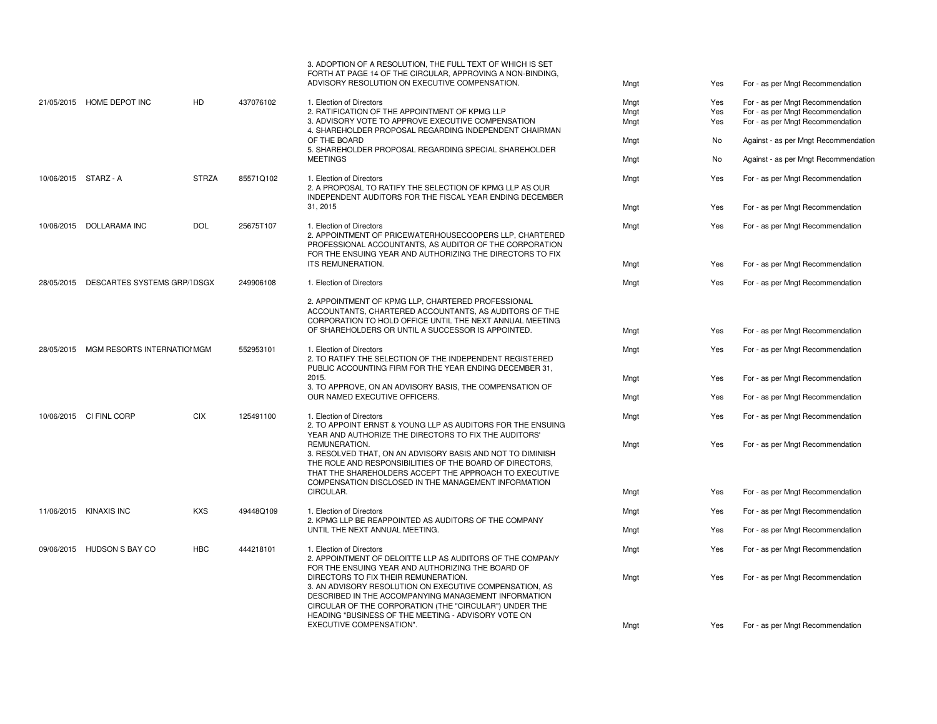|  |                                        |              |                                                                                                                                                                                                                                                                          | 3. ADOPTION OF A RESOLUTION. THE FULL TEXT OF WHICH IS SET<br>FORTH AT PAGE 14 OF THE CIRCULAR, APPROVING A NON-BINDING,<br>ADVISORY RESOLUTION ON EXECUTIVE COMPENSATION.                                                                                | Mngt | Yes                              | For - as per Mngt Recommendation     |
|--|----------------------------------------|--------------|--------------------------------------------------------------------------------------------------------------------------------------------------------------------------------------------------------------------------------------------------------------------------|-----------------------------------------------------------------------------------------------------------------------------------------------------------------------------------------------------------------------------------------------------------|------|----------------------------------|--------------------------------------|
|  | 21/05/2015 HOME DEPOT INC              | HD           | 437076102                                                                                                                                                                                                                                                                | 1. Election of Directors                                                                                                                                                                                                                                  | Mngt | Yes                              | For - as per Mngt Recommendation     |
|  |                                        |              |                                                                                                                                                                                                                                                                          | 2. RATIFICATION OF THE APPOINTMENT OF KPMG LLP                                                                                                                                                                                                            | Mngt | Yes                              | For - as per Mngt Recommendation     |
|  |                                        |              |                                                                                                                                                                                                                                                                          | 3. ADVISORY VOTE TO APPROVE EXECUTIVE COMPENSATION<br>4. SHAREHOLDER PROPOSAL REGARDING INDEPENDENT CHAIRMAN                                                                                                                                              | Mngt | Yes                              | For - as per Mngt Recommendation     |
|  |                                        |              |                                                                                                                                                                                                                                                                          | OF THE BOARD<br>5. SHAREHOLDER PROPOSAL REGARDING SPECIAL SHAREHOLDER                                                                                                                                                                                     | Mngt | No                               | Against - as per Mngt Recommendation |
|  |                                        |              |                                                                                                                                                                                                                                                                          | <b>MEETINGS</b>                                                                                                                                                                                                                                           | Mngt | No                               | Against - as per Mngt Recommendation |
|  | 10/06/2015 STARZ - A                   | <b>STRZA</b> | 85571Q102                                                                                                                                                                                                                                                                | 1. Election of Directors<br>2. A PROPOSAL TO RATIFY THE SELECTION OF KPMG LLP AS OUR<br>INDEPENDENT AUDITORS FOR THE FISCAL YEAR ENDING DECEMBER                                                                                                          | Mngt | Yes                              | For - as per Mngt Recommendation     |
|  |                                        |              |                                                                                                                                                                                                                                                                          | 31, 2015                                                                                                                                                                                                                                                  | Mngt | Yes                              | For - as per Mngt Recommendation     |
|  | 10/06/2015 DOLLARAMA INC               | <b>DOL</b>   | 25675T107                                                                                                                                                                                                                                                                | 1. Election of Directors<br>2. APPOINTMENT OF PRICEWATERHOUSECOOPERS LLP, CHARTERED<br>PROFESSIONAL ACCOUNTANTS, AS AUDITOR OF THE CORPORATION<br>FOR THE ENSUING YEAR AND AUTHORIZING THE DIRECTORS TO FIX                                               | Mngt | Yes                              | For - as per Mngt Recommendation     |
|  |                                        |              |                                                                                                                                                                                                                                                                          | ITS REMUNERATION.                                                                                                                                                                                                                                         | Mngt | Yes                              | For - as per Mngt Recommendation     |
|  | 28/05/2015 DESCARTES SYSTEMS GRP/IDSGX |              | 249906108                                                                                                                                                                                                                                                                | 1. Election of Directors                                                                                                                                                                                                                                  | Mngt | Yes                              | For - as per Mngt Recommendation     |
|  |                                        |              | 2. APPOINTMENT OF KPMG LLP, CHARTERED PROFESSIONAL<br>OF SHAREHOLDERS OR UNTIL A SUCCESSOR IS APPOINTED.                                                                                                                                                                 | ACCOUNTANTS, CHARTERED ACCOUNTANTS, AS AUDITORS OF THE<br>CORPORATION TO HOLD OFFICE UNTIL THE NEXT ANNUAL MEETING                                                                                                                                        | Mngt | Yes                              | For - as per Mngt Recommendation     |
|  | 28/05/2015 MGM RESORTS INTERNATION GM  |              | 552953101                                                                                                                                                                                                                                                                | 1. Election of Directors<br>2. TO RATIFY THE SELECTION OF THE INDEPENDENT REGISTERED<br>PUBLIC ACCOUNTING FIRM FOR THE YEAR ENDING DECEMBER 31,                                                                                                           | Mngt | Yes                              | For - as per Mngt Recommendation     |
|  |                                        |              | 2015.<br>3. TO APPROVE, ON AN ADVISORY BASIS, THE COMPENSATION OF                                                                                                                                                                                                        | Mngt                                                                                                                                                                                                                                                      | Yes  | For - as per Mngt Recommendation |                                      |
|  |                                        |              | OUR NAMED EXECUTIVE OFFICERS.                                                                                                                                                                                                                                            | Mngt                                                                                                                                                                                                                                                      | Yes  | For - as per Mngt Recommendation |                                      |
|  | 10/06/2015 CI FINL CORP                | <b>CIX</b>   | 125491100                                                                                                                                                                                                                                                                | 1. Election of Directors<br>2. TO APPOINT ERNST & YOUNG LLP AS AUDITORS FOR THE ENSUING<br>YEAR AND AUTHORIZE THE DIRECTORS TO FIX THE AUDITORS'                                                                                                          | Mngt | Yes                              | For - as per Mngt Recommendation     |
|  |                                        |              |                                                                                                                                                                                                                                                                          | REMUNERATION.<br>3. RESOLVED THAT, ON AN ADVISORY BASIS AND NOT TO DIMINISH<br>THE ROLE AND RESPONSIBILITIES OF THE BOARD OF DIRECTORS,<br>THAT THE SHAREHOLDERS ACCEPT THE APPROACH TO EXECUTIVE<br>COMPENSATION DISCLOSED IN THE MANAGEMENT INFORMATION | Mngt | Yes                              | For - as per Mngt Recommendation     |
|  |                                        |              |                                                                                                                                                                                                                                                                          | CIRCULAR.                                                                                                                                                                                                                                                 | Mngt | Yes                              | For - as per Mngt Recommendation     |
|  | 11/06/2015 KINAXIS INC                 | <b>KXS</b>   | 49448Q109                                                                                                                                                                                                                                                                | 1. Election of Directors<br>2. KPMG LLP BE REAPPOINTED AS AUDITORS OF THE COMPANY                                                                                                                                                                         | Mngt | Yes                              | For - as per Mngt Recommendation     |
|  |                                        |              |                                                                                                                                                                                                                                                                          | UNTIL THE NEXT ANNUAL MEETING.                                                                                                                                                                                                                            | Mngt | Yes                              | For - as per Mngt Recommendation     |
|  | 09/06/2015 HUDSON S BAY CO             | <b>HBC</b>   | 444218101                                                                                                                                                                                                                                                                | 1. Election of Directors<br>2. APPOINTMENT OF DELOITTE LLP AS AUDITORS OF THE COMPANY<br>FOR THE ENSUING YEAR AND AUTHORIZING THE BOARD OF                                                                                                                | Mngt | Yes                              | For - as per Mngt Recommendation     |
|  |                                        |              | DIRECTORS TO FIX THEIR REMUNERATION.<br>3. AN ADVISORY RESOLUTION ON EXECUTIVE COMPENSATION, AS<br>DESCRIBED IN THE ACCOMPANYING MANAGEMENT INFORMATION<br>CIRCULAR OF THE CORPORATION (THE "CIRCULAR") UNDER THE<br>HEADING "BUSINESS OF THE MEETING - ADVISORY VOTE ON | Mngt                                                                                                                                                                                                                                                      | Yes  | For - as per Mngt Recommendation |                                      |
|  |                                        |              |                                                                                                                                                                                                                                                                          | EXECUTIVE COMPENSATION".                                                                                                                                                                                                                                  | Mngt | Yes                              | For - as per Mngt Recommendation     |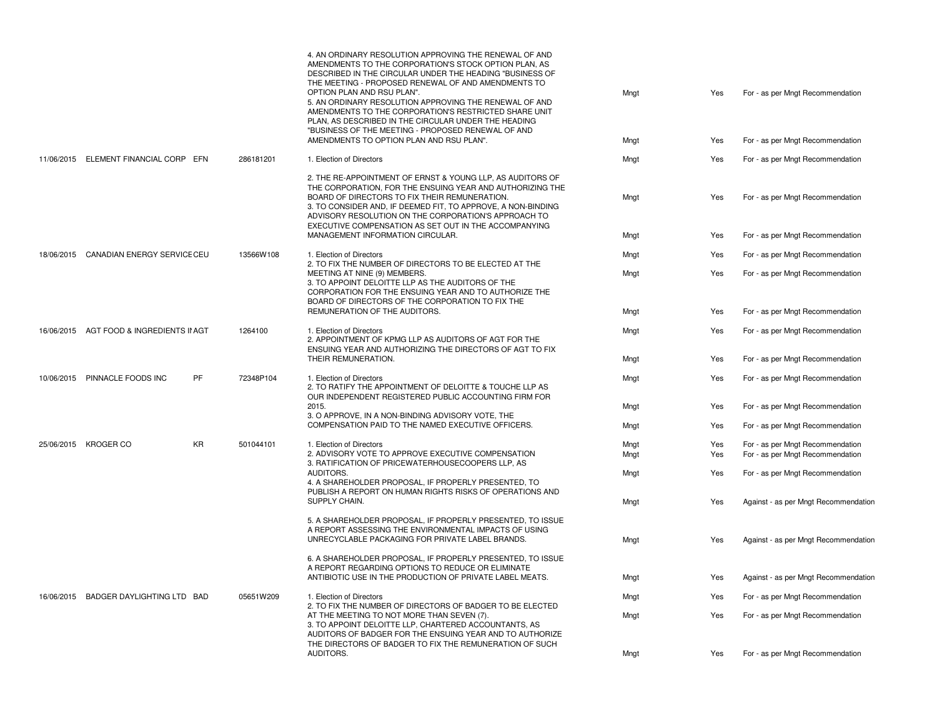|                                          |    |           | 4. AN ORDINARY RESOLUTION APPROVING THE RENEWAL OF AND<br>AMENDMENTS TO THE CORPORATION'S STOCK OPTION PLAN, AS<br>DESCRIBED IN THE CIRCULAR UNDER THE HEADING "BUSINESS OF<br>THE MEETING - PROPOSED RENEWAL OF AND AMENDMENTS TO<br>OPTION PLAN AND RSU PLAN".<br>5. AN ORDINARY RESOLUTION APPROVING THE RENEWAL OF AND<br>AMENDMENTS TO THE CORPORATION'S RESTRICTED SHARE UNIT<br>PLAN, AS DESCRIBED IN THE CIRCULAR UNDER THE HEADING<br>"BUSINESS OF THE MEETING - PROPOSED RENEWAL OF AND | Mngt | Yes | For - as per Mngt Recommendation     |
|------------------------------------------|----|-----------|---------------------------------------------------------------------------------------------------------------------------------------------------------------------------------------------------------------------------------------------------------------------------------------------------------------------------------------------------------------------------------------------------------------------------------------------------------------------------------------------------|------|-----|--------------------------------------|
|                                          |    |           | AMENDMENTS TO OPTION PLAN AND RSU PLAN".                                                                                                                                                                                                                                                                                                                                                                                                                                                          | Mngt | Yes | For - as per Mngt Recommendation     |
| 11/06/2015 ELEMENT FINANCIAL CORP EFN    |    | 286181201 | 1. Election of Directors                                                                                                                                                                                                                                                                                                                                                                                                                                                                          | Mngt | Yes | For - as per Mngt Recommendation     |
|                                          |    |           | 2. THE RE-APPOINTMENT OF ERNST & YOUNG LLP, AS AUDITORS OF<br>THE CORPORATION, FOR THE ENSUING YEAR AND AUTHORIZING THE<br>BOARD OF DIRECTORS TO FIX THEIR REMUNERATION.<br>3. TO CONSIDER AND, IF DEEMED FIT, TO APPROVE, A NON-BINDING<br>ADVISORY RESOLUTION ON THE CORPORATION'S APPROACH TO<br>EXECUTIVE COMPENSATION AS SET OUT IN THE ACCOMPANYING                                                                                                                                         | Mngt | Yes | For - as per Mngt Recommendation     |
|                                          |    |           | MANAGEMENT INFORMATION CIRCULAR.                                                                                                                                                                                                                                                                                                                                                                                                                                                                  | Mngt | Yes | For - as per Mngt Recommendation     |
| 18/06/2015 CANADIAN ENERGY SERVICE CEU   |    | 13566W108 | 1. Election of Directors<br>2. TO FIX THE NUMBER OF DIRECTORS TO BE ELECTED AT THE                                                                                                                                                                                                                                                                                                                                                                                                                | Mngt | Yes | For - as per Mngt Recommendation     |
|                                          |    |           | MEETING AT NINE (9) MEMBERS.<br>3. TO APPOINT DELOITTE LLP AS THE AUDITORS OF THE<br>CORPORATION FOR THE ENSUING YEAR AND TO AUTHORIZE THE<br>BOARD OF DIRECTORS OF THE CORPORATION TO FIX THE                                                                                                                                                                                                                                                                                                    | Mngt | Yes | For - as per Mngt Recommendation     |
|                                          |    |           | REMUNERATION OF THE AUDITORS.                                                                                                                                                                                                                                                                                                                                                                                                                                                                     | Mngt | Yes | For - as per Mngt Recommendation     |
| 16/06/2015 AGT FOOD & INGREDIENTS II AGT |    | 1264100   | 1. Election of Directors<br>2. APPOINTMENT OF KPMG LLP AS AUDITORS OF AGT FOR THE<br>ENSUING YEAR AND AUTHORIZING THE DIRECTORS OF AGT TO FIX                                                                                                                                                                                                                                                                                                                                                     | Mngt | Yes | For - as per Mngt Recommendation     |
|                                          |    |           | THEIR REMUNERATION.                                                                                                                                                                                                                                                                                                                                                                                                                                                                               | Mngt | Yes | For - as per Mngt Recommendation     |
| 10/06/2015 PINNACLE FOODS INC            | PF | 72348P104 | 1. Election of Directors<br>2. TO RATIFY THE APPOINTMENT OF DELOITTE & TOUCHE LLP AS<br>OUR INDEPENDENT REGISTERED PUBLIC ACCOUNTING FIRM FOR                                                                                                                                                                                                                                                                                                                                                     | Mngt | Yes | For - as per Mngt Recommendation     |
|                                          |    |           | 2015.<br>3. O APPROVE. IN A NON-BINDING ADVISORY VOTE. THE                                                                                                                                                                                                                                                                                                                                                                                                                                        | Mngt | Yes | For - as per Mngt Recommendation     |
|                                          |    |           | COMPENSATION PAID TO THE NAMED EXECUTIVE OFFICERS.                                                                                                                                                                                                                                                                                                                                                                                                                                                | Mngt | Yes | For - as per Mngt Recommendation     |
| 25/06/2015 KROGER CO                     | KR | 501044101 | 1. Election of Directors                                                                                                                                                                                                                                                                                                                                                                                                                                                                          | Mngt | Yes | For - as per Mngt Recommendation     |
|                                          |    |           | 2. ADVISORY VOTE TO APPROVE EXECUTIVE COMPENSATION<br>3. RATIFICATION OF PRICEWATERHOUSECOOPERS LLP, AS                                                                                                                                                                                                                                                                                                                                                                                           | Mngt | Yes | For - as per Mngt Recommendation     |
|                                          |    |           | AUDITORS.<br>4. A SHAREHOLDER PROPOSAL, IF PROPERLY PRESENTED, TO                                                                                                                                                                                                                                                                                                                                                                                                                                 | Mngt | Yes | For - as per Mngt Recommendation     |
|                                          |    |           | PUBLISH A REPORT ON HUMAN RIGHTS RISKS OF OPERATIONS AND<br>SUPPLY CHAIN.                                                                                                                                                                                                                                                                                                                                                                                                                         | Mngt | Yes | Against - as per Mngt Recommendation |
|                                          |    |           | 5. A SHAREHOLDER PROPOSAL, IF PROPERLY PRESENTED, TO ISSUE<br>A REPORT ASSESSING THE ENVIRONMENTAL IMPACTS OF USING<br>UNRECYCLABLE PACKAGING FOR PRIVATE LABEL BRANDS.                                                                                                                                                                                                                                                                                                                           | Mngt | Yes | Against - as per Mngt Recommendation |
|                                          |    |           | 6. A SHAREHOLDER PROPOSAL, IF PROPERLY PRESENTED, TO ISSUE<br>A REPORT REGARDING OPTIONS TO REDUCE OR ELIMINATE<br>ANTIBIOTIC USE IN THE PRODUCTION OF PRIVATE LABEL MEATS.                                                                                                                                                                                                                                                                                                                       | Mngt | Yes | Against - as per Mngt Recommendation |
| 16/06/2015 BADGER DAYLIGHTING LTD BAD    |    | 05651W209 | 1. Election of Directors                                                                                                                                                                                                                                                                                                                                                                                                                                                                          | Mngt | Yes | For - as per Mngt Recommendation     |
|                                          |    |           | 2. TO FIX THE NUMBER OF DIRECTORS OF BADGER TO BE ELECTED<br>AT THE MEETING TO NOT MORE THAN SEVEN (7).<br>3. TO APPOINT DELOITTE LLP, CHARTERED ACCOUNTANTS, AS<br>AUDITORS OF BADGER FOR THE ENSUING YEAR AND TO AUTHORIZE<br>THE DIRECTORS OF BADGER TO FIX THE REMUNERATION OF SUCH                                                                                                                                                                                                           | Mngt | Yes | For - as per Mngt Recommendation     |
|                                          |    |           | AUDITORS.                                                                                                                                                                                                                                                                                                                                                                                                                                                                                         | Mngt | Yes | For - as per Mngt Recommendation     |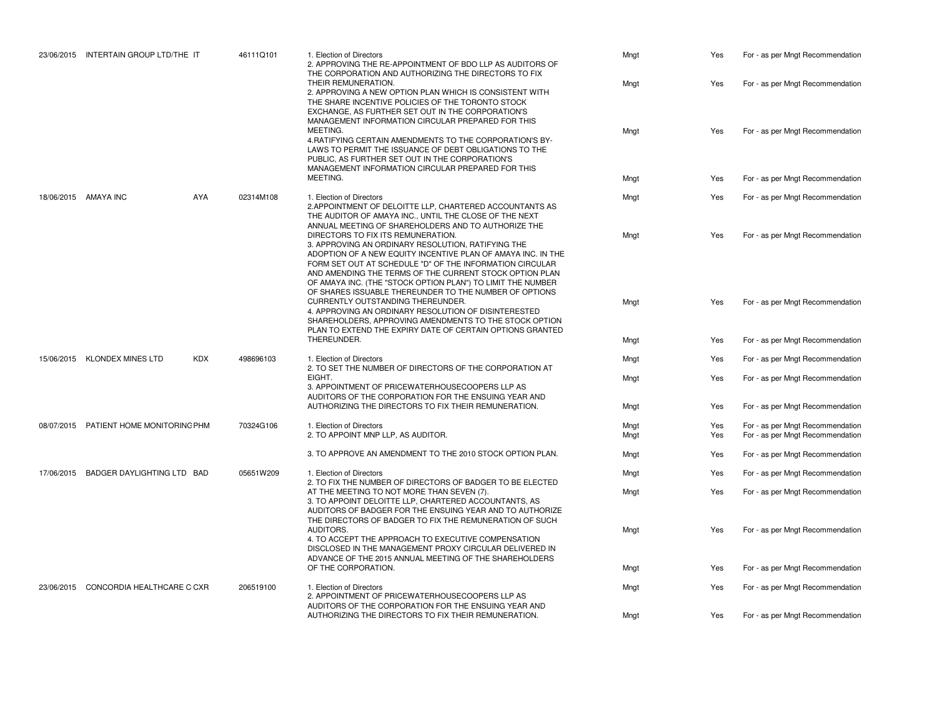|  | 23/06/2015 INTERTAIN GROUP LTD/THE IT      |  | 46111Q101                                            | 1. Election of Directors<br>2. APPROVING THE RE-APPOINTMENT OF BDO LLP AS AUDITORS OF<br>THE CORPORATION AND AUTHORIZING THE DIRECTORS TO FIX                                                                                                                                                                                                                                                                                                                                                                                       | Mngt         | Yes                              | For - as per Mngt Recommendation                                     |
|--|--------------------------------------------|--|------------------------------------------------------|-------------------------------------------------------------------------------------------------------------------------------------------------------------------------------------------------------------------------------------------------------------------------------------------------------------------------------------------------------------------------------------------------------------------------------------------------------------------------------------------------------------------------------------|--------------|----------------------------------|----------------------------------------------------------------------|
|  |                                            |  |                                                      | THEIR REMUNERATION.<br>2. APPROVING A NEW OPTION PLAN WHICH IS CONSISTENT WITH<br>THE SHARE INCENTIVE POLICIES OF THE TORONTO STOCK<br>EXCHANGE, AS FURTHER SET OUT IN THE CORPORATION'S<br>MANAGEMENT INFORMATION CIRCULAR PREPARED FOR THIS                                                                                                                                                                                                                                                                                       | Mngt         | Yes                              | For - as per Mngt Recommendation                                     |
|  |                                            |  |                                                      | MEETING.<br>4. RATIFYING CERTAIN AMENDMENTS TO THE CORPORATION'S BY-<br>LAWS TO PERMIT THE ISSUANCE OF DEBT OBLIGATIONS TO THE<br>PUBLIC, AS FURTHER SET OUT IN THE CORPORATION'S<br>MANAGEMENT INFORMATION CIRCULAR PREPARED FOR THIS<br>MEETING.                                                                                                                                                                                                                                                                                  | Mngt         | Yes                              | For - as per Mngt Recommendation                                     |
|  |                                            |  |                                                      |                                                                                                                                                                                                                                                                                                                                                                                                                                                                                                                                     | Mngt         | Yes                              | For - as per Mngt Recommendation                                     |
|  | 18/06/2015 AMAYA INC<br>AYA                |  | 02314M108                                            | 1. Election of Directors<br>2. APPOINTMENT OF DELOITTE LLP. CHARTERED ACCOUNTANTS AS<br>THE AUDITOR OF AMAYA INC., UNTIL THE CLOSE OF THE NEXT<br>ANNUAL MEETING OF SHAREHOLDERS AND TO AUTHORIZE THE                                                                                                                                                                                                                                                                                                                               | Mngt         | Yes                              | For - as per Mngt Recommendation                                     |
|  |                                            |  |                                                      | DIRECTORS TO FIX ITS REMUNERATION.<br>3. APPROVING AN ORDINARY RESOLUTION, RATIFYING THE<br>ADOPTION OF A NEW EQUITY INCENTIVE PLAN OF AMAYA INC. IN THE<br>FORM SET OUT AT SCHEDULE "D" OF THE INFORMATION CIRCULAR<br>AND AMENDING THE TERMS OF THE CURRENT STOCK OPTION PLAN<br>OF AMAYA INC. (THE "STOCK OPTION PLAN") TO LIMIT THE NUMBER<br>OF SHARES ISSUABLE THEREUNDER TO THE NUMBER OF OPTIONS                                                                                                                            | Mngt         | Yes                              | For - as per Mngt Recommendation                                     |
|  |                                            |  |                                                      | CURRENTLY OUTSTANDING THEREUNDER.<br>4. APPROVING AN ORDINARY RESOLUTION OF DISINTERESTED<br>SHAREHOLDERS, APPROVING AMENDMENTS TO THE STOCK OPTION<br>PLAN TO EXTEND THE EXPIRY DATE OF CERTAIN OPTIONS GRANTED                                                                                                                                                                                                                                                                                                                    | Mngt         | Yes                              | For - as per Mngt Recommendation                                     |
|  |                                            |  |                                                      | THEREUNDER.                                                                                                                                                                                                                                                                                                                                                                                                                                                                                                                         | Mngt         | Yes                              | For - as per Mngt Recommendation                                     |
|  | 15/06/2015 KLONDEX MINES LTD<br><b>KDX</b> |  | 498696103                                            | 1. Election of Directors<br>2. TO SET THE NUMBER OF DIRECTORS OF THE CORPORATION AT<br>EIGHT.<br>3. APPOINTMENT OF PRICEWATERHOUSECOOPERS LLP AS<br>AUDITORS OF THE CORPORATION FOR THE ENSUING YEAR AND                                                                                                                                                                                                                                                                                                                            | Mngt         | Yes                              | For - as per Mngt Recommendation                                     |
|  |                                            |  |                                                      |                                                                                                                                                                                                                                                                                                                                                                                                                                                                                                                                     | Mngt         | Yes                              | For - as per Mngt Recommendation                                     |
|  |                                            |  | AUTHORIZING THE DIRECTORS TO FIX THEIR REMUNERATION. | Mngt                                                                                                                                                                                                                                                                                                                                                                                                                                                                                                                                | Yes          | For - as per Mngt Recommendation |                                                                      |
|  | 08/07/2015 PATIENT HOME MONITORING PHM     |  | 70324G106                                            | 1. Election of Directors<br>2. TO APPOINT MNP LLP, AS AUDITOR.                                                                                                                                                                                                                                                                                                                                                                                                                                                                      | Mngt<br>Mngt | Yes<br>Yes                       | For - as per Mngt Recommendation<br>For - as per Mngt Recommendation |
|  |                                            |  |                                                      | 3. TO APPROVE AN AMENDMENT TO THE 2010 STOCK OPTION PLAN.                                                                                                                                                                                                                                                                                                                                                                                                                                                                           | Mngt         | Yes                              | For - as per Mngt Recommendation                                     |
|  | 17/06/2015 BADGER DAYLIGHTING LTD BAD      |  | 05651W209                                            | 1. Election of Directors<br>2. TO FIX THE NUMBER OF DIRECTORS OF BADGER TO BE ELECTED<br>AT THE MEETING TO NOT MORE THAN SEVEN (7).<br>3. TO APPOINT DELOITTE LLP, CHARTERED ACCOUNTANTS, AS<br>AUDITORS OF BADGER FOR THE ENSUING YEAR AND TO AUTHORIZE<br>THE DIRECTORS OF BADGER TO FIX THE REMUNERATION OF SUCH<br>AUDITORS.<br>4. TO ACCEPT THE APPROACH TO EXECUTIVE COMPENSATION<br>DISCLOSED IN THE MANAGEMENT PROXY CIRCULAR DELIVERED IN<br>ADVANCE OF THE 2015 ANNUAL MEETING OF THE SHAREHOLDERS<br>OF THE CORPORATION. | Mngt         | Yes                              | For - as per Mngt Recommendation                                     |
|  |                                            |  |                                                      |                                                                                                                                                                                                                                                                                                                                                                                                                                                                                                                                     | Mngt         | Yes                              | For - as per Mngt Recommendation                                     |
|  |                                            |  |                                                      |                                                                                                                                                                                                                                                                                                                                                                                                                                                                                                                                     | Mngt         | Yes                              | For - as per Mngt Recommendation                                     |
|  |                                            |  |                                                      |                                                                                                                                                                                                                                                                                                                                                                                                                                                                                                                                     | Mngt         | Yes                              | For - as per Mngt Recommendation                                     |
|  | 23/06/2015 CONCORDIA HEALTHCARE C CXR      |  | 206519100                                            | 1. Election of Directors<br>2. APPOINTMENT OF PRICEWATERHOUSECOOPERS LLP AS<br>AUDITORS OF THE CORPORATION FOR THE ENSUING YEAR AND                                                                                                                                                                                                                                                                                                                                                                                                 | Mngt         | Yes                              | For - as per Mngt Recommendation                                     |
|  |                                            |  |                                                      | AUTHORIZING THE DIRECTORS TO FIX THEIR REMUNERATION.                                                                                                                                                                                                                                                                                                                                                                                                                                                                                | Mngt         | Yes                              | For - as per Mngt Recommendation                                     |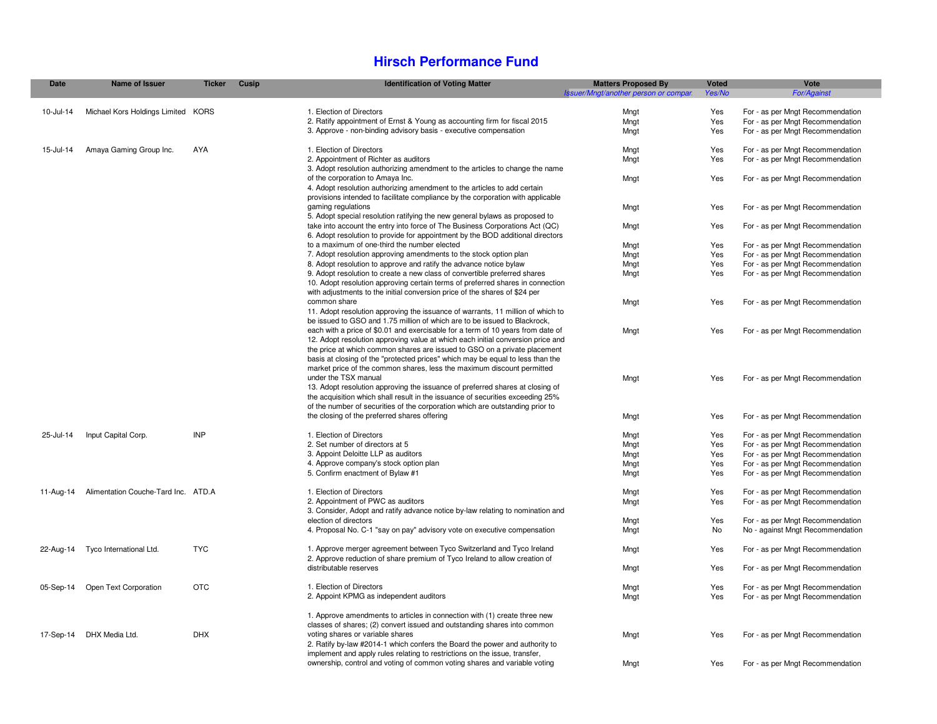#### **Hirsch Performance Fund**

| <b>Date</b> | Name of Issuer                      | <b>Ticker</b> | Cusip | <b>Identification of Voting Matter</b>                                          | <b>Matters Proposed By</b>           | Voted  | Vote                             |
|-------------|-------------------------------------|---------------|-------|---------------------------------------------------------------------------------|--------------------------------------|--------|----------------------------------|
|             |                                     |               |       |                                                                                 | Issuer/Mngt/another person or compan | Yes/No | <b>For/Against</b>               |
| 10-Jul-14   | Michael Kors Holdings Limited KORS  |               |       | 1. Election of Directors                                                        | Mngt                                 | Yes    | For - as per Mngt Recommendation |
|             |                                     |               |       | 2. Ratify appointment of Ernst & Young as accounting firm for fiscal 2015       | Mngt                                 | Yes    | For - as per Mngt Recommendation |
|             |                                     |               |       | 3. Approve - non-binding advisory basis - executive compensation                | Mngt                                 | Yes    | For - as per Mngt Recommendation |
|             |                                     |               |       |                                                                                 |                                      |        |                                  |
| 15-Jul-14   | Amaya Gaming Group Inc.             | AYA           |       | 1. Election of Directors                                                        | Mngt                                 | Yes    | For - as per Mngt Recommendation |
|             |                                     |               |       | 2. Appointment of Richter as auditors                                           | Mngt                                 | Yes    | For - as per Mngt Recommendation |
|             |                                     |               |       | 3. Adopt resolution authorizing amendment to the articles to change the name    |                                      |        |                                  |
|             |                                     |               |       | of the corporation to Amaya Inc.                                                | Mngt                                 | Yes    | For - as per Mngt Recommendation |
|             |                                     |               |       | 4. Adopt resolution authorizing amendment to the articles to add certain        |                                      |        |                                  |
|             |                                     |               |       | provisions intended to facilitate compliance by the corporation with applicable |                                      |        |                                  |
|             |                                     |               |       | gaming regulations                                                              | Mngt                                 | Yes    | For - as per Mngt Recommendation |
|             |                                     |               |       | 5. Adopt special resolution ratifying the new general bylaws as proposed to     |                                      |        |                                  |
|             |                                     |               |       | take into account the entry into force of The Business Corporations Act (QC)    | Mngt                                 | Yes    | For - as per Mngt Recommendation |
|             |                                     |               |       | 6. Adopt resolution to provide for appointment by the BOD additional directors  |                                      |        |                                  |
|             |                                     |               |       | to a maximum of one-third the number elected                                    | Mngt                                 | Yes    | For - as per Mngt Recommendation |
|             |                                     |               |       | 7. Adopt resolution approving amendments to the stock option plan               | Mngt                                 | Yes    | For - as per Mngt Recommendation |
|             |                                     |               |       | 8. Adopt resolution to approve and ratify the advance notice bylaw              | Mngt                                 | Yes    | For - as per Mngt Recommendation |
|             |                                     |               |       | 9. Adopt resolution to create a new class of convertible preferred shares       | Mngt                                 | Yes    | For - as per Mngt Recommendation |
|             |                                     |               |       | 10. Adopt resolution approving certain terms of preferred shares in connection  |                                      |        |                                  |
|             |                                     |               |       | with adjustments to the initial conversion price of the shares of \$24 per      |                                      |        |                                  |
|             |                                     |               |       | common share                                                                    | Mngt                                 | Yes    | For - as per Mngt Recommendation |
|             |                                     |               |       | 11. Adopt resolution approving the issuance of warrants, 11 million of which to |                                      |        |                                  |
|             |                                     |               |       | be issued to GSO and 1.75 million of which are to be issued to Blackrock,       |                                      |        |                                  |
|             |                                     |               |       | each with a price of \$0.01 and exercisable for a term of 10 years from date of | Mngt                                 | Yes    | For - as per Mngt Recommendation |
|             |                                     |               |       | 12. Adopt resolution approving value at which each initial conversion price and |                                      |        |                                  |
|             |                                     |               |       | the price at which common shares are issued to GSO on a private placement       |                                      |        |                                  |
|             |                                     |               |       | basis at closing of the "protected prices" which may be equal to less than the  |                                      |        |                                  |
|             |                                     |               |       | market price of the common shares, less the maximum discount permitted          |                                      |        |                                  |
|             |                                     |               |       | under the TSX manual                                                            | Mngt                                 | Yes    | For - as per Mngt Recommendation |
|             |                                     |               |       | 13. Adopt resolution approving the issuance of preferred shares at closing of   |                                      |        |                                  |
|             |                                     |               |       | the acquisition which shall result in the issuance of securities exceeding 25%  |                                      |        |                                  |
|             |                                     |               |       | of the number of securities of the corporation which are outstanding prior to   |                                      |        |                                  |
|             |                                     |               |       | the closing of the preferred shares offering                                    | Mngt                                 | Yes    | For - as per Mngt Recommendation |
|             |                                     |               |       |                                                                                 |                                      |        |                                  |
| 25-Jul-14   | Input Capital Corp.                 | <b>INP</b>    |       | 1. Election of Directors                                                        | Mngt                                 | Yes    | For - as per Mngt Recommendation |
|             |                                     |               |       | 2. Set number of directors at 5                                                 | Mngt                                 | Yes    | For - as per Mngt Recommendation |
|             |                                     |               |       | 3. Appoint Deloitte LLP as auditors                                             | Mngt                                 | Yes    | For - as per Mngt Recommendation |
|             |                                     |               |       | 4. Approve company's stock option plan                                          | Mngt                                 | Yes    | For - as per Mngt Recommendation |
|             |                                     |               |       | 5. Confirm enactment of Bylaw #1                                                | Mngt                                 | Yes    | For - as per Mngt Recommendation |
| 11-Aug-14   | Alimentation Couche-Tard Inc. ATD.A |               |       | 1. Election of Directors                                                        | Mnat                                 | Yes    | For - as per Mngt Recommendation |
|             |                                     |               |       | 2. Appointment of PWC as auditors                                               | Mnat                                 | Yes    | For - as per Mngt Recommendation |
|             |                                     |               |       | 3. Consider, Adopt and ratify advance notice by-law relating to nomination and  |                                      |        |                                  |
|             |                                     |               |       | election of directors                                                           | Mngt                                 | Yes    | For - as per Mngt Recommendation |
|             |                                     |               |       | 4. Proposal No. C-1 "say on pay" advisory vote on executive compensation        | Mngt                                 | No     | No - against Mngt Recommendation |
|             |                                     |               |       |                                                                                 |                                      |        |                                  |
| 22-Aug-14   | Tyco International Ltd.             | <b>TYC</b>    |       | 1. Approve merger agreement between Tyco Switzerland and Tyco Ireland           | Mngt                                 | Yes    | For - as per Mngt Recommendation |
|             |                                     |               |       | 2. Approve reduction of share premium of Tyco Ireland to allow creation of      |                                      |        |                                  |
|             |                                     |               |       | distributable reserves                                                          | Mngt                                 | Yes    | For - as per Mngt Recommendation |
|             |                                     |               |       |                                                                                 |                                      |        |                                  |
| 05-Sep-14   | Open Text Corporation               | <b>OTC</b>    |       | 1. Election of Directors                                                        | Mngt                                 | Yes    | For - as per Mngt Recommendation |
|             |                                     |               |       | 2. Appoint KPMG as independent auditors                                         | Mngt                                 | Yes    | For - as per Mngt Recommendation |
|             |                                     |               |       |                                                                                 |                                      |        |                                  |
|             |                                     |               |       | 1. Approve amendments to articles in connection with (1) create three new       |                                      |        |                                  |
|             |                                     |               |       | classes of shares; (2) convert issued and outstanding shares into common        |                                      |        |                                  |
|             | 17-Sep-14 DHX Media Ltd.            | <b>DHX</b>    |       | voting shares or variable shares                                                | Mngt                                 | Yes    | For - as per Mngt Recommendation |
|             |                                     |               |       | 2. Ratify by-law #2014-1 which confers the Board the power and authority to     |                                      |        |                                  |
|             |                                     |               |       | implement and apply rules relating to restrictions on the issue, transfer,      |                                      |        |                                  |
|             |                                     |               |       | ownership, control and voting of common voting shares and variable voting       | Mngt                                 | Yes    | For - as per Mngt Recommendation |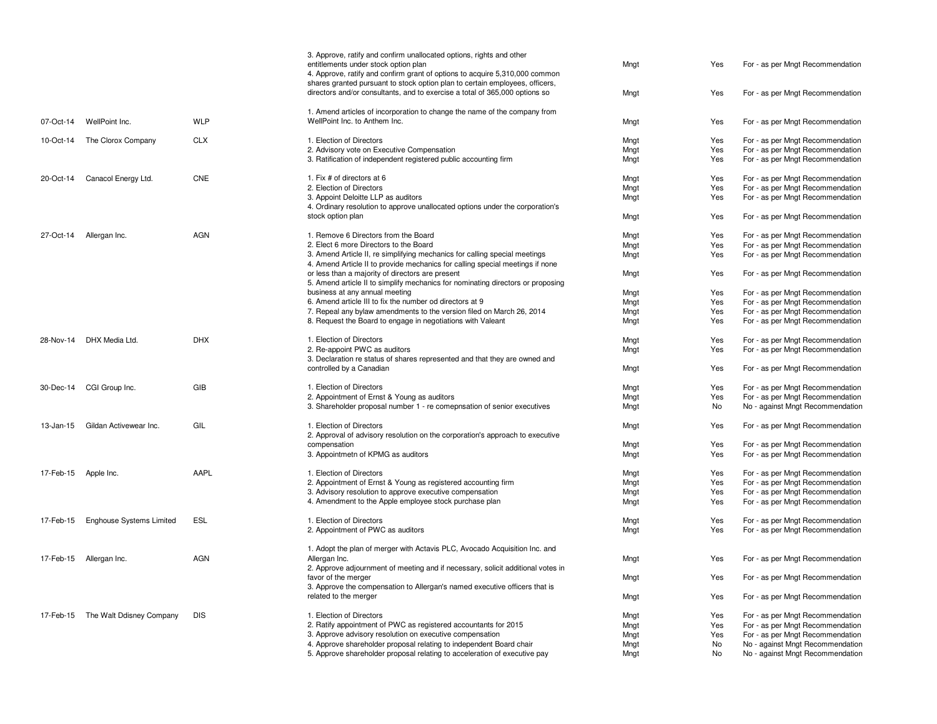|                      |                                    |            | 3. Approve, ratify and confirm unallocated options, rights and other<br>entitlements under stock option plan<br>4. Approve, ratify and confirm grant of options to acquire 5,310,000 common<br>shares granted pursuant to stock option plan to certain employees, officers,<br>directors and/or consultants, and to exercise a total of 365,000 options so | Mngt<br>Mngt | Yes<br>Yes | For - as per Mngt Recommendation<br>For - as per Mngt Recommendation |
|----------------------|------------------------------------|------------|------------------------------------------------------------------------------------------------------------------------------------------------------------------------------------------------------------------------------------------------------------------------------------------------------------------------------------------------------------|--------------|------------|----------------------------------------------------------------------|
|                      |                                    |            | 1. Amend articles of incorporation to change the name of the company from                                                                                                                                                                                                                                                                                  |              |            |                                                                      |
| 07-Oct-14            | WellPoint Inc.                     | <b>WLP</b> | WellPoint Inc. to Anthem Inc.                                                                                                                                                                                                                                                                                                                              | Mngt         | Yes        | For - as per Mngt Recommendation                                     |
| 10-Oct-14            | The Clorox Company                 | <b>CLX</b> | 1. Election of Directors                                                                                                                                                                                                                                                                                                                                   | Mngt         | Yes        | For - as per Mngt Recommendation                                     |
|                      |                                    |            | 2. Advisory vote on Executive Compensation                                                                                                                                                                                                                                                                                                                 | Mngt         | Yes        | For - as per Mngt Recommendation                                     |
|                      |                                    |            | 3. Ratification of independent registered public accounting firm                                                                                                                                                                                                                                                                                           | Mngt         | Yes        | For - as per Mngt Recommendation                                     |
| 20-Oct-14            | Canacol Energy Ltd.                | <b>CNE</b> | 1. Fix # of directors at 6                                                                                                                                                                                                                                                                                                                                 | Mngt         | Yes        | For - as per Mngt Recommendation                                     |
|                      |                                    |            | 2. Election of Directors                                                                                                                                                                                                                                                                                                                                   | Mngt         | Yes        | For - as per Mngt Recommendation                                     |
|                      |                                    |            | 3. Appoint Deloitte LLP as auditors                                                                                                                                                                                                                                                                                                                        | Mngt         | Yes        | For - as per Mngt Recommendation                                     |
|                      |                                    |            | 4. Ordinary resolution to approve unallocated options under the corporation's<br>stock option plan                                                                                                                                                                                                                                                         | Mngt         | Yes        | For - as per Mngt Recommendation                                     |
|                      |                                    |            |                                                                                                                                                                                                                                                                                                                                                            |              |            |                                                                      |
| 27-Oct-14            | Allergan Inc.                      | <b>AGN</b> | 1. Remove 6 Directors from the Board                                                                                                                                                                                                                                                                                                                       | Mngt         | Yes        | For - as per Mngt Recommendation                                     |
|                      |                                    |            | 2. Elect 6 more Directors to the Board                                                                                                                                                                                                                                                                                                                     | Mngt         | Yes<br>Yes | For - as per Mngt Recommendation<br>For - as per Mngt Recommendation |
|                      |                                    |            | 3. Amend Article II, re simplifying mechanics for calling special meetings<br>4. Amend Article II to provide mechanics for calling special meetings if none                                                                                                                                                                                                | Mngt         |            |                                                                      |
|                      |                                    |            | or less than a majority of directors are present<br>5. Amend article II to simplify mechanics for nominating directors or proposing                                                                                                                                                                                                                        | Mngt         | Yes        | For - as per Mngt Recommendation                                     |
|                      |                                    |            | business at any annual meeting                                                                                                                                                                                                                                                                                                                             | Mngt         | Yes        | For - as per Mngt Recommendation                                     |
|                      |                                    |            | 6. Amend article III to fix the number od directors at 9                                                                                                                                                                                                                                                                                                   | Mngt         | Yes        | For - as per Mngt Recommendation                                     |
|                      |                                    |            | 7. Repeal any bylaw amendments to the version filed on March 26, 2014                                                                                                                                                                                                                                                                                      | Mngt         | Yes        | For - as per Mngt Recommendation                                     |
|                      |                                    |            | 8. Request the Board to engage in negotiations with Valeant                                                                                                                                                                                                                                                                                                | Mngt         | Yes        | For - as per Mngt Recommendation                                     |
|                      | 28-Nov-14 DHX Media Ltd.           | <b>DHX</b> | 1. Election of Directors                                                                                                                                                                                                                                                                                                                                   | Mngt         | Yes        | For - as per Mngt Recommendation                                     |
|                      |                                    |            | 2. Re-appoint PWC as auditors                                                                                                                                                                                                                                                                                                                              | Mngt         | Yes        | For - as per Mngt Recommendation                                     |
|                      |                                    |            | 3. Declaration re status of shares represented and that they are owned and<br>controlled by a Canadian                                                                                                                                                                                                                                                     | Mngt         | Yes        | For - as per Mngt Recommendation                                     |
|                      |                                    |            |                                                                                                                                                                                                                                                                                                                                                            |              |            |                                                                      |
|                      | 30-Dec-14 CGI Group Inc.           | GIB        | 1. Election of Directors                                                                                                                                                                                                                                                                                                                                   | Mngt         | Yes        | For - as per Mngt Recommendation                                     |
|                      |                                    |            | 2. Appointment of Ernst & Young as auditors                                                                                                                                                                                                                                                                                                                | Mngt         | Yes        | For - as per Mngt Recommendation                                     |
|                      |                                    |            | 3. Shareholder proposal number 1 - re comepnsation of senior executives                                                                                                                                                                                                                                                                                    | Mngt         | No         | No - against Mngt Recommendation                                     |
| 13-Jan-15            | Gildan Activewear Inc.             | GIL        | 1. Election of Directors                                                                                                                                                                                                                                                                                                                                   | Mngt         | Yes        | For - as per Mngt Recommendation                                     |
|                      |                                    |            | 2. Approval of advisory resolution on the corporation's approach to executive                                                                                                                                                                                                                                                                              |              |            |                                                                      |
|                      |                                    |            | compensation<br>3. Appointmetn of KPMG as auditors                                                                                                                                                                                                                                                                                                         | Mngt<br>Mngt | Yes<br>Yes | For - as per Mngt Recommendation<br>For - as per Mngt Recommendation |
|                      |                                    |            |                                                                                                                                                                                                                                                                                                                                                            |              |            |                                                                      |
| 17-Feb-15 Apple Inc. |                                    | AAPL       | 1. Election of Directors                                                                                                                                                                                                                                                                                                                                   | Mngt         | Yes        | For - as per Mngt Recommendation                                     |
|                      |                                    |            | 2. Appointment of Ernst & Young as registered accounting firm                                                                                                                                                                                                                                                                                              | Mngt         | Yes        | For - as per Mngt Recommendation                                     |
|                      |                                    |            | 3. Advisory resolution to approve executive compensation<br>4. Amendment to the Apple employee stock purchase plan                                                                                                                                                                                                                                         | Mngt         | Yes<br>Yes | For - as per Mngt Recommendation<br>For - as per Mngt Recommendation |
|                      |                                    |            |                                                                                                                                                                                                                                                                                                                                                            | Mngt         |            |                                                                      |
| 17-Feb-15            | Enghouse Systems Limited           | ESL        | 1. Election of Directors                                                                                                                                                                                                                                                                                                                                   | Mngt         | Yes        | For - as per Mngt Recommendation                                     |
|                      |                                    |            | 2. Appointment of PWC as auditors                                                                                                                                                                                                                                                                                                                          | Mngt         | Yes        | For - as per Mngt Recommendation                                     |
|                      |                                    |            | 1. Adopt the plan of merger with Actavis PLC, Avocado Acquisition Inc. and                                                                                                                                                                                                                                                                                 |              |            |                                                                      |
|                      | 17-Feb-15 Allergan Inc.            | <b>AGN</b> | Allergan Inc.                                                                                                                                                                                                                                                                                                                                              | Mnat         | Yes        | For - as per Mngt Recommendation                                     |
|                      |                                    |            | 2. Approve adjournment of meeting and if necessary, solicit additional votes in                                                                                                                                                                                                                                                                            |              |            |                                                                      |
|                      |                                    |            | favor of the merger<br>3. Approve the compensation to Allergan's named executive officers that is                                                                                                                                                                                                                                                          | Mngt         | Yes        | For - as per Mngt Recommendation                                     |
|                      |                                    |            | related to the merger                                                                                                                                                                                                                                                                                                                                      | Mngt         | Yes        | For - as per Mngt Recommendation                                     |
|                      | 17-Feb-15 The Walt Ddisney Company | <b>DIS</b> | 1. Election of Directors                                                                                                                                                                                                                                                                                                                                   | Mngt         | Yes        | For - as per Mngt Recommendation                                     |
|                      |                                    |            | 2. Ratify appointment of PWC as registered accountants for 2015                                                                                                                                                                                                                                                                                            | Mngt         | Yes        | For - as per Mngt Recommendation                                     |
|                      |                                    |            | 3. Approve advisory resolution on executive compensation                                                                                                                                                                                                                                                                                                   | Mngt         | Yes        | For - as per Mngt Recommendation                                     |
|                      |                                    |            | 4. Approve shareholder proposal relating to independent Board chair                                                                                                                                                                                                                                                                                        | Mngt         | No         | No - against Mngt Recommendation                                     |
|                      |                                    |            | 5. Approve shareholder proposal relating to acceleration of executive pay                                                                                                                                                                                                                                                                                  | Mngt         | No         | No - against Mngt Recommendation                                     |